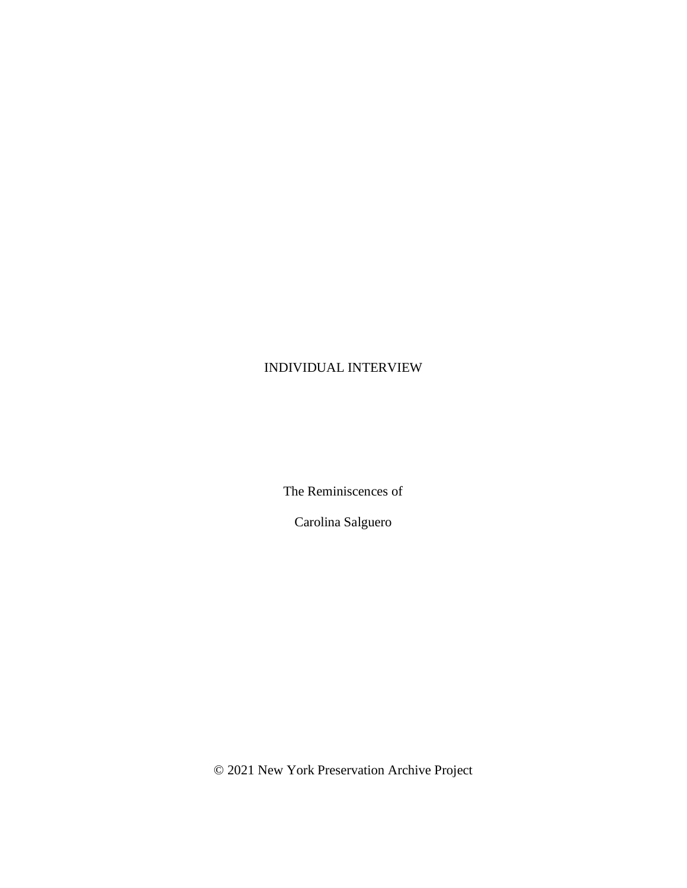## INDIVIDUAL INTERVIEW

The Reminiscences of

Carolina Salguero

© 2021 New York Preservation Archive Project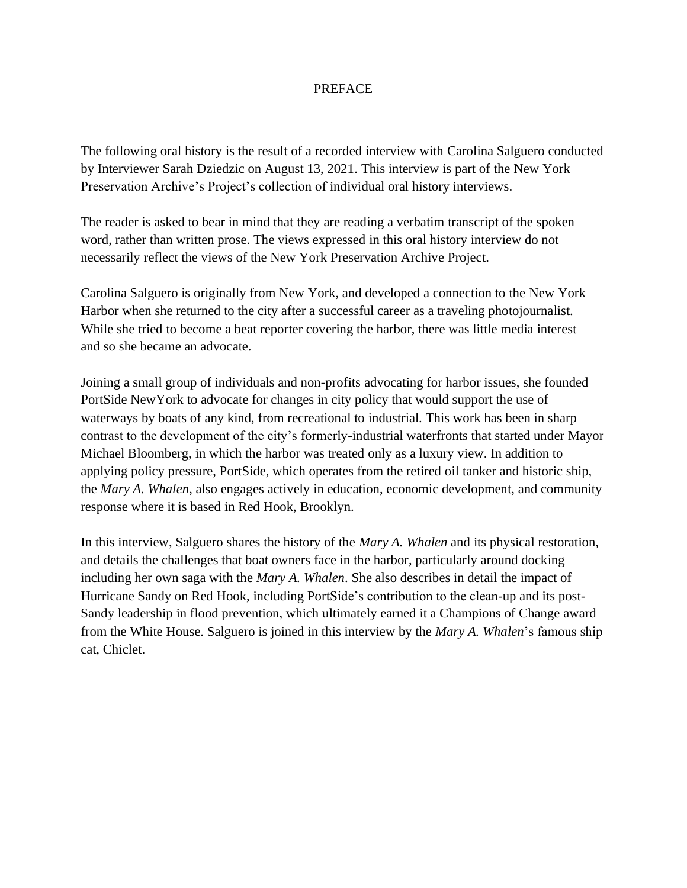## **PREFACE**

The following oral history is the result of a recorded interview with Carolina Salguero conducted by Interviewer Sarah Dziedzic on August 13, 2021. This interview is part of the New York Preservation Archive's Project's collection of individual oral history interviews.

The reader is asked to bear in mind that they are reading a verbatim transcript of the spoken word, rather than written prose. The views expressed in this oral history interview do not necessarily reflect the views of the New York Preservation Archive Project.

Carolina Salguero is originally from New York, and developed a connection to the New York Harbor when she returned to the city after a successful career as a traveling photojournalist. While she tried to become a beat reporter covering the harbor, there was little media interest and so she became an advocate.

Joining a small group of individuals and non-profits advocating for harbor issues, she founded PortSide NewYork to advocate for changes in city policy that would support the use of waterways by boats of any kind, from recreational to industrial. This work has been in sharp contrast to the development of the city's formerly-industrial waterfronts that started under Mayor Michael Bloomberg, in which the harbor was treated only as a luxury view. In addition to applying policy pressure, PortSide, which operates from the retired oil tanker and historic ship, the *Mary A. Whalen*, also engages actively in education, economic development, and community response where it is based in Red Hook, Brooklyn.

In this interview, Salguero shares the history of the *Mary A. Whalen* and its physical restoration, and details the challenges that boat owners face in the harbor, particularly around docking including her own saga with the *Mary A. Whalen*. She also describes in detail the impact of Hurricane Sandy on Red Hook, including PortSide's contribution to the clean-up and its post-Sandy leadership in flood prevention, which ultimately earned it a Champions of Change award from the White House. Salguero is joined in this interview by the *Mary A. Whalen*'s famous ship cat, Chiclet.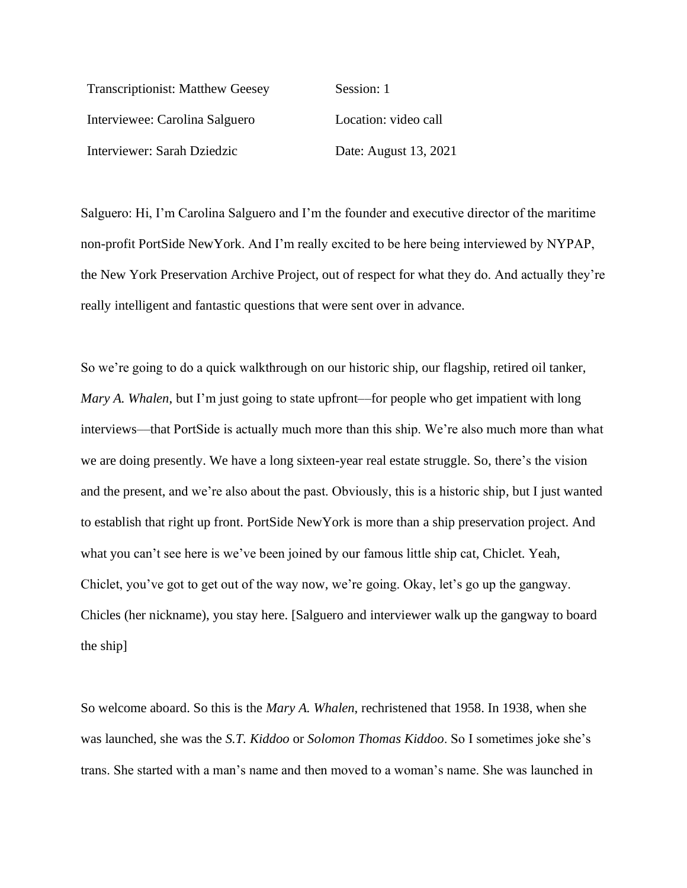| <b>Transcriptionist: Matthew Geesey</b> | Session: 1            |
|-----------------------------------------|-----------------------|
| Interviewee: Carolina Salguero          | Location: video call  |
| Interviewer: Sarah Dziedzic             | Date: August 13, 2021 |

Salguero: Hi, I'm Carolina Salguero and I'm the founder and executive director of the maritime non-profit PortSide NewYork. And I'm really excited to be here being interviewed by NYPAP, the New York Preservation Archive Project, out of respect for what they do. And actually they're really intelligent and fantastic questions that were sent over in advance.

So we're going to do a quick walkthrough on our historic ship, our flagship, retired oil tanker, *Mary A. Whalen*, but I'm just going to state upfront—for people who get impatient with long interviews––that PortSide is actually much more than this ship. We're also much more than what we are doing presently. We have a long sixteen-year real estate struggle. So, there's the vision and the present, and we're also about the past. Obviously, this is a historic ship, but I just wanted to establish that right up front. PortSide NewYork is more than a ship preservation project. And what you can't see here is we've been joined by our famous little ship cat, Chiclet. Yeah, Chiclet, you've got to get out of the way now, we're going. Okay, let's go up the gangway. Chicles (her nickname), you stay here. [Salguero and interviewer walk up the gangway to board the ship]

So welcome aboard. So this is the *Mary A. Whalen*, rechristened that 1958. In 1938, when she was launched, she was the *S.T. Kiddoo* or *Solomon Thomas Kiddoo*. So I sometimes joke she's trans. She started with a man's name and then moved to a woman's name. She was launched in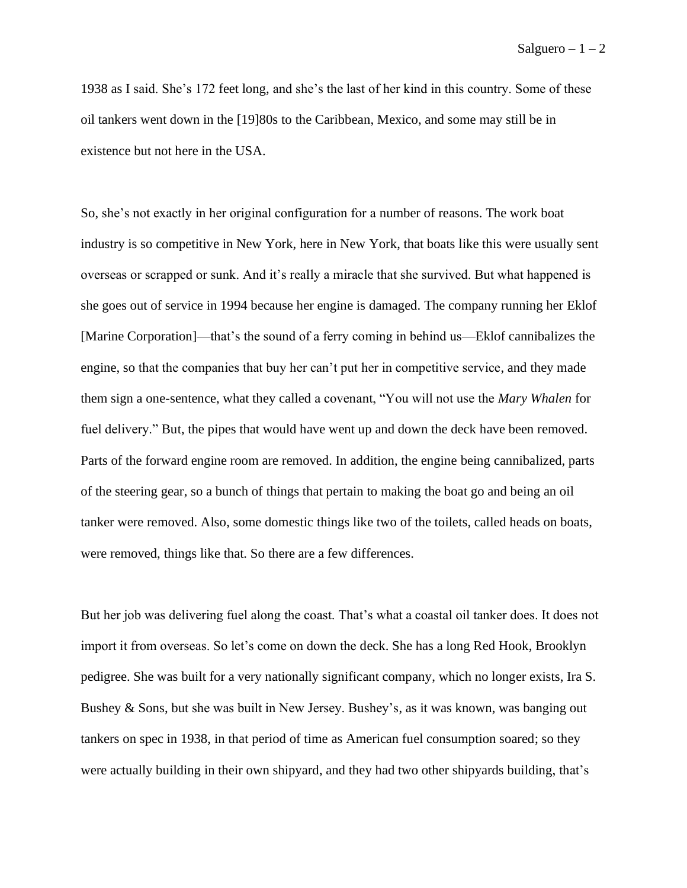1938 as I said. She's 172 feet long, and she's the last of her kind in this country. Some of these oil tankers went down in the [19]80s to the Caribbean, Mexico, and some may still be in existence but not here in the USA.

So, she's not exactly in her original configuration for a number of reasons. The work boat industry is so competitive in New York, here in New York, that boats like this were usually sent overseas or scrapped or sunk. And it's really a miracle that she survived. But what happened is she goes out of service in 1994 because her engine is damaged. The company running her Eklof [Marine Corporation]—that's the sound of a ferry coming in behind us—Eklof cannibalizes the engine, so that the companies that buy her can't put her in competitive service, and they made them sign a one-sentence, what they called a covenant, "You will not use the *Mary Whalen* for fuel delivery." But, the pipes that would have went up and down the deck have been removed. Parts of the forward engine room are removed. In addition, the engine being cannibalized, parts of the steering gear, so a bunch of things that pertain to making the boat go and being an oil tanker were removed. Also, some domestic things like two of the toilets, called heads on boats, were removed, things like that. So there are a few differences.

But her job was delivering fuel along the coast. That's what a coastal oil tanker does. It does not import it from overseas. So let's come on down the deck. She has a long Red Hook, Brooklyn pedigree. She was built for a very nationally significant company, which no longer exists, Ira S. Bushey & Sons, but she was built in New Jersey. Bushey's, as it was known, was banging out tankers on spec in 1938, in that period of time as American fuel consumption soared; so they were actually building in their own shipyard, and they had two other shipyards building, that's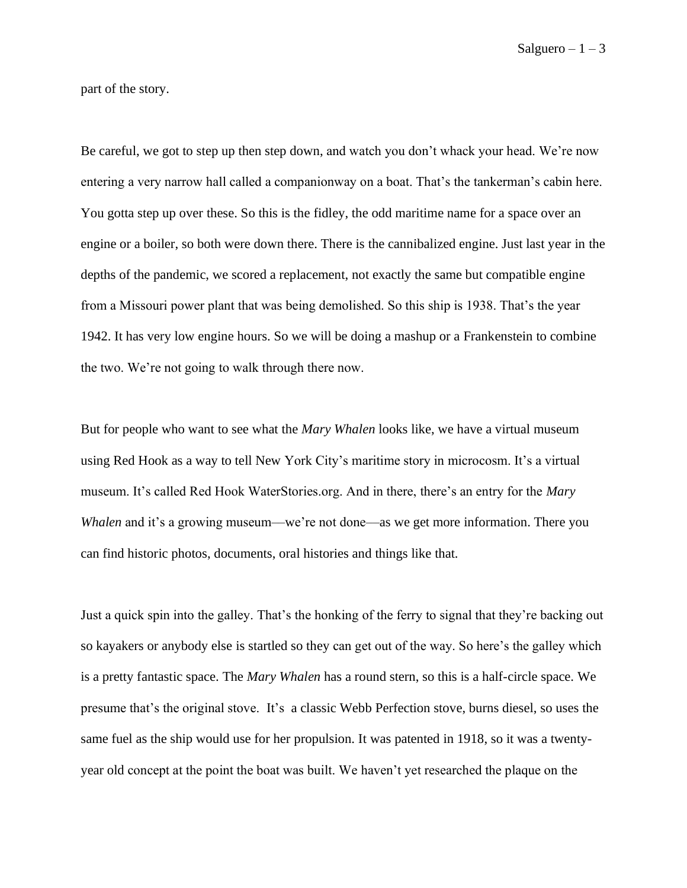part of the story.

Be careful, we got to step up then step down, and watch you don't whack your head. We're now entering a very narrow hall called a companionway on a boat. That's the tankerman's cabin here. You gotta step up over these. So this is the fidley, the odd maritime name for a space over an engine or a boiler, so both were down there. There is the cannibalized engine. Just last year in the depths of the pandemic, we scored a replacement, not exactly the same but compatible engine from a Missouri power plant that was being demolished. So this ship is 1938. That's the year 1942. It has very low engine hours. So we will be doing a mashup or a Frankenstein to combine the two. We're not going to walk through there now.

But for people who want to see what the *Mary Whalen* looks like, we have a virtual museum using Red Hook as a way to tell New York City's maritime story in microcosm. It's a virtual museum. It's called Red Hook WaterStories.org. And in there, there's an entry for the *Mary Whalen* and it's a growing museum—we're not done—as we get more information. There you can find historic photos, documents, oral histories and things like that.

Just a quick spin into the galley. That's the honking of the ferry to signal that they're backing out so kayakers or anybody else is startled so they can get out of the way. So here's the galley which is a pretty fantastic space. The *Mary Whalen* has a round stern, so this is a half-circle space. We presume that's the original stove. It's a classic Webb Perfection stove, burns diesel, so uses the same fuel as the ship would use for her propulsion. It was patented in 1918, so it was a twentyyear old concept at the point the boat was built. We haven't yet researched the plaque on the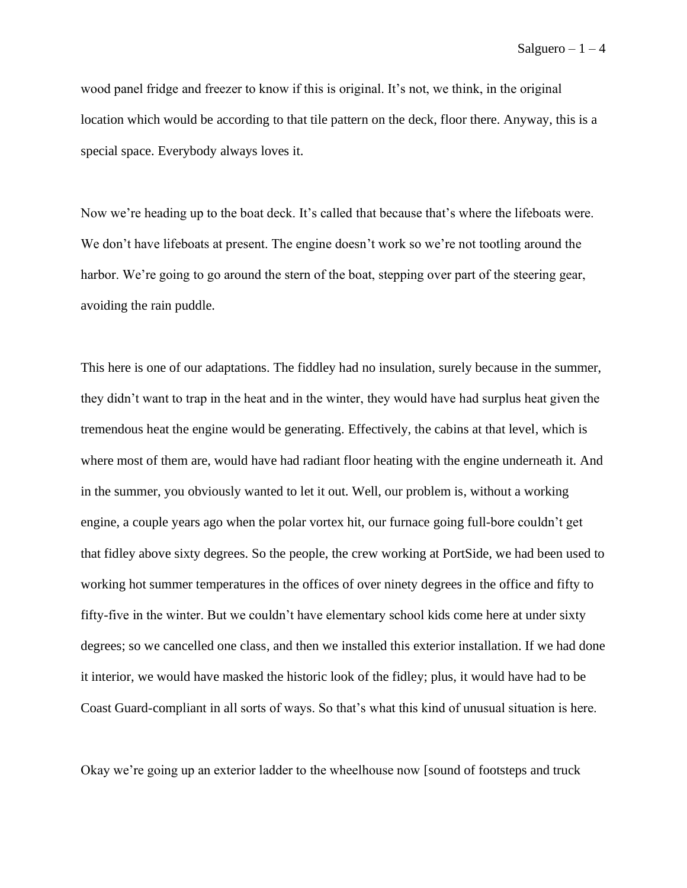wood panel fridge and freezer to know if this is original. It's not, we think, in the original location which would be according to that tile pattern on the deck, floor there. Anyway, this is a special space. Everybody always loves it.

Now we're heading up to the boat deck. It's called that because that's where the lifeboats were. We don't have lifeboats at present. The engine doesn't work so we're not tootling around the harbor. We're going to go around the stern of the boat, stepping over part of the steering gear, avoiding the rain puddle.

This here is one of our adaptations. The fiddley had no insulation, surely because in the summer, they didn't want to trap in the heat and in the winter, they would have had surplus heat given the tremendous heat the engine would be generating. Effectively, the cabins at that level, which is where most of them are, would have had radiant floor heating with the engine underneath it. And in the summer, you obviously wanted to let it out. Well, our problem is, without a working engine, a couple years ago when the polar vortex hit, our furnace going full-bore couldn't get that fidley above sixty degrees. So the people, the crew working at PortSide, we had been used to working hot summer temperatures in the offices of over ninety degrees in the office and fifty to fifty-five in the winter. But we couldn't have elementary school kids come here at under sixty degrees; so we cancelled one class, and then we installed this exterior installation. If we had done it interior, we would have masked the historic look of the fidley; plus, it would have had to be Coast Guard-compliant in all sorts of ways. So that's what this kind of unusual situation is here.

Okay we're going up an exterior ladder to the wheelhouse now [sound of footsteps and truck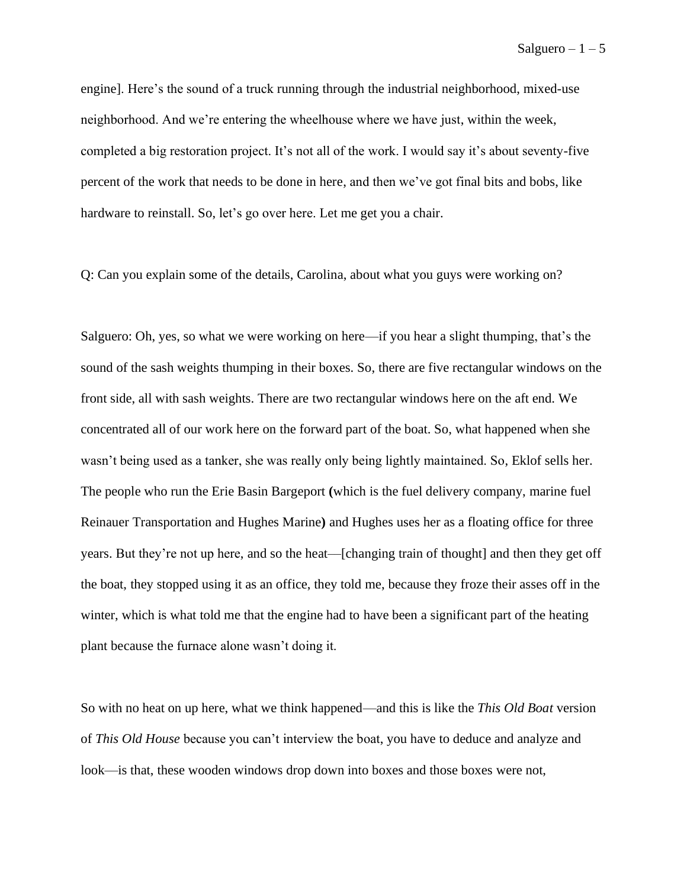engine]. Here's the sound of a truck running through the industrial neighborhood, mixed-use neighborhood. And we're entering the wheelhouse where we have just, within the week, completed a big restoration project. It's not all of the work. I would say it's about seventy-five percent of the work that needs to be done in here, and then we've got final bits and bobs, like hardware to reinstall. So, let's go over here. Let me get you a chair.

Q: Can you explain some of the details, Carolina, about what you guys were working on?

Salguero: Oh, yes, so what we were working on here—if you hear a slight thumping, that's the sound of the sash weights thumping in their boxes. So, there are five rectangular windows on the front side, all with sash weights. There are two rectangular windows here on the aft end. We concentrated all of our work here on the forward part of the boat. So, what happened when she wasn't being used as a tanker, she was really only being lightly maintained. So, Eklof sells her. The people who run the Erie Basin Bargeport **(**which is the fuel delivery company, marine fuel Reinauer Transportation and Hughes Marine**)** and Hughes uses her as a floating office for three years. But they're not up here, and so the heat––[changing train of thought] and then they get off the boat, they stopped using it as an office, they told me, because they froze their asses off in the winter, which is what told me that the engine had to have been a significant part of the heating plant because the furnace alone wasn't doing it.

So with no heat on up here, what we think happened––and this is like the *This Old Boat* version of *This Old House* because you can't interview the boat, you have to deduce and analyze and look––is that, these wooden windows drop down into boxes and those boxes were not,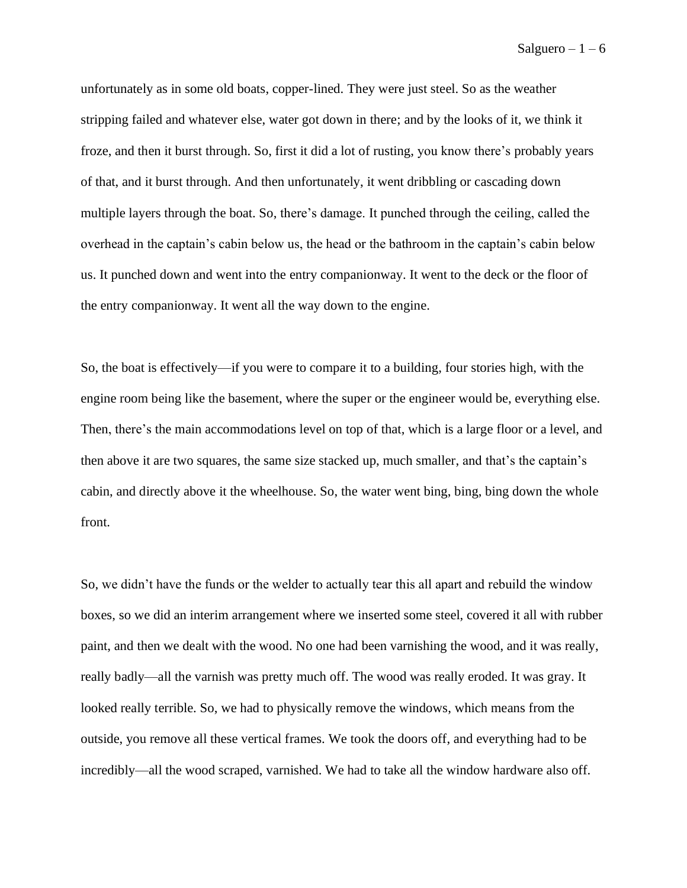unfortunately as in some old boats, copper-lined. They were just steel. So as the weather stripping failed and whatever else, water got down in there; and by the looks of it, we think it froze, and then it burst through. So, first it did a lot of rusting, you know there's probably years of that, and it burst through. And then unfortunately, it went dribbling or cascading down multiple layers through the boat. So, there's damage. It punched through the ceiling, called the overhead in the captain's cabin below us, the head or the bathroom in the captain's cabin below us. It punched down and went into the entry companionway. It went to the deck or the floor of the entry companionway. It went all the way down to the engine.

So, the boat is effectively—if you were to compare it to a building, four stories high, with the engine room being like the basement, where the super or the engineer would be, everything else. Then, there's the main accommodations level on top of that, which is a large floor or a level, and then above it are two squares, the same size stacked up, much smaller, and that's the captain's cabin, and directly above it the wheelhouse. So, the water went bing, bing, bing down the whole front.

So, we didn't have the funds or the welder to actually tear this all apart and rebuild the window boxes, so we did an interim arrangement where we inserted some steel, covered it all with rubber paint, and then we dealt with the wood. No one had been varnishing the wood, and it was really, really badly—all the varnish was pretty much off. The wood was really eroded. It was gray. It looked really terrible. So, we had to physically remove the windows, which means from the outside, you remove all these vertical frames. We took the doors off, and everything had to be incredibly—all the wood scraped, varnished. We had to take all the window hardware also off.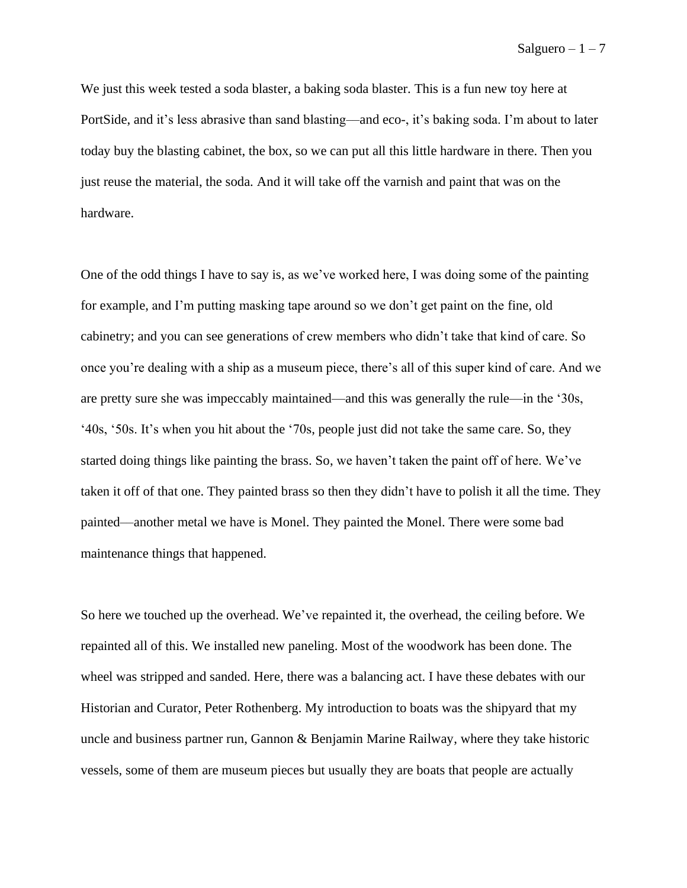We just this week tested a soda blaster, a baking soda blaster. This is a fun new toy here at PortSide, and it's less abrasive than sand blasting––and eco-, it's baking soda. I'm about to later today buy the blasting cabinet, the box, so we can put all this little hardware in there. Then you just reuse the material, the soda. And it will take off the varnish and paint that was on the hardware.

One of the odd things I have to say is, as we've worked here, I was doing some of the painting for example, and I'm putting masking tape around so we don't get paint on the fine, old cabinetry; and you can see generations of crew members who didn't take that kind of care. So once you're dealing with a ship as a museum piece, there's all of this super kind of care. And we are pretty sure she was impeccably maintained—and this was generally the rule—in the '30s, '40s, '50s. It's when you hit about the '70s, people just did not take the same care. So, they started doing things like painting the brass. So, we haven't taken the paint off of here. We've taken it off of that one. They painted brass so then they didn't have to polish it all the time. They painted––another metal we have is Monel. They painted the Monel. There were some bad maintenance things that happened.

So here we touched up the overhead. We've repainted it, the overhead, the ceiling before. We repainted all of this. We installed new paneling. Most of the woodwork has been done. The wheel was stripped and sanded. Here, there was a balancing act. I have these debates with our Historian and Curator, Peter Rothenberg. My introduction to boats was the shipyard that my uncle and business partner run, Gannon & Benjamin Marine Railway, where they take historic vessels, some of them are museum pieces but usually they are boats that people are actually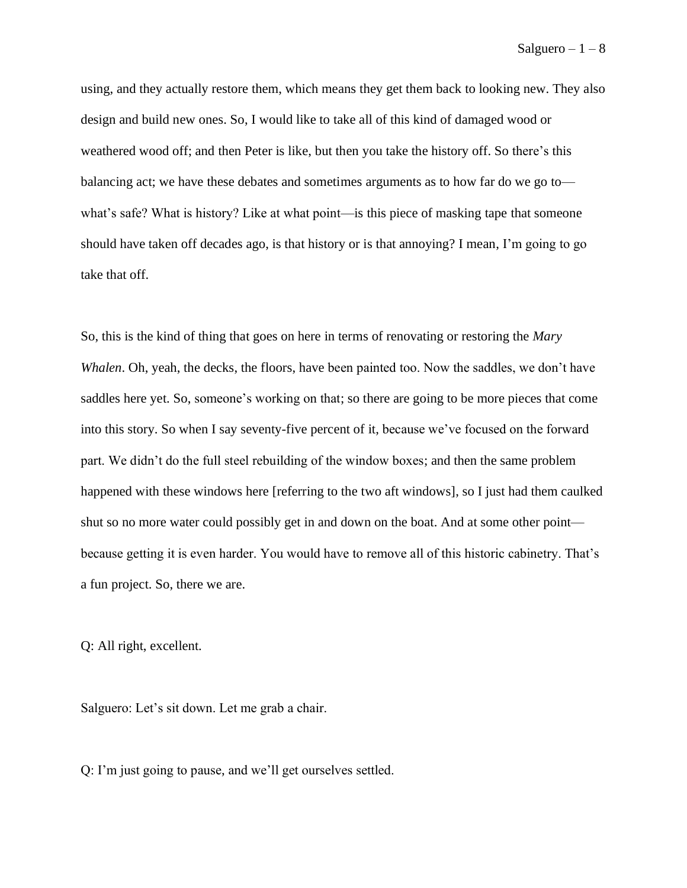using, and they actually restore them, which means they get them back to looking new. They also design and build new ones. So, I would like to take all of this kind of damaged wood or weathered wood off; and then Peter is like, but then you take the history off. So there's this balancing act; we have these debates and sometimes arguments as to how far do we go to what's safe? What is history? Like at what point—is this piece of masking tape that someone should have taken off decades ago, is that history or is that annoying? I mean, I'm going to go take that off.

So, this is the kind of thing that goes on here in terms of renovating or restoring the *Mary Whalen*. Oh, yeah, the decks, the floors, have been painted too. Now the saddles, we don't have saddles here yet. So, someone's working on that; so there are going to be more pieces that come into this story. So when I say seventy-five percent of it, because we've focused on the forward part. We didn't do the full steel rebuilding of the window boxes; and then the same problem happened with these windows here [referring to the two aft windows], so I just had them caulked shut so no more water could possibly get in and down on the boat. And at some other point because getting it is even harder. You would have to remove all of this historic cabinetry. That's a fun project. So, there we are.

Q: All right, excellent.

Salguero: Let's sit down. Let me grab a chair.

Q: I'm just going to pause, and we'll get ourselves settled.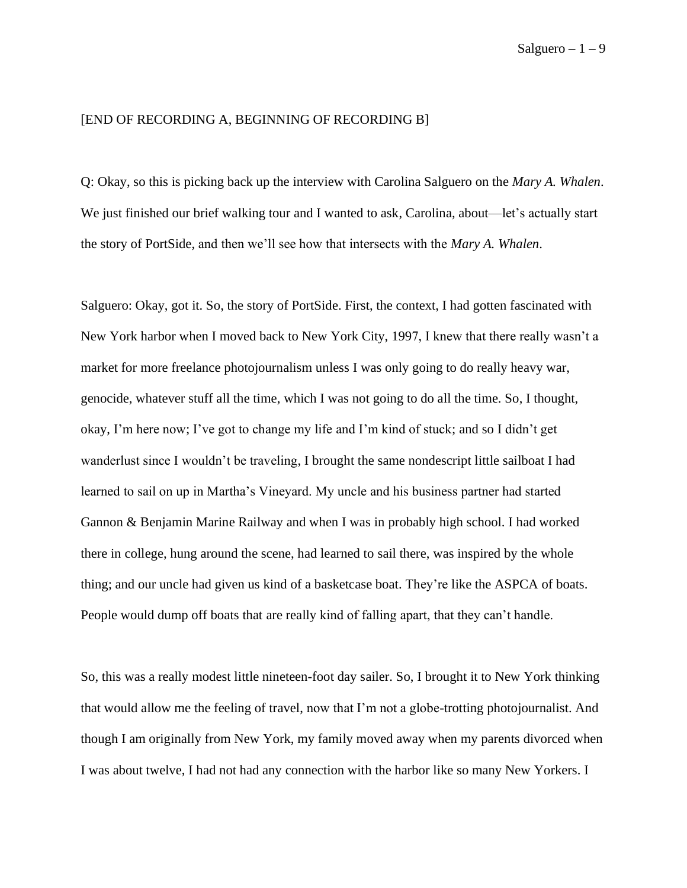## [END OF RECORDING A, BEGINNING OF RECORDING B]

Q: Okay, so this is picking back up the interview with Carolina Salguero on the *Mary A. Whalen*. We just finished our brief walking tour and I wanted to ask, Carolina, about—let's actually start the story of PortSide, and then we'll see how that intersects with the *Mary A. Whalen*.

Salguero: Okay, got it. So, the story of PortSide. First, the context, I had gotten fascinated with New York harbor when I moved back to New York City, 1997, I knew that there really wasn't a market for more freelance photojournalism unless I was only going to do really heavy war, genocide, whatever stuff all the time, which I was not going to do all the time. So, I thought, okay, I'm here now; I've got to change my life and I'm kind of stuck; and so I didn't get wanderlust since I wouldn't be traveling, I brought the same nondescript little sailboat I had learned to sail on up in Martha's Vineyard. My uncle and his business partner had started Gannon & Benjamin Marine Railway and when I was in probably high school. I had worked there in college, hung around the scene, had learned to sail there, was inspired by the whole thing; and our uncle had given us kind of a basketcase boat. They're like the ASPCA of boats. People would dump off boats that are really kind of falling apart, that they can't handle.

So, this was a really modest little nineteen-foot day sailer. So, I brought it to New York thinking that would allow me the feeling of travel, now that I'm not a globe-trotting photojournalist. And though I am originally from New York, my family moved away when my parents divorced when I was about twelve, I had not had any connection with the harbor like so many New Yorkers. I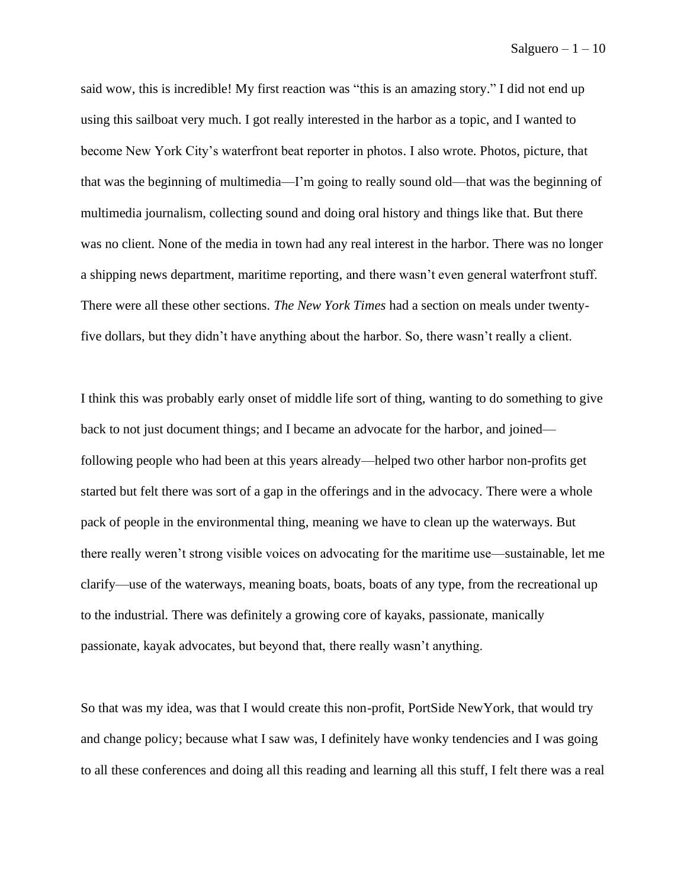said wow, this is incredible! My first reaction was "this is an amazing story." I did not end up using this sailboat very much. I got really interested in the harbor as a topic, and I wanted to become New York City's waterfront beat reporter in photos. I also wrote. Photos, picture, that that was the beginning of multimedia—I'm going to really sound old––that was the beginning of multimedia journalism, collecting sound and doing oral history and things like that. But there was no client. None of the media in town had any real interest in the harbor. There was no longer a shipping news department, maritime reporting, and there wasn't even general waterfront stuff. There were all these other sections. *The New York Times* had a section on meals under twentyfive dollars, but they didn't have anything about the harbor. So, there wasn't really a client.

I think this was probably early onset of middle life sort of thing, wanting to do something to give back to not just document things; and I became an advocate for the harbor, and joined following people who had been at this years already––helped two other harbor non-profits get started but felt there was sort of a gap in the offerings and in the advocacy. There were a whole pack of people in the environmental thing, meaning we have to clean up the waterways. But there really weren't strong visible voices on advocating for the maritime use––sustainable, let me clarify––use of the waterways, meaning boats, boats, boats of any type, from the recreational up to the industrial. There was definitely a growing core of kayaks, passionate, manically passionate, kayak advocates, but beyond that, there really wasn't anything.

So that was my idea, was that I would create this non-profit, PortSide NewYork, that would try and change policy; because what I saw was, I definitely have wonky tendencies and I was going to all these conferences and doing all this reading and learning all this stuff, I felt there was a real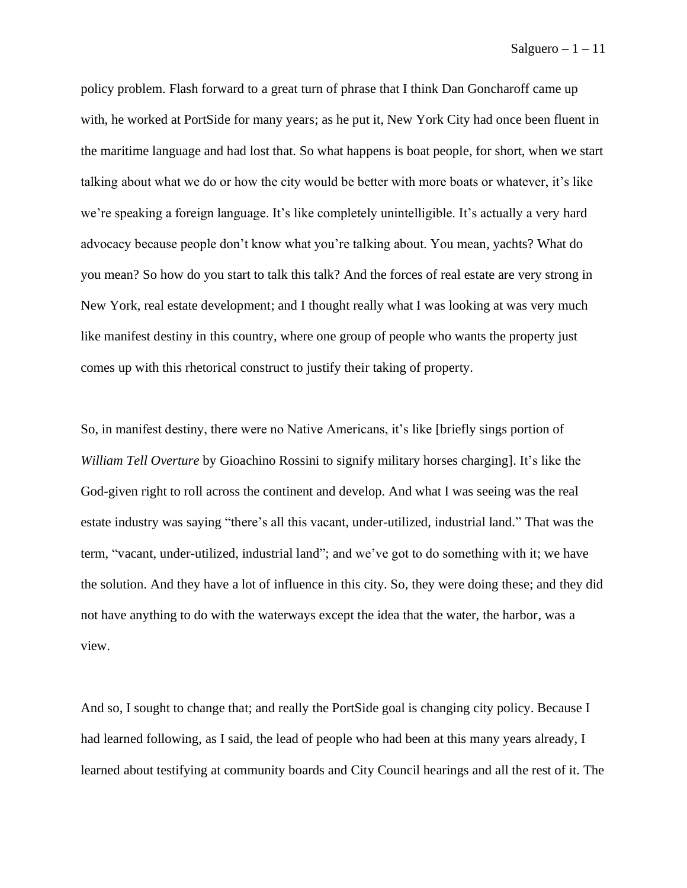policy problem. Flash forward to a great turn of phrase that I think Dan Goncharoff came up with, he worked at PortSide for many years; as he put it, New York City had once been fluent in the maritime language and had lost that. So what happens is boat people, for short, when we start talking about what we do or how the city would be better with more boats or whatever, it's like we're speaking a foreign language. It's like completely unintelligible. It's actually a very hard advocacy because people don't know what you're talking about. You mean, yachts? What do you mean? So how do you start to talk this talk? And the forces of real estate are very strong in New York, real estate development; and I thought really what I was looking at was very much like manifest destiny in this country, where one group of people who wants the property just comes up with this rhetorical construct to justify their taking of property.

So, in manifest destiny, there were no Native Americans, it's like [briefly sings portion of *William Tell Overture* by Gioachino Rossini to signify military horses charging]. It's like the God-given right to roll across the continent and develop. And what I was seeing was the real estate industry was saying "there's all this vacant, under-utilized, industrial land." That was the term, "vacant, under-utilized, industrial land"; and we've got to do something with it; we have the solution. And they have a lot of influence in this city. So, they were doing these; and they did not have anything to do with the waterways except the idea that the water, the harbor, was a view.

And so, I sought to change that; and really the PortSide goal is changing city policy. Because I had learned following, as I said, the lead of people who had been at this many years already, I learned about testifying at community boards and City Council hearings and all the rest of it. The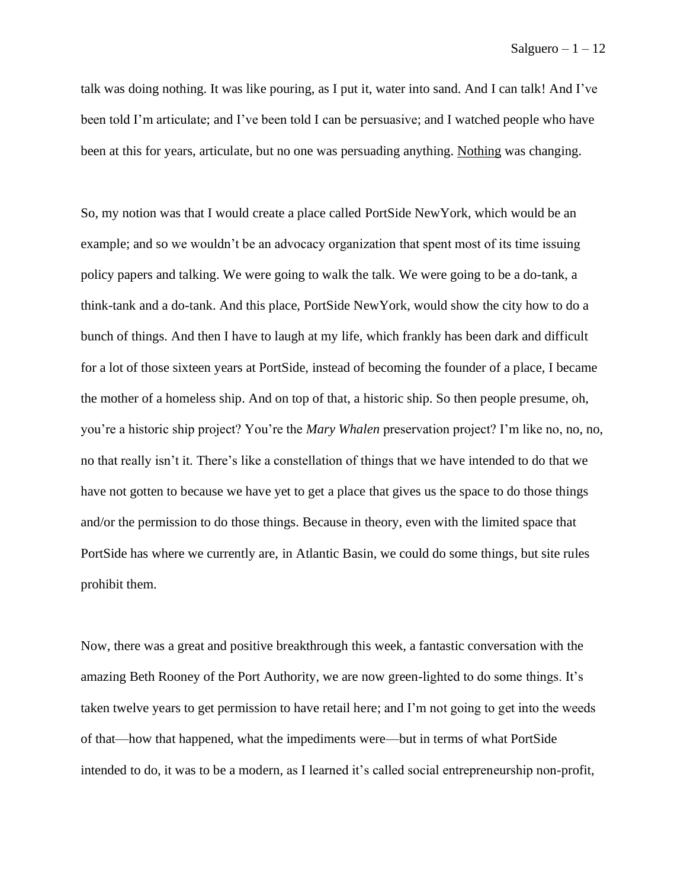talk was doing nothing. It was like pouring, as I put it, water into sand. And I can talk! And I've been told I'm articulate; and I've been told I can be persuasive; and I watched people who have been at this for years, articulate, but no one was persuading anything. Nothing was changing.

So, my notion was that I would create a place called PortSide NewYork, which would be an example; and so we wouldn't be an advocacy organization that spent most of its time issuing policy papers and talking. We were going to walk the talk. We were going to be a do-tank, a think-tank and a do-tank. And this place, PortSide NewYork, would show the city how to do a bunch of things. And then I have to laugh at my life, which frankly has been dark and difficult for a lot of those sixteen years at PortSide, instead of becoming the founder of a place, I became the mother of a homeless ship. And on top of that, a historic ship. So then people presume, oh, you're a historic ship project? You're the *Mary Whalen* preservation project? I'm like no, no, no, no that really isn't it. There's like a constellation of things that we have intended to do that we have not gotten to because we have yet to get a place that gives us the space to do those things and/or the permission to do those things. Because in theory, even with the limited space that PortSide has where we currently are, in Atlantic Basin, we could do some things, but site rules prohibit them.

Now, there was a great and positive breakthrough this week, a fantastic conversation with the amazing Beth Rooney of the Port Authority, we are now green-lighted to do some things. It's taken twelve years to get permission to have retail here; and I'm not going to get into the weeds of that––how that happened, what the impediments were––but in terms of what PortSide intended to do, it was to be a modern, as I learned it's called social entrepreneurship non-profit,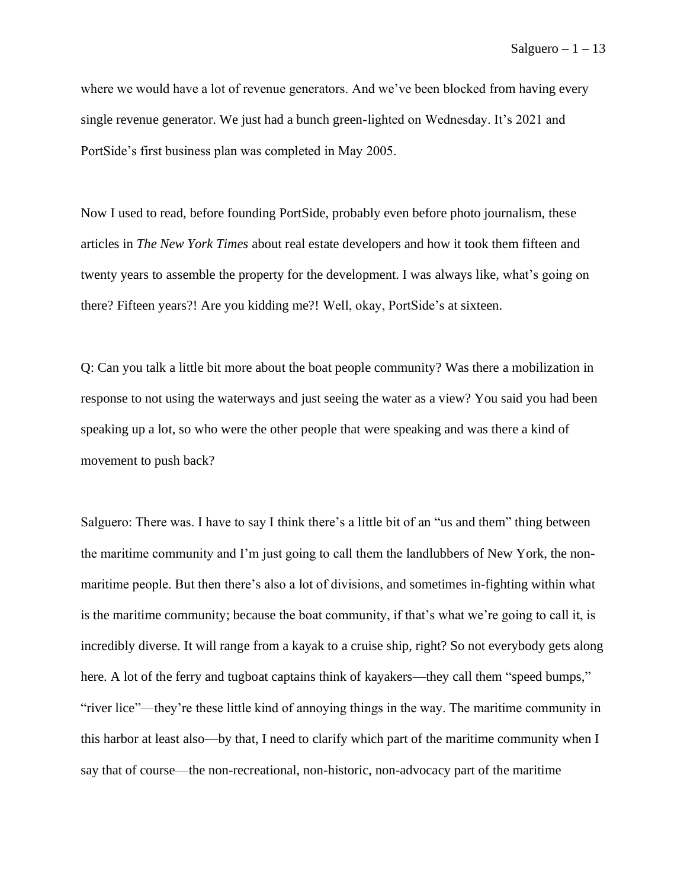where we would have a lot of revenue generators. And we've been blocked from having every single revenue generator. We just had a bunch green-lighted on Wednesday. It's 2021 and PortSide's first business plan was completed in May 2005.

Now I used to read, before founding PortSide, probably even before photo journalism, these articles in *The New York Times* about real estate developers and how it took them fifteen and twenty years to assemble the property for the development. I was always like, what's going on there? Fifteen years?! Are you kidding me?! Well, okay, PortSide's at sixteen.

Q: Can you talk a little bit more about the boat people community? Was there a mobilization in response to not using the waterways and just seeing the water as a view? You said you had been speaking up a lot, so who were the other people that were speaking and was there a kind of movement to push back?

Salguero: There was. I have to say I think there's a little bit of an "us and them" thing between the maritime community and I'm just going to call them the landlubbers of New York, the nonmaritime people. But then there's also a lot of divisions, and sometimes in-fighting within what is the maritime community; because the boat community, if that's what we're going to call it, is incredibly diverse. It will range from a kayak to a cruise ship, right? So not everybody gets along here. A lot of the ferry and tugboat captains think of kayakers—they call them "speed bumps," "river lice"––they're these little kind of annoying things in the way. The maritime community in this harbor at least also—by that, I need to clarify which part of the maritime community when I say that of course––the non-recreational, non-historic, non-advocacy part of the maritime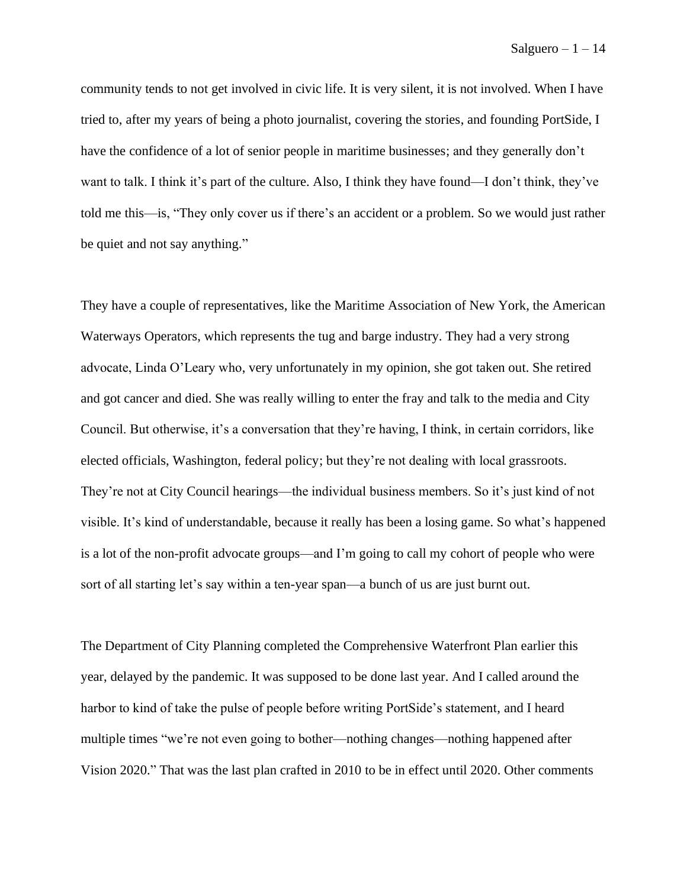community tends to not get involved in civic life. It is very silent, it is not involved. When I have tried to, after my years of being a photo journalist, covering the stories, and founding PortSide, I have the confidence of a lot of senior people in maritime businesses; and they generally don't want to talk. I think it's part of the culture. Also, I think they have found—I don't think, they've told me this––is, "They only cover us if there's an accident or a problem. So we would just rather be quiet and not say anything."

They have a couple of representatives, like the Maritime Association of New York, the American Waterways Operators, which represents the tug and barge industry. They had a very strong advocate, Linda O'Leary who, very unfortunately in my opinion, she got taken out. She retired and got cancer and died. She was really willing to enter the fray and talk to the media and City Council. But otherwise, it's a conversation that they're having, I think, in certain corridors, like elected officials, Washington, federal policy; but they're not dealing with local grassroots. They're not at City Council hearings––the individual business members. So it's just kind of not visible. It's kind of understandable, because it really has been a losing game. So what's happened is a lot of the non-profit advocate groups—and I'm going to call my cohort of people who were sort of all starting let's say within a ten-year span––a bunch of us are just burnt out.

The Department of City Planning completed the Comprehensive Waterfront Plan earlier this year, delayed by the pandemic. It was supposed to be done last year. And I called around the harbor to kind of take the pulse of people before writing PortSide's statement, and I heard multiple times "we're not even going to bother—nothing changes—nothing happened after Vision 2020." That was the last plan crafted in 2010 to be in effect until 2020. Other comments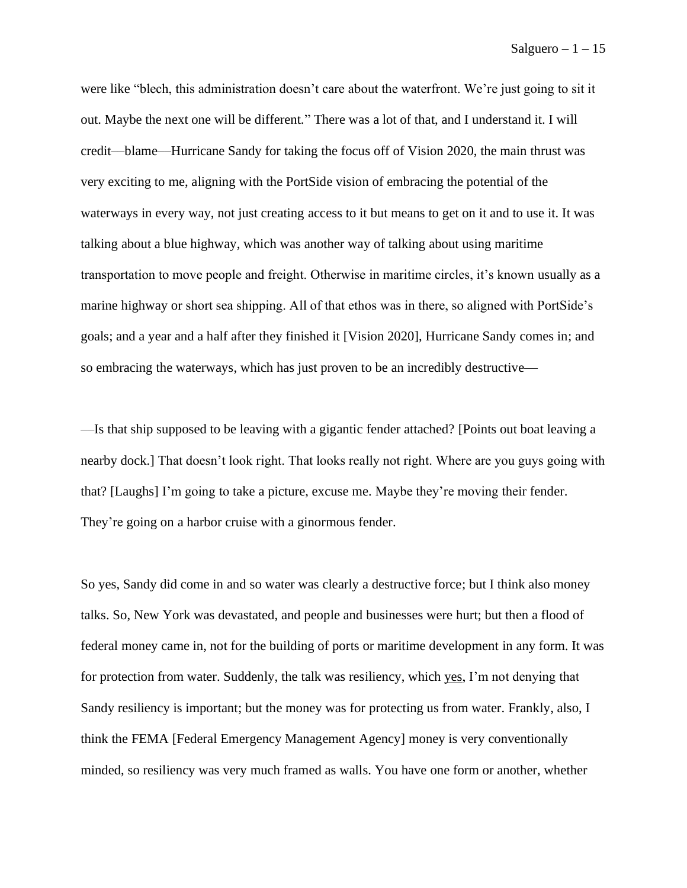were like "blech, this administration doesn't care about the waterfront. We're just going to sit it out. Maybe the next one will be different." There was a lot of that, and I understand it. I will credit––blame––Hurricane Sandy for taking the focus off of Vision 2020, the main thrust was very exciting to me, aligning with the PortSide vision of embracing the potential of the waterways in every way, not just creating access to it but means to get on it and to use it. It was talking about a blue highway, which was another way of talking about using maritime transportation to move people and freight. Otherwise in maritime circles, it's known usually as a marine highway or short sea shipping. All of that ethos was in there, so aligned with PortSide's goals; and a year and a half after they finished it [Vision 2020], Hurricane Sandy comes in; and so embracing the waterways, which has just proven to be an incredibly destructive—

––Is that ship supposed to be leaving with a gigantic fender attached? [Points out boat leaving a nearby dock.] That doesn't look right. That looks really not right. Where are you guys going with that? [Laughs] I'm going to take a picture, excuse me. Maybe they're moving their fender. They're going on a harbor cruise with a ginormous fender.

So yes, Sandy did come in and so water was clearly a destructive force; but I think also money talks. So, New York was devastated, and people and businesses were hurt; but then a flood of federal money came in, not for the building of ports or maritime development in any form. It was for protection from water. Suddenly, the talk was resiliency, which yes, I'm not denying that Sandy resiliency is important; but the money was for protecting us from water. Frankly, also, I think the FEMA [Federal Emergency Management Agency] money is very conventionally minded, so resiliency was very much framed as walls. You have one form or another, whether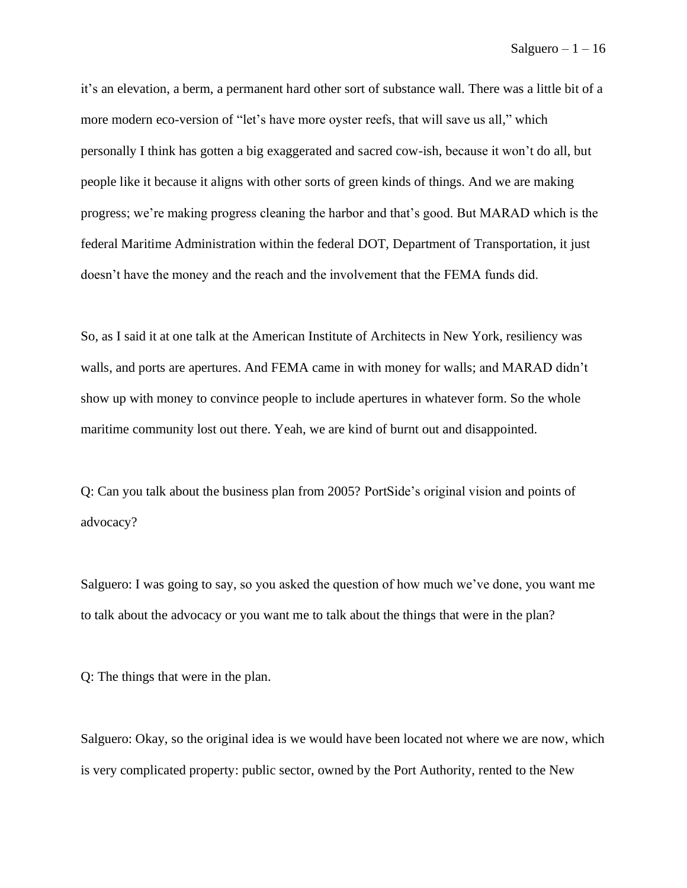it's an elevation, a berm, a permanent hard other sort of substance wall. There was a little bit of a more modern eco-version of "let's have more oyster reefs, that will save us all," which personally I think has gotten a big exaggerated and sacred cow-ish, because it won't do all, but people like it because it aligns with other sorts of green kinds of things. And we are making progress; we're making progress cleaning the harbor and that's good. But MARAD which is the federal Maritime Administration within the federal DOT, Department of Transportation, it just doesn't have the money and the reach and the involvement that the FEMA funds did.

So, as I said it at one talk at the American Institute of Architects in New York, resiliency was walls, and ports are apertures. And FEMA came in with money for walls; and MARAD didn't show up with money to convince people to include apertures in whatever form. So the whole maritime community lost out there. Yeah, we are kind of burnt out and disappointed.

Q: Can you talk about the business plan from 2005? PortSide's original vision and points of advocacy?

Salguero: I was going to say, so you asked the question of how much we've done, you want me to talk about the advocacy or you want me to talk about the things that were in the plan?

Q: The things that were in the plan.

Salguero: Okay, so the original idea is we would have been located not where we are now, which is very complicated property: public sector, owned by the Port Authority, rented to the New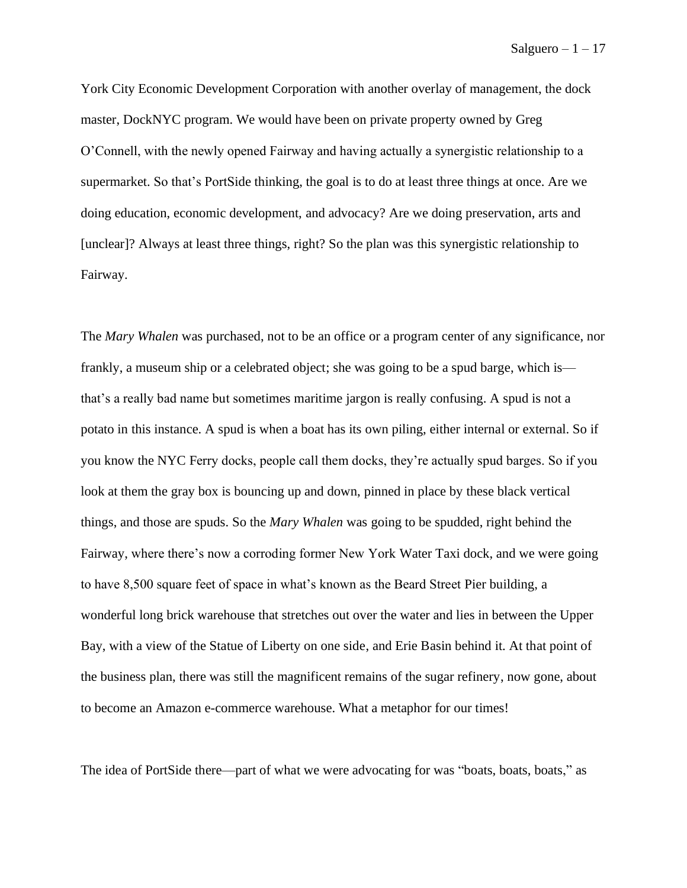York City Economic Development Corporation with another overlay of management, the dock master, DockNYC program. We would have been on private property owned by Greg O'Connell, with the newly opened Fairway and having actually a synergistic relationship to a supermarket. So that's PortSide thinking, the goal is to do at least three things at once. Are we doing education, economic development, and advocacy? Are we doing preservation, arts and [unclear]? Always at least three things, right? So the plan was this synergistic relationship to Fairway.

The *Mary Whalen* was purchased, not to be an office or a program center of any significance, nor frankly, a museum ship or a celebrated object; she was going to be a spud barge, which is that's a really bad name but sometimes maritime jargon is really confusing. A spud is not a potato in this instance. A spud is when a boat has its own piling, either internal or external. So if you know the NYC Ferry docks, people call them docks, they're actually spud barges. So if you look at them the gray box is bouncing up and down, pinned in place by these black vertical things, and those are spuds. So the *Mary Whalen* was going to be spudded, right behind the Fairway, where there's now a corroding former New York Water Taxi dock, and we were going to have 8,500 square feet of space in what's known as the Beard Street Pier building, a wonderful long brick warehouse that stretches out over the water and lies in between the Upper Bay, with a view of the Statue of Liberty on one side, and Erie Basin behind it. At that point of the business plan, there was still the magnificent remains of the sugar refinery, now gone, about to become an Amazon e-commerce warehouse. What a metaphor for our times!

The idea of PortSide there—part of what we were advocating for was "boats, boats, boats," as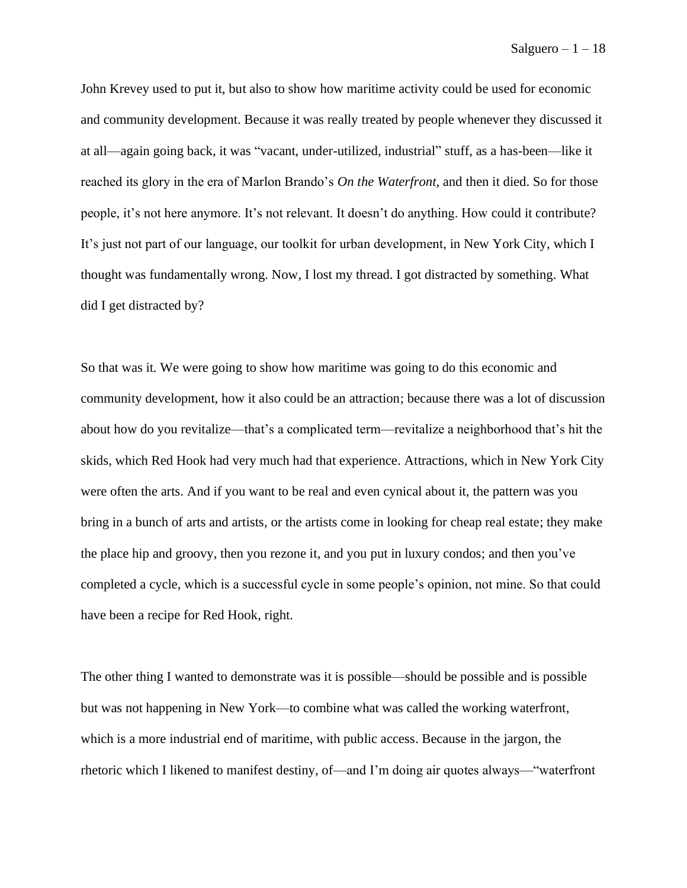John Krevey used to put it, but also to show how maritime activity could be used for economic and community development. Because it was really treated by people whenever they discussed it at all—again going back, it was "vacant, under-utilized, industrial" stuff, as a has-been––like it reached its glory in the era of Marlon Brando's *On the Waterfront,* and then it died. So for those people, it's not here anymore. It's not relevant. It doesn't do anything. How could it contribute? It's just not part of our language, our toolkit for urban development, in New York City, which I thought was fundamentally wrong. Now, I lost my thread. I got distracted by something. What did I get distracted by?

So that was it. We were going to show how maritime was going to do this economic and community development, how it also could be an attraction; because there was a lot of discussion about how do you revitalize—that's a complicated term—revitalize a neighborhood that's hit the skids, which Red Hook had very much had that experience. Attractions, which in New York City were often the arts. And if you want to be real and even cynical about it, the pattern was you bring in a bunch of arts and artists, or the artists come in looking for cheap real estate; they make the place hip and groovy, then you rezone it, and you put in luxury condos; and then you've completed a cycle, which is a successful cycle in some people's opinion, not mine. So that could have been a recipe for Red Hook, right.

The other thing I wanted to demonstrate was it is possible––should be possible and is possible but was not happening in New York––to combine what was called the working waterfront, which is a more industrial end of maritime, with public access. Because in the jargon, the rhetoric which I likened to manifest destiny, of—and I'm doing air quotes always—"waterfront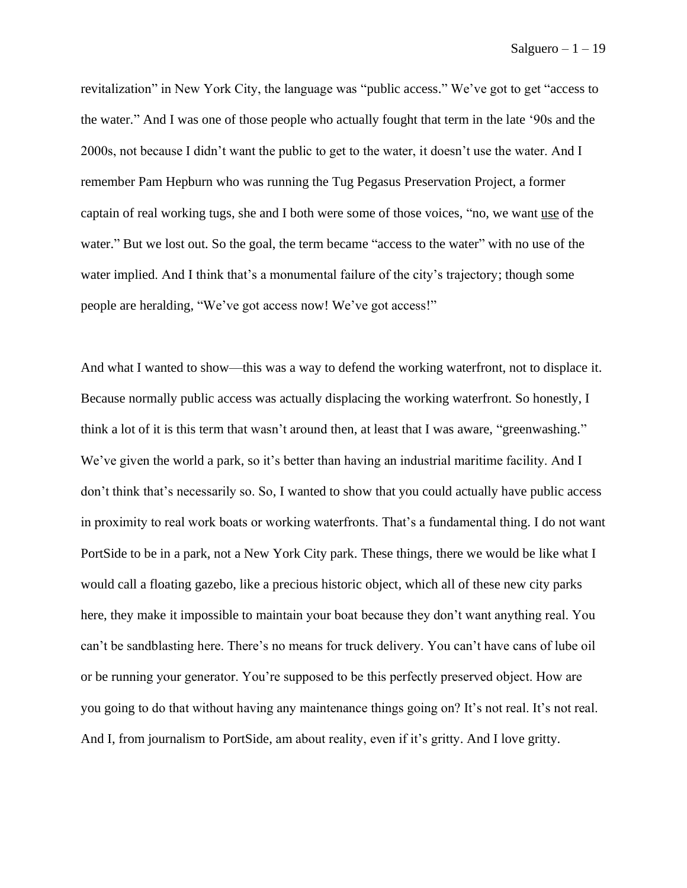revitalization" in New York City, the language was "public access." We've got to get "access to the water." And I was one of those people who actually fought that term in the late '90s and the 2000s, not because I didn't want the public to get to the water, it doesn't use the water. And I remember Pam Hepburn who was running the Tug Pegasus Preservation Project, a former captain of real working tugs, she and I both were some of those voices, "no, we want use of the water." But we lost out. So the goal, the term became "access to the water" with no use of the water implied. And I think that's a monumental failure of the city's trajectory; though some people are heralding, "We've got access now! We've got access!"

And what I wanted to show––this was a way to defend the working waterfront, not to displace it. Because normally public access was actually displacing the working waterfront. So honestly, I think a lot of it is this term that wasn't around then, at least that I was aware, "greenwashing." We've given the world a park, so it's better than having an industrial maritime facility. And I don't think that's necessarily so. So, I wanted to show that you could actually have public access in proximity to real work boats or working waterfronts. That's a fundamental thing. I do not want PortSide to be in a park, not a New York City park. These things, there we would be like what I would call a floating gazebo, like a precious historic object, which all of these new city parks here, they make it impossible to maintain your boat because they don't want anything real. You can't be sandblasting here. There's no means for truck delivery. You can't have cans of lube oil or be running your generator. You're supposed to be this perfectly preserved object. How are you going to do that without having any maintenance things going on? It's not real. It's not real. And I, from journalism to PortSide, am about reality, even if it's gritty. And I love gritty.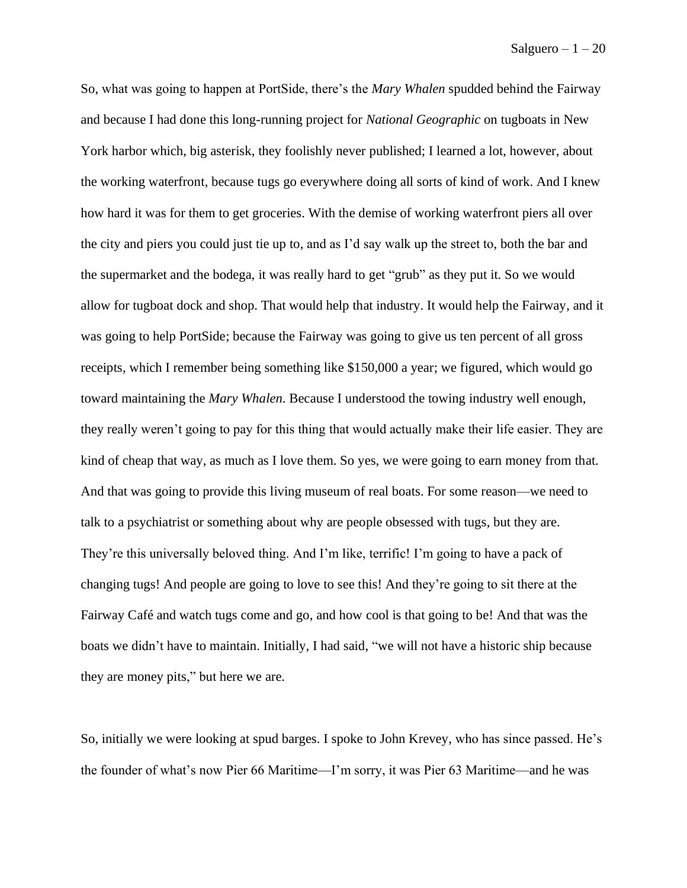So, what was going to happen at PortSide, there's the *Mary Whalen* spudded behind the Fairway and because I had done this long-running project for *National Geographic* on tugboats in New York harbor which, big asterisk, they foolishly never published; I learned a lot, however, about the working waterfront, because tugs go everywhere doing all sorts of kind of work. And I knew how hard it was for them to get groceries. With the demise of working waterfront piers all over the city and piers you could just tie up to, and as I'd say walk up the street to, both the bar and the supermarket and the bodega, it was really hard to get "grub" as they put it. So we would allow for tugboat dock and shop. That would help that industry. It would help the Fairway, and it was going to help PortSide; because the Fairway was going to give us ten percent of all gross receipts, which I remember being something like \$150,000 a year; we figured, which would go toward maintaining the *Mary Whalen*. Because I understood the towing industry well enough, they really weren't going to pay for this thing that would actually make their life easier. They are kind of cheap that way, as much as I love them. So yes, we were going to earn money from that. And that was going to provide this living museum of real boats. For some reason––we need to talk to a psychiatrist or something about why are people obsessed with tugs, but they are. They're this universally beloved thing. And I'm like, terrific! I'm going to have a pack of changing tugs! And people are going to love to see this! And they're going to sit there at the Fairway Café and watch tugs come and go, and how cool is that going to be! And that was the boats we didn't have to maintain. Initially, I had said, "we will not have a historic ship because they are money pits," but here we are.

So, initially we were looking at spud barges. I spoke to John Krevey, who has since passed. He's the founder of what's now Pier 66 Maritime—I'm sorry, it was Pier 63 Maritime––and he was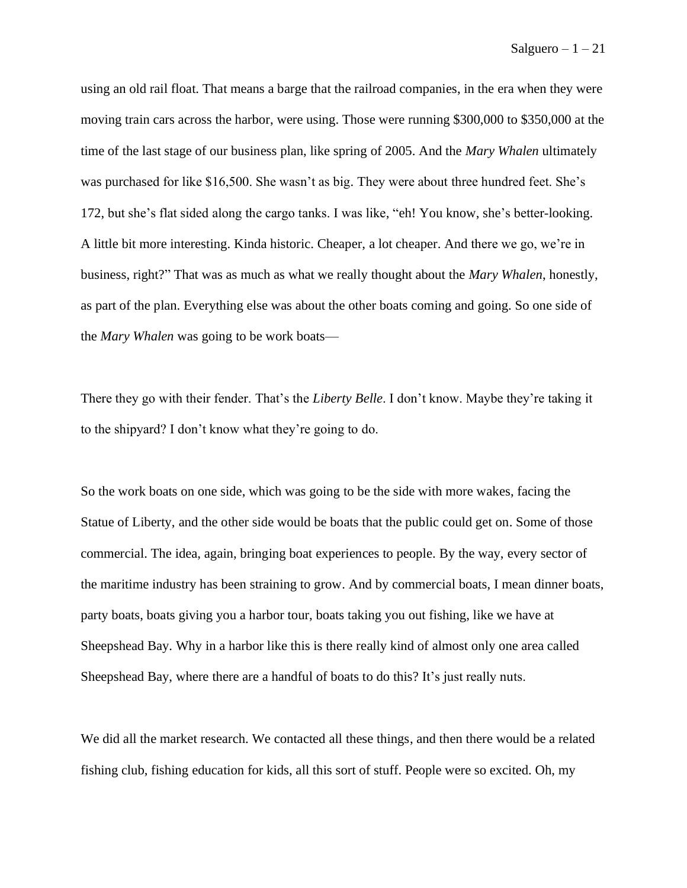using an old rail float. That means a barge that the railroad companies, in the era when they were moving train cars across the harbor, were using. Those were running \$300,000 to \$350,000 at the time of the last stage of our business plan, like spring of 2005. And the *Mary Whalen* ultimately was purchased for like \$16,500. She wasn't as big. They were about three hundred feet. She's 172, but she's flat sided along the cargo tanks. I was like, "eh! You know, she's better-looking. A little bit more interesting. Kinda historic. Cheaper, a lot cheaper. And there we go, we're in business, right?" That was as much as what we really thought about the *Mary Whalen*, honestly, as part of the plan. Everything else was about the other boats coming and going. So one side of the *Mary Whalen* was going to be work boats—

There they go with their fender. That's the *Liberty Belle*. I don't know. Maybe they're taking it to the shipyard? I don't know what they're going to do.

So the work boats on one side, which was going to be the side with more wakes, facing the Statue of Liberty, and the other side would be boats that the public could get on. Some of those commercial. The idea, again, bringing boat experiences to people. By the way, every sector of the maritime industry has been straining to grow. And by commercial boats, I mean dinner boats, party boats, boats giving you a harbor tour, boats taking you out fishing, like we have at Sheepshead Bay. Why in a harbor like this is there really kind of almost only one area called Sheepshead Bay, where there are a handful of boats to do this? It's just really nuts.

We did all the market research. We contacted all these things, and then there would be a related fishing club, fishing education for kids, all this sort of stuff. People were so excited. Oh, my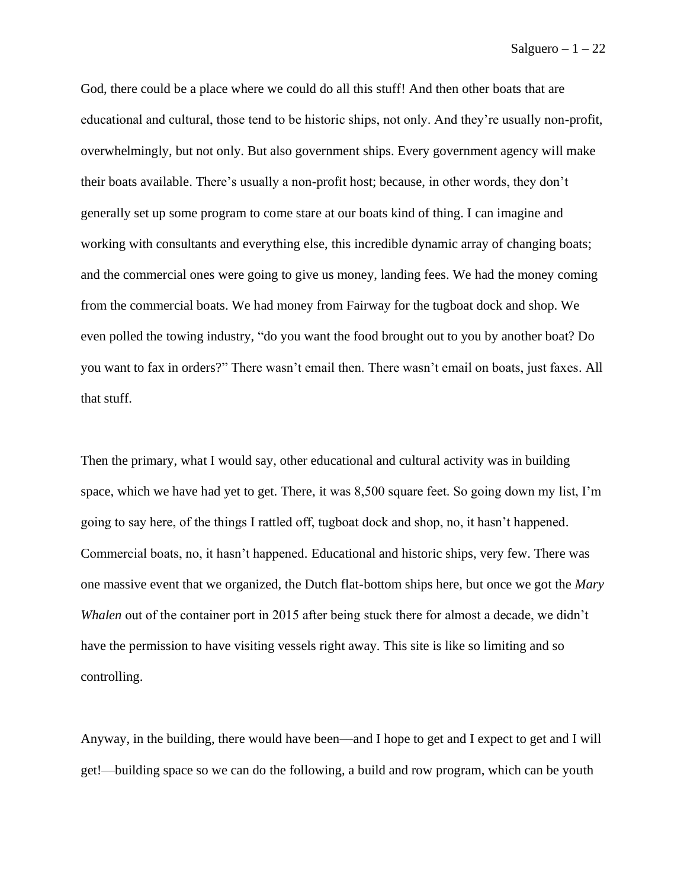God, there could be a place where we could do all this stuff! And then other boats that are educational and cultural, those tend to be historic ships, not only. And they're usually non-profit, overwhelmingly, but not only. But also government ships. Every government agency will make their boats available. There's usually a non-profit host; because, in other words, they don't generally set up some program to come stare at our boats kind of thing. I can imagine and working with consultants and everything else, this incredible dynamic array of changing boats; and the commercial ones were going to give us money, landing fees. We had the money coming from the commercial boats. We had money from Fairway for the tugboat dock and shop. We even polled the towing industry, "do you want the food brought out to you by another boat? Do you want to fax in orders?" There wasn't email then. There wasn't email on boats, just faxes. All that stuff.

Then the primary, what I would say, other educational and cultural activity was in building space, which we have had yet to get. There, it was 8,500 square feet. So going down my list, I'm going to say here, of the things I rattled off, tugboat dock and shop, no, it hasn't happened. Commercial boats, no, it hasn't happened. Educational and historic ships, very few. There was one massive event that we organized, the Dutch flat-bottom ships here, but once we got the *Mary Whalen* out of the container port in 2015 after being stuck there for almost a decade, we didn't have the permission to have visiting vessels right away. This site is like so limiting and so controlling.

Anyway, in the building, there would have been––and I hope to get and I expect to get and I will get!––building space so we can do the following, a build and row program, which can be youth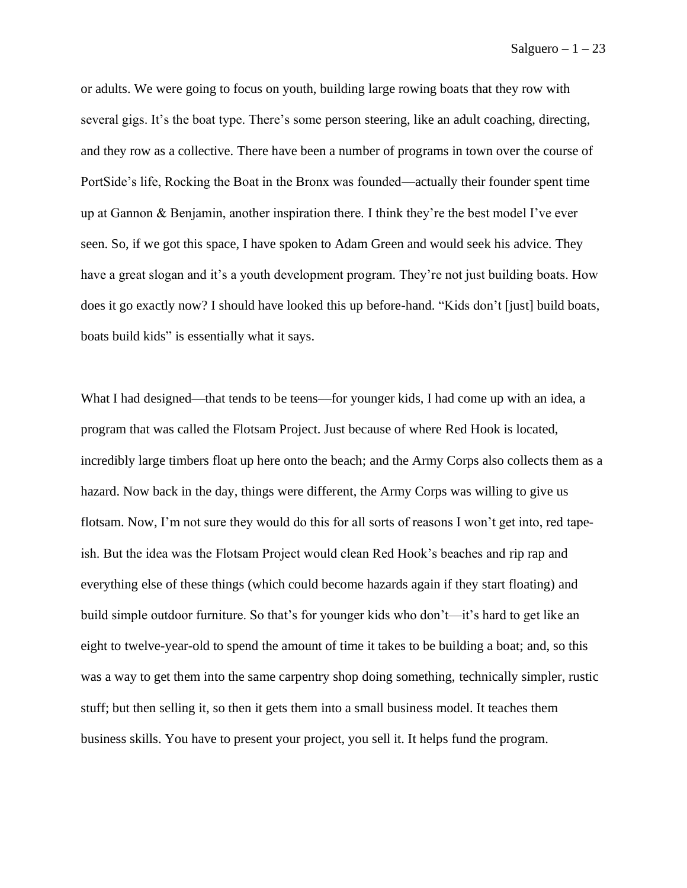or adults. We were going to focus on youth, building large rowing boats that they row with several gigs. It's the boat type. There's some person steering, like an adult coaching, directing, and they row as a collective. There have been a number of programs in town over the course of PortSide's life, Rocking the Boat in the Bronx was founded—actually their founder spent time up at Gannon & Benjamin, another inspiration there. I think they're the best model I've ever seen. So, if we got this space, I have spoken to Adam Green and would seek his advice. They have a great slogan and it's a youth development program. They're not just building boats. How does it go exactly now? I should have looked this up before-hand. "Kids don't [just] build boats, boats build kids" is essentially what it says.

What I had designed—that tends to be teens—for younger kids, I had come up with an idea, a program that was called the Flotsam Project. Just because of where Red Hook is located, incredibly large timbers float up here onto the beach; and the Army Corps also collects them as a hazard. Now back in the day, things were different, the Army Corps was willing to give us flotsam. Now, I'm not sure they would do this for all sorts of reasons I won't get into, red tapeish. But the idea was the Flotsam Project would clean Red Hook's beaches and rip rap and everything else of these things (which could become hazards again if they start floating) and build simple outdoor furniture. So that's for younger kids who don't—it's hard to get like an eight to twelve-year-old to spend the amount of time it takes to be building a boat; and, so this was a way to get them into the same carpentry shop doing something, technically simpler, rustic stuff; but then selling it, so then it gets them into a small business model. It teaches them business skills. You have to present your project, you sell it. It helps fund the program.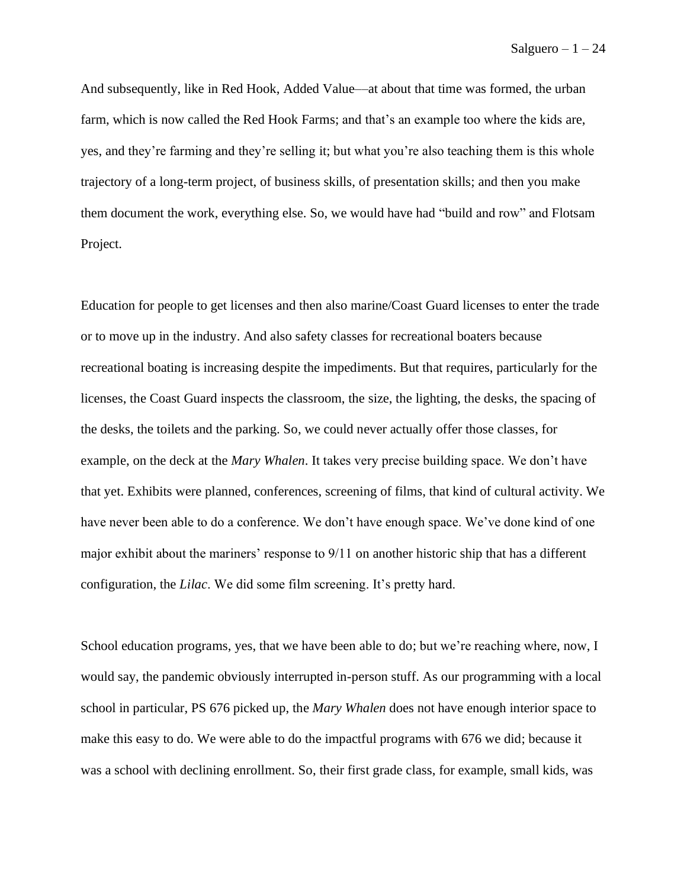And subsequently, like in Red Hook, Added Value––at about that time was formed, the urban farm, which is now called the Red Hook Farms; and that's an example too where the kids are, yes, and they're farming and they're selling it; but what you're also teaching them is this whole trajectory of a long-term project, of business skills, of presentation skills; and then you make them document the work, everything else. So, we would have had "build and row" and Flotsam Project.

Education for people to get licenses and then also marine/Coast Guard licenses to enter the trade or to move up in the industry. And also safety classes for recreational boaters because recreational boating is increasing despite the impediments. But that requires, particularly for the licenses, the Coast Guard inspects the classroom, the size, the lighting, the desks, the spacing of the desks, the toilets and the parking. So, we could never actually offer those classes, for example, on the deck at the *Mary Whalen*. It takes very precise building space. We don't have that yet. Exhibits were planned, conferences, screening of films, that kind of cultural activity. We have never been able to do a conference. We don't have enough space. We've done kind of one major exhibit about the mariners' response to 9/11 on another historic ship that has a different configuration, the *Lilac*. We did some film screening. It's pretty hard.

School education programs, yes, that we have been able to do; but we're reaching where, now, I would say, the pandemic obviously interrupted in-person stuff. As our programming with a local school in particular, PS 676 picked up, the *Mary Whalen* does not have enough interior space to make this easy to do. We were able to do the impactful programs with 676 we did; because it was a school with declining enrollment. So, their first grade class, for example, small kids, was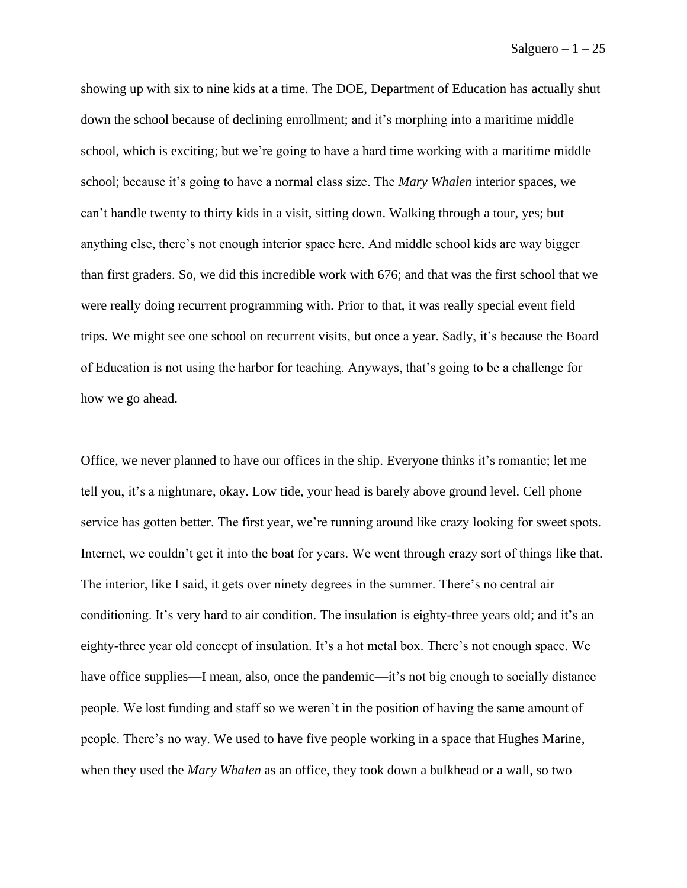showing up with six to nine kids at a time. The DOE, Department of Education has actually shut down the school because of declining enrollment; and it's morphing into a maritime middle school, which is exciting; but we're going to have a hard time working with a maritime middle school; because it's going to have a normal class size. The *Mary Whalen* interior spaces, we can't handle twenty to thirty kids in a visit, sitting down. Walking through a tour, yes; but anything else, there's not enough interior space here. And middle school kids are way bigger than first graders. So, we did this incredible work with 676; and that was the first school that we were really doing recurrent programming with. Prior to that, it was really special event field trips. We might see one school on recurrent visits, but once a year. Sadly, it's because the Board of Education is not using the harbor for teaching. Anyways, that's going to be a challenge for how we go ahead.

Office, we never planned to have our offices in the ship. Everyone thinks it's romantic; let me tell you, it's a nightmare, okay. Low tide, your head is barely above ground level. Cell phone service has gotten better. The first year, we're running around like crazy looking for sweet spots. Internet, we couldn't get it into the boat for years. We went through crazy sort of things like that. The interior, like I said, it gets over ninety degrees in the summer. There's no central air conditioning. It's very hard to air condition. The insulation is eighty-three years old; and it's an eighty-three year old concept of insulation. It's a hot metal box. There's not enough space. We have office supplies—I mean, also, once the pandemic—it's not big enough to socially distance people. We lost funding and staff so we weren't in the position of having the same amount of people. There's no way. We used to have five people working in a space that Hughes Marine, when they used the *Mary Whalen* as an office, they took down a bulkhead or a wall, so two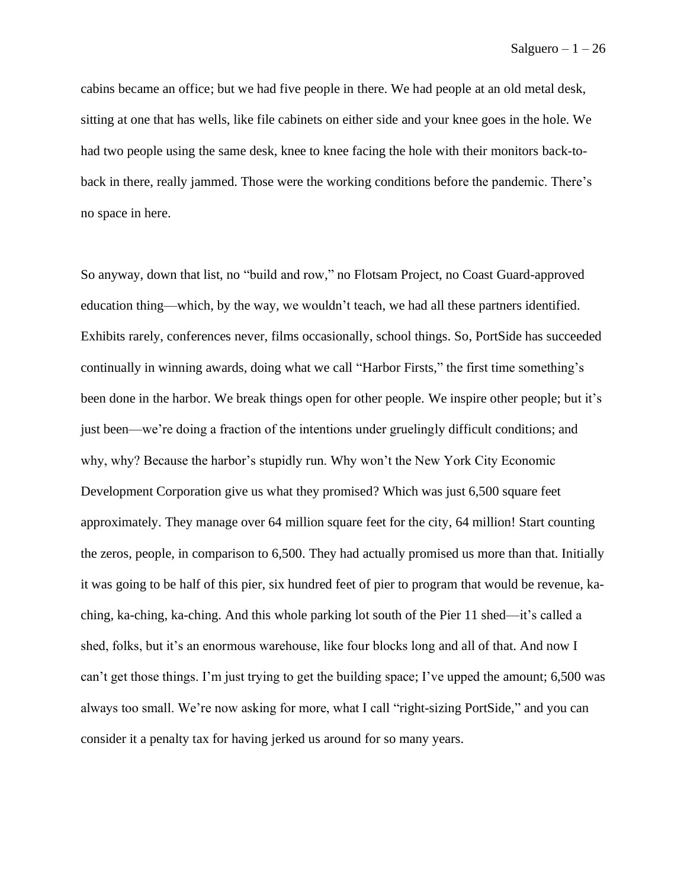cabins became an office; but we had five people in there. We had people at an old metal desk, sitting at one that has wells, like file cabinets on either side and your knee goes in the hole. We had two people using the same desk, knee to knee facing the hole with their monitors back-toback in there, really jammed. Those were the working conditions before the pandemic. There's no space in here.

So anyway, down that list, no "build and row," no Flotsam Project, no Coast Guard-approved education thing––which, by the way, we wouldn't teach, we had all these partners identified. Exhibits rarely, conferences never, films occasionally, school things. So, PortSide has succeeded continually in winning awards, doing what we call "Harbor Firsts," the first time something's been done in the harbor. We break things open for other people. We inspire other people; but it's just been—we're doing a fraction of the intentions under gruelingly difficult conditions; and why, why? Because the harbor's stupidly run. Why won't the New York City Economic Development Corporation give us what they promised? Which was just 6,500 square feet approximately. They manage over 64 million square feet for the city, 64 million! Start counting the zeros, people, in comparison to 6,500. They had actually promised us more than that. Initially it was going to be half of this pier, six hundred feet of pier to program that would be revenue, kaching, ka-ching, ka-ching. And this whole parking lot south of the Pier 11 shed––it's called a shed, folks, but it's an enormous warehouse, like four blocks long and all of that. And now I can't get those things. I'm just trying to get the building space; I've upped the amount; 6,500 was always too small. We're now asking for more, what I call "right-sizing PortSide," and you can consider it a penalty tax for having jerked us around for so many years.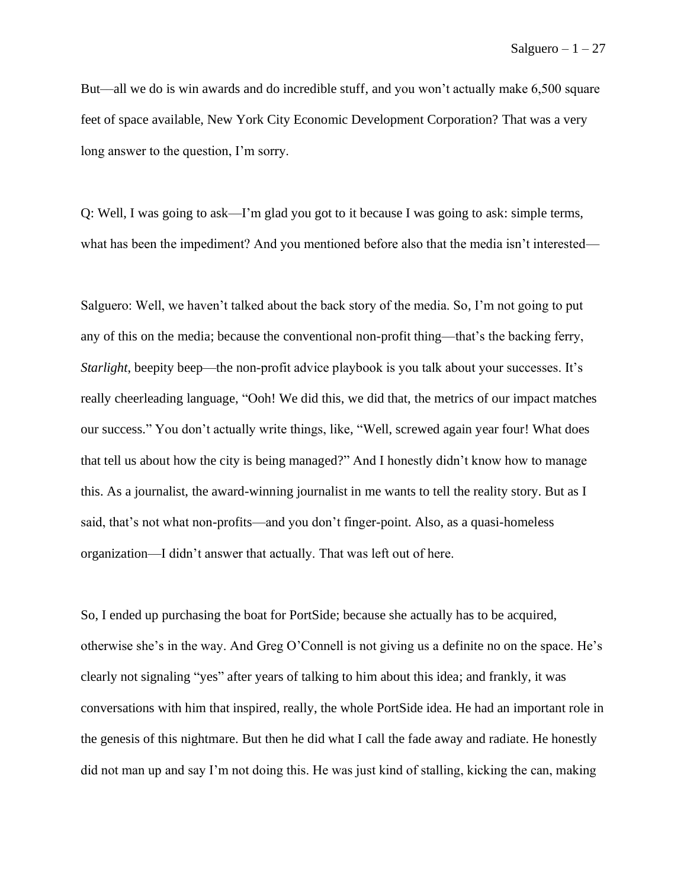But––all we do is win awards and do incredible stuff, and you won't actually make 6,500 square feet of space available, New York City Economic Development Corporation? That was a very long answer to the question, I'm sorry.

Q: Well, I was going to ask—I'm glad you got to it because I was going to ask: simple terms, what has been the impediment? And you mentioned before also that the media isn't interested—

Salguero: Well, we haven't talked about the back story of the media. So, I'm not going to put any of this on the media; because the conventional non-profit thing—that's the backing ferry, *Starlight*, beepity beep—the non-profit advice playbook is you talk about your successes. It's really cheerleading language, "Ooh! We did this, we did that, the metrics of our impact matches our success." You don't actually write things, like, "Well, screwed again year four! What does that tell us about how the city is being managed?" And I honestly didn't know how to manage this. As a journalist, the award-winning journalist in me wants to tell the reality story. But as I said, that's not what non-profits—and you don't finger-point. Also, as a quasi-homeless organization—I didn't answer that actually. That was left out of here.

So, I ended up purchasing the boat for PortSide; because she actually has to be acquired, otherwise she's in the way. And Greg O'Connell is not giving us a definite no on the space. He's clearly not signaling "yes" after years of talking to him about this idea; and frankly, it was conversations with him that inspired, really, the whole PortSide idea. He had an important role in the genesis of this nightmare. But then he did what I call the fade away and radiate. He honestly did not man up and say I'm not doing this. He was just kind of stalling, kicking the can, making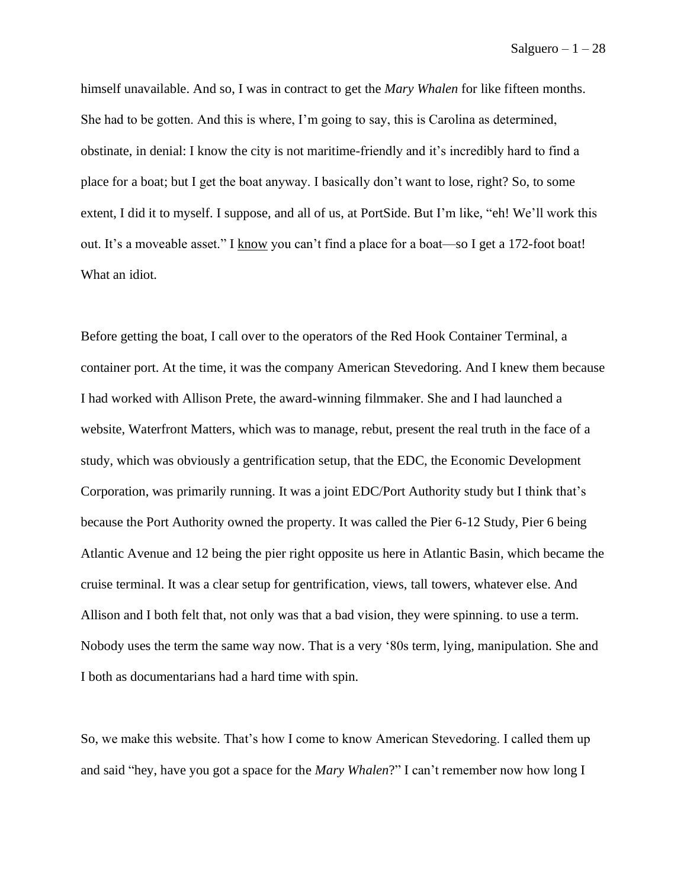himself unavailable. And so, I was in contract to get the *Mary Whalen* for like fifteen months. She had to be gotten. And this is where, I'm going to say, this is Carolina as determined, obstinate, in denial: I know the city is not maritime-friendly and it's incredibly hard to find a place for a boat; but I get the boat anyway. I basically don't want to lose, right? So, to some extent, I did it to myself. I suppose, and all of us, at PortSide. But I'm like, "eh! We'll work this out. It's a moveable asset." I know you can't find a place for a boat––so I get a 172-foot boat! What an idiot.

Before getting the boat, I call over to the operators of the Red Hook Container Terminal, a container port. At the time, it was the company American Stevedoring. And I knew them because I had worked with Allison Prete, the award-winning filmmaker. She and I had launched a website, Waterfront Matters, which was to manage, rebut, present the real truth in the face of a study, which was obviously a gentrification setup, that the EDC, the Economic Development Corporation, was primarily running. It was a joint EDC/Port Authority study but I think that's because the Port Authority owned the property. It was called the Pier 6-12 Study, Pier 6 being Atlantic Avenue and 12 being the pier right opposite us here in Atlantic Basin, which became the cruise terminal. It was a clear setup for gentrification, views, tall towers, whatever else. And Allison and I both felt that, not only was that a bad vision, they were spinning. to use a term. Nobody uses the term the same way now. That is a very '80s term, lying, manipulation. She and I both as documentarians had a hard time with spin.

So, we make this website. That's how I come to know American Stevedoring. I called them up and said "hey, have you got a space for the *Mary Whalen*?" I can't remember now how long I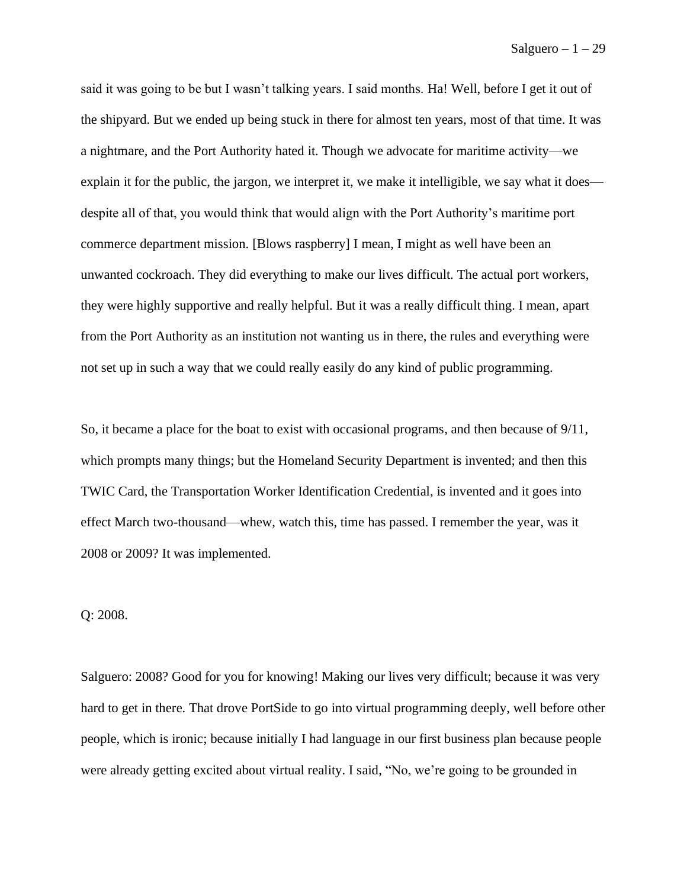said it was going to be but I wasn't talking years. I said months. Ha! Well, before I get it out of the shipyard. But we ended up being stuck in there for almost ten years, most of that time. It was a nightmare, and the Port Authority hated it. Though we advocate for maritime activity––we explain it for the public, the jargon, we interpret it, we make it intelligible, we say what it does despite all of that, you would think that would align with the Port Authority's maritime port commerce department mission. [Blows raspberry] I mean, I might as well have been an unwanted cockroach. They did everything to make our lives difficult. The actual port workers, they were highly supportive and really helpful. But it was a really difficult thing. I mean, apart from the Port Authority as an institution not wanting us in there, the rules and everything were not set up in such a way that we could really easily do any kind of public programming.

So, it became a place for the boat to exist with occasional programs, and then because of 9/11, which prompts many things; but the Homeland Security Department is invented; and then this TWIC Card, the Transportation Worker Identification Credential, is invented and it goes into effect March two-thousand—whew, watch this, time has passed. I remember the year, was it 2008 or 2009? It was implemented.

## Q: 2008.

Salguero: 2008? Good for you for knowing! Making our lives very difficult; because it was very hard to get in there. That drove PortSide to go into virtual programming deeply, well before other people, which is ironic; because initially I had language in our first business plan because people were already getting excited about virtual reality. I said, "No, we're going to be grounded in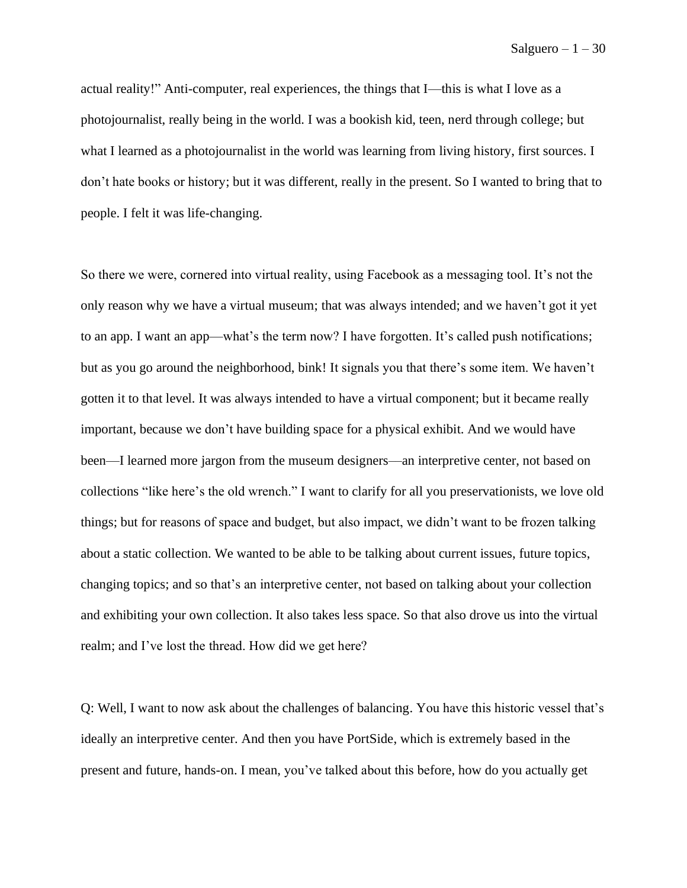actual reality!" Anti-computer, real experiences, the things that I—this is what I love as a photojournalist, really being in the world. I was a bookish kid, teen, nerd through college; but what I learned as a photojournalist in the world was learning from living history, first sources. I don't hate books or history; but it was different, really in the present. So I wanted to bring that to people. I felt it was life-changing.

So there we were, cornered into virtual reality, using Facebook as a messaging tool. It's not the only reason why we have a virtual museum; that was always intended; and we haven't got it yet to an app. I want an app—what's the term now? I have forgotten. It's called push notifications; but as you go around the neighborhood, bink! It signals you that there's some item. We haven't gotten it to that level. It was always intended to have a virtual component; but it became really important, because we don't have building space for a physical exhibit. And we would have been—I learned more jargon from the museum designers––an interpretive center, not based on collections "like here's the old wrench." I want to clarify for all you preservationists, we love old things; but for reasons of space and budget, but also impact, we didn't want to be frozen talking about a static collection. We wanted to be able to be talking about current issues, future topics, changing topics; and so that's an interpretive center, not based on talking about your collection and exhibiting your own collection. It also takes less space. So that also drove us into the virtual realm; and I've lost the thread. How did we get here?

Q: Well, I want to now ask about the challenges of balancing. You have this historic vessel that's ideally an interpretive center. And then you have PortSide, which is extremely based in the present and future, hands-on. I mean, you've talked about this before, how do you actually get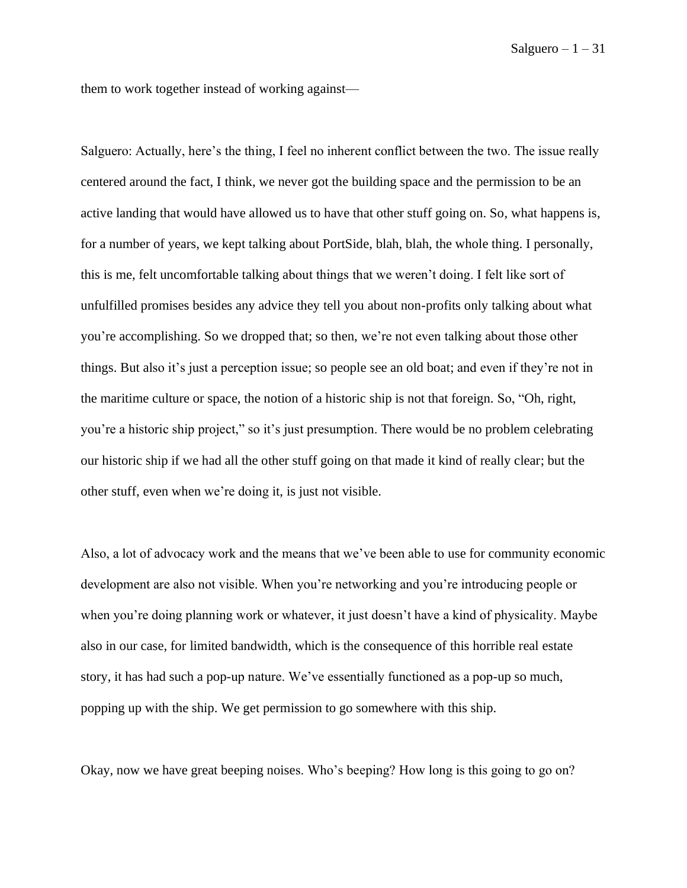them to work together instead of working against—

Salguero: Actually, here's the thing, I feel no inherent conflict between the two. The issue really centered around the fact, I think, we never got the building space and the permission to be an active landing that would have allowed us to have that other stuff going on. So, what happens is, for a number of years, we kept talking about PortSide, blah, blah, the whole thing. I personally, this is me, felt uncomfortable talking about things that we weren't doing. I felt like sort of unfulfilled promises besides any advice they tell you about non-profits only talking about what you're accomplishing. So we dropped that; so then, we're not even talking about those other things. But also it's just a perception issue; so people see an old boat; and even if they're not in the maritime culture or space, the notion of a historic ship is not that foreign. So, "Oh, right, you're a historic ship project," so it's just presumption. There would be no problem celebrating our historic ship if we had all the other stuff going on that made it kind of really clear; but the other stuff, even when we're doing it, is just not visible.

Also, a lot of advocacy work and the means that we've been able to use for community economic development are also not visible. When you're networking and you're introducing people or when you're doing planning work or whatever, it just doesn't have a kind of physicality. Maybe also in our case, for limited bandwidth, which is the consequence of this horrible real estate story, it has had such a pop-up nature. We've essentially functioned as a pop-up so much, popping up with the ship. We get permission to go somewhere with this ship.

Okay, now we have great beeping noises. Who's beeping? How long is this going to go on?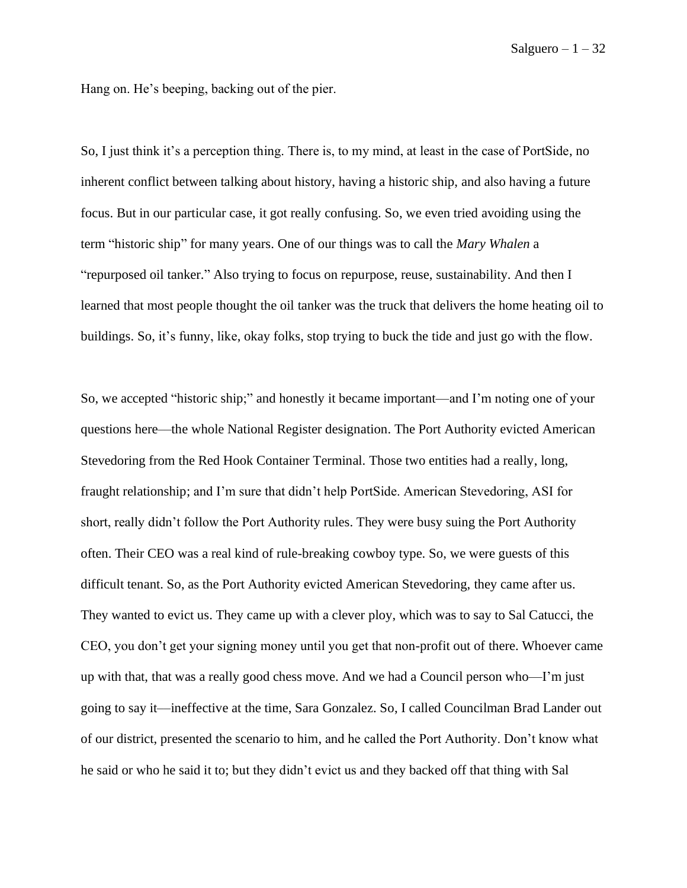Hang on. He's beeping, backing out of the pier.

So, I just think it's a perception thing. There is, to my mind, at least in the case of PortSide, no inherent conflict between talking about history, having a historic ship, and also having a future focus. But in our particular case, it got really confusing. So, we even tried avoiding using the term "historic ship" for many years. One of our things was to call the *Mary Whalen* a "repurposed oil tanker." Also trying to focus on repurpose, reuse, sustainability. And then I learned that most people thought the oil tanker was the truck that delivers the home heating oil to buildings. So, it's funny, like, okay folks, stop trying to buck the tide and just go with the flow.

So, we accepted "historic ship;" and honestly it became important—and I'm noting one of your questions here––the whole National Register designation. The Port Authority evicted American Stevedoring from the Red Hook Container Terminal. Those two entities had a really, long, fraught relationship; and I'm sure that didn't help PortSide. American Stevedoring, ASI for short, really didn't follow the Port Authority rules. They were busy suing the Port Authority often. Their CEO was a real kind of rule-breaking cowboy type. So, we were guests of this difficult tenant. So, as the Port Authority evicted American Stevedoring, they came after us. They wanted to evict us. They came up with a clever ploy, which was to say to Sal Catucci, the CEO, you don't get your signing money until you get that non-profit out of there. Whoever came up with that, that was a really good chess move. And we had a Council person who—I'm just going to say it––ineffective at the time, Sara Gonzalez. So, I called Councilman Brad Lander out of our district, presented the scenario to him, and he called the Port Authority. Don't know what he said or who he said it to; but they didn't evict us and they backed off that thing with Sal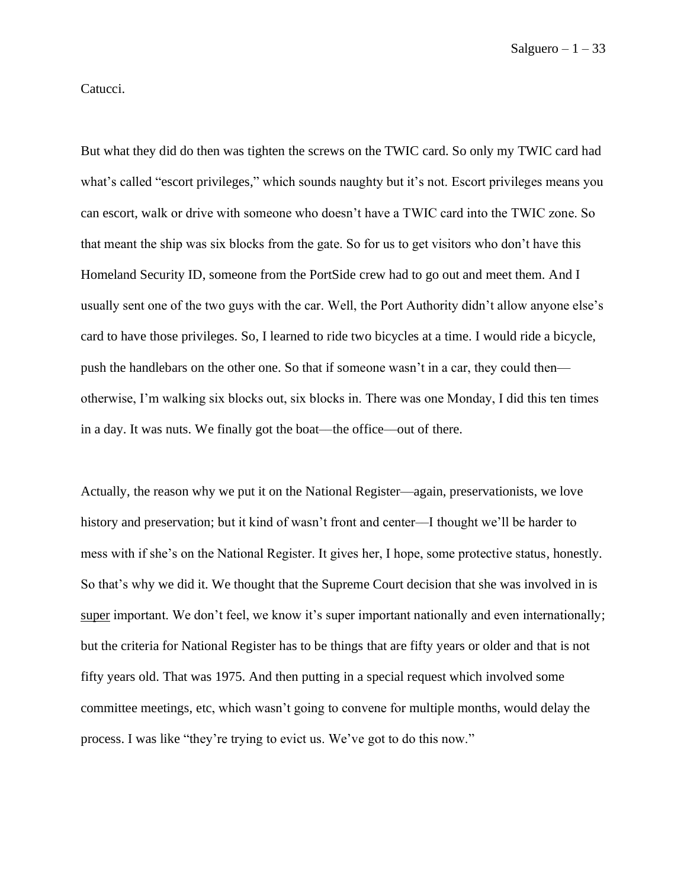Catucci.

But what they did do then was tighten the screws on the TWIC card. So only my TWIC card had what's called "escort privileges," which sounds naughty but it's not. Escort privileges means you can escort, walk or drive with someone who doesn't have a TWIC card into the TWIC zone. So that meant the ship was six blocks from the gate. So for us to get visitors who don't have this Homeland Security ID, someone from the PortSide crew had to go out and meet them. And I usually sent one of the two guys with the car. Well, the Port Authority didn't allow anyone else's card to have those privileges. So, I learned to ride two bicycles at a time. I would ride a bicycle, push the handlebars on the other one. So that if someone wasn't in a car, they could then otherwise, I'm walking six blocks out, six blocks in. There was one Monday, I did this ten times in a day. It was nuts. We finally got the boat––the office––out of there.

Actually, the reason why we put it on the National Register––again, preservationists, we love history and preservation; but it kind of wasn't front and center—I thought we'll be harder to mess with if she's on the National Register. It gives her, I hope, some protective status, honestly. So that's why we did it. We thought that the Supreme Court decision that she was involved in is super important. We don't feel, we know it's super important nationally and even internationally; but the criteria for National Register has to be things that are fifty years or older and that is not fifty years old. That was 1975. And then putting in a special request which involved some committee meetings, etc, which wasn't going to convene for multiple months, would delay the process. I was like "they're trying to evict us. We've got to do this now."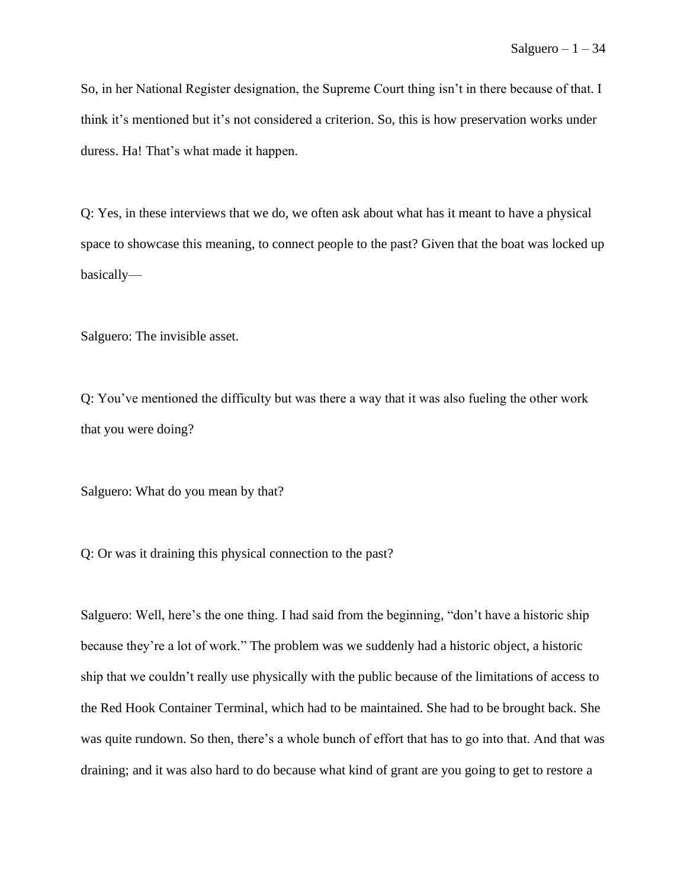So, in her National Register designation, the Supreme Court thing isn't in there because of that. I think it's mentioned but it's not considered a criterion. So, this is how preservation works under duress. Ha! That's what made it happen.

Q: Yes, in these interviews that we do, we often ask about what has it meant to have a physical space to showcase this meaning, to connect people to the past? Given that the boat was locked up basically—

Salguero: The invisible asset.

Q: You've mentioned the difficulty but was there a way that it was also fueling the other work that you were doing?

Salguero: What do you mean by that?

Q: Or was it draining this physical connection to the past?

Salguero: Well, here's the one thing. I had said from the beginning, "don't have a historic ship because they're a lot of work." The problem was we suddenly had a historic object, a historic ship that we couldn't really use physically with the public because of the limitations of access to the Red Hook Container Terminal, which had to be maintained. She had to be brought back. She was quite rundown. So then, there's a whole bunch of effort that has to go into that. And that was draining; and it was also hard to do because what kind of grant are you going to get to restore a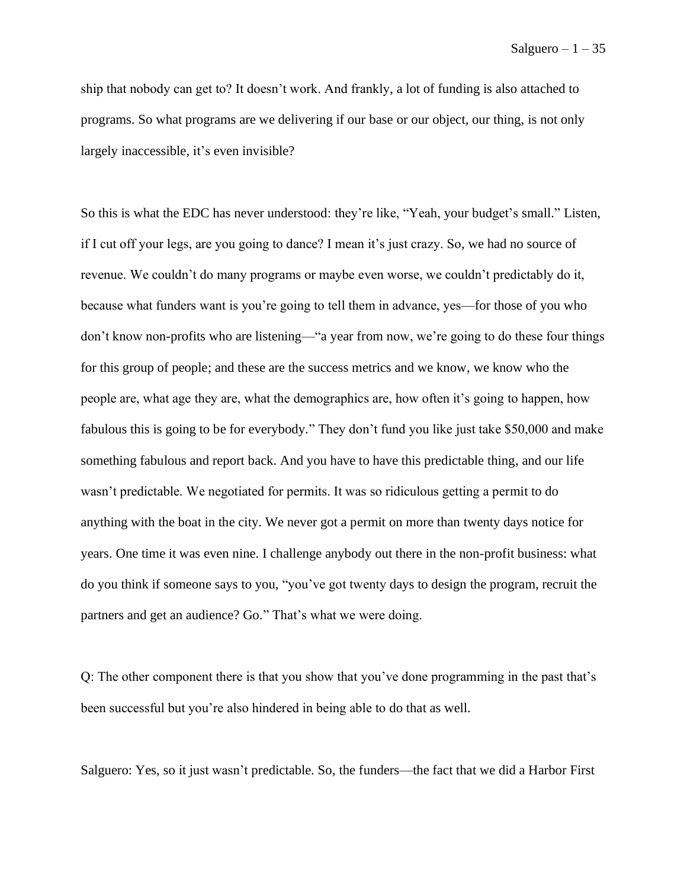ship that nobody can get to? It doesn't work. And frankly, a lot of funding is also attached to programs. So what programs are we delivering if our base or our object, our thing, is not only largely inaccessible, it's even invisible?

So this is what the EDC has never understood: they're like, "Yeah, your budget's small." Listen, if I cut off your legs, are you going to dance? I mean it's just crazy. So, we had no source of revenue. We couldn't do many programs or maybe even worse, we couldn't predictably do it, because what funders want is you're going to tell them in advance, yes—for those of you who don't know non-profits who are listening—"a year from now, we're going to do these four things for this group of people; and these are the success metrics and we know, we know who the people are, what age they are, what the demographics are, how often it's going to happen, how fabulous this is going to be for everybody." They don't fund you like just take \$50,000 and make something fabulous and report back. And you have to have this predictable thing, and our life wasn't predictable. We negotiated for permits. It was so ridiculous getting a permit to do anything with the boat in the city. We never got a permit on more than twenty days notice for years. One time it was even nine. I challenge anybody out there in the non-profit business: what do you think if someone says to you, "you've got twenty days to design the program, recruit the partners and get an audience? Go." That's what we were doing.

Q: The other component there is that you show that you've done programming in the past that's been successful but you're also hindered in being able to do that as well.

Salguero: Yes, so it just wasn't predictable. So, the funders—the fact that we did a Harbor First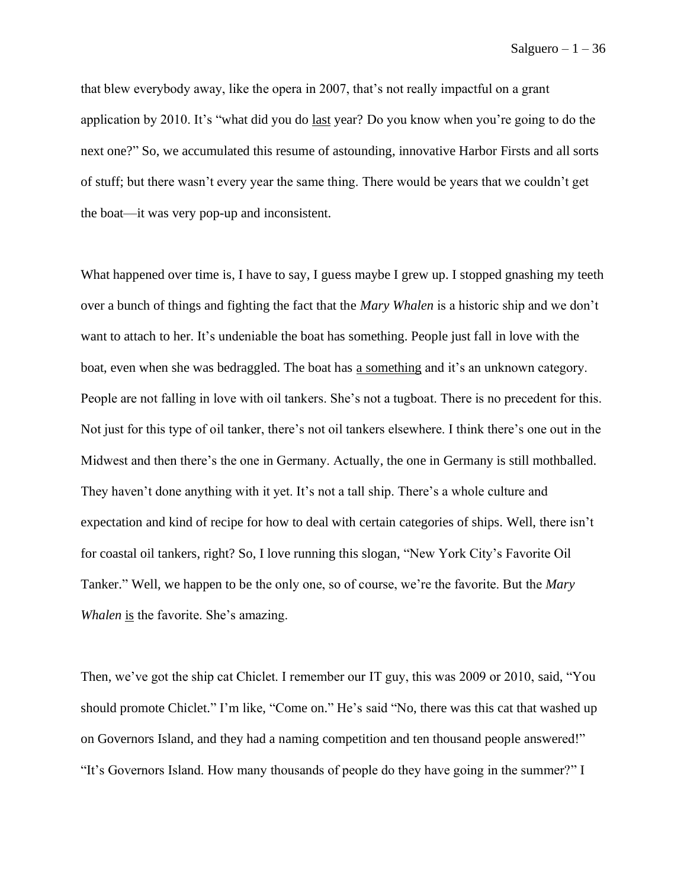that blew everybody away, like the opera in 2007, that's not really impactful on a grant application by 2010. It's "what did you do last year? Do you know when you're going to do the next one?" So, we accumulated this resume of astounding, innovative Harbor Firsts and all sorts of stuff; but there wasn't every year the same thing. There would be years that we couldn't get the boat––it was very pop-up and inconsistent.

What happened over time is, I have to say, I guess maybe I grew up. I stopped gnashing my teeth over a bunch of things and fighting the fact that the *Mary Whalen* is a historic ship and we don't want to attach to her. It's undeniable the boat has something. People just fall in love with the boat, even when she was bedraggled. The boat has a something and it's an unknown category. People are not falling in love with oil tankers. She's not a tugboat. There is no precedent for this. Not just for this type of oil tanker, there's not oil tankers elsewhere. I think there's one out in the Midwest and then there's the one in Germany. Actually, the one in Germany is still mothballed. They haven't done anything with it yet. It's not a tall ship. There's a whole culture and expectation and kind of recipe for how to deal with certain categories of ships. Well, there isn't for coastal oil tankers, right? So, I love running this slogan, "New York City's Favorite Oil Tanker." Well, we happen to be the only one, so of course, we're the favorite. But the *Mary Whalen* is the favorite. She's amazing.

Then, we've got the ship cat Chiclet. I remember our IT guy, this was 2009 or 2010, said, "You should promote Chiclet." I'm like, "Come on." He's said "No, there was this cat that washed up on Governors Island, and they had a naming competition and ten thousand people answered!" "It's Governors Island. How many thousands of people do they have going in the summer?" I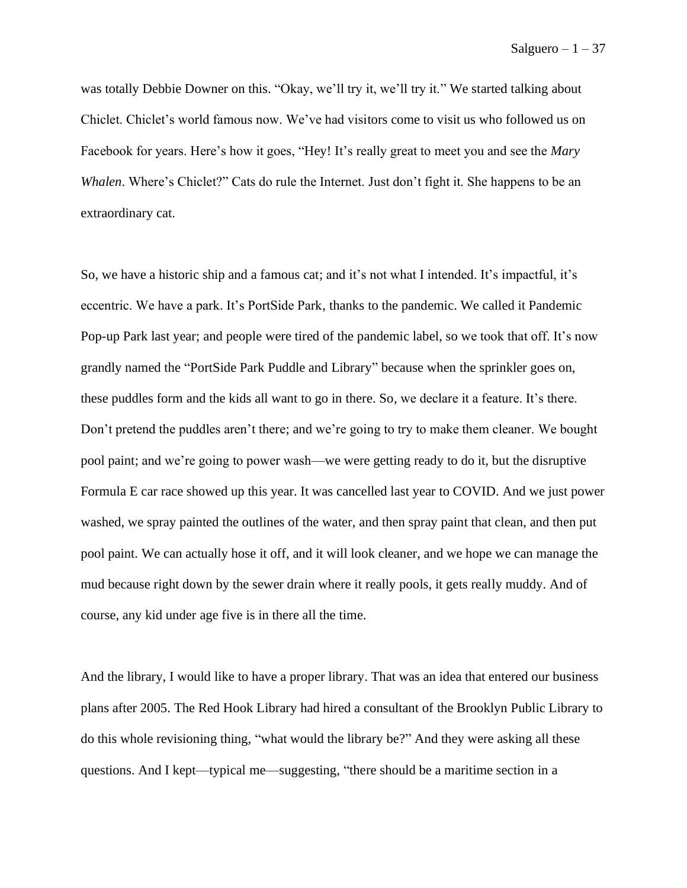was totally Debbie Downer on this. "Okay, we'll try it, we'll try it." We started talking about Chiclet. Chiclet's world famous now. We've had visitors come to visit us who followed us on Facebook for years. Here's how it goes, "Hey! It's really great to meet you and see the *Mary Whalen*. Where's Chiclet?" Cats do rule the Internet. Just don't fight it. She happens to be an extraordinary cat.

So, we have a historic ship and a famous cat; and it's not what I intended. It's impactful, it's eccentric. We have a park. It's PortSide Park, thanks to the pandemic. We called it Pandemic Pop-up Park last year; and people were tired of the pandemic label, so we took that off. It's now grandly named the "PortSide Park Puddle and Library" because when the sprinkler goes on, these puddles form and the kids all want to go in there. So, we declare it a feature. It's there. Don't pretend the puddles aren't there; and we're going to try to make them cleaner. We bought pool paint; and we're going to power wash—we were getting ready to do it, but the disruptive Formula E car race showed up this year. It was cancelled last year to COVID. And we just power washed, we spray painted the outlines of the water, and then spray paint that clean, and then put pool paint. We can actually hose it off, and it will look cleaner, and we hope we can manage the mud because right down by the sewer drain where it really pools, it gets really muddy. And of course, any kid under age five is in there all the time.

And the library, I would like to have a proper library. That was an idea that entered our business plans after 2005. The Red Hook Library had hired a consultant of the Brooklyn Public Library to do this whole revisioning thing, "what would the library be?" And they were asking all these questions. And I kept––typical me––suggesting, "there should be a maritime section in a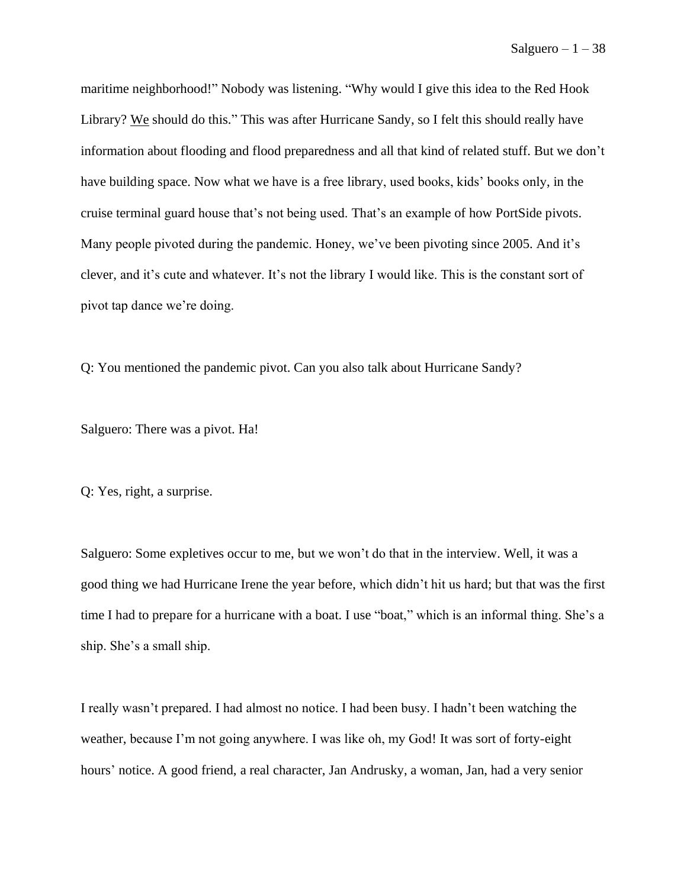maritime neighborhood!" Nobody was listening. "Why would I give this idea to the Red Hook Library? We should do this." This was after Hurricane Sandy, so I felt this should really have information about flooding and flood preparedness and all that kind of related stuff. But we don't have building space. Now what we have is a free library, used books, kids' books only, in the cruise terminal guard house that's not being used. That's an example of how PortSide pivots. Many people pivoted during the pandemic. Honey, we've been pivoting since 2005. And it's clever, and it's cute and whatever. It's not the library I would like. This is the constant sort of pivot tap dance we're doing.

Q: You mentioned the pandemic pivot. Can you also talk about Hurricane Sandy?

Salguero: There was a pivot. Ha!

Q: Yes, right, a surprise.

Salguero: Some expletives occur to me, but we won't do that in the interview. Well, it was a good thing we had Hurricane Irene the year before, which didn't hit us hard; but that was the first time I had to prepare for a hurricane with a boat. I use "boat," which is an informal thing. She's a ship. She's a small ship.

I really wasn't prepared. I had almost no notice. I had been busy. I hadn't been watching the weather, because I'm not going anywhere. I was like oh, my God! It was sort of forty-eight hours' notice. A good friend, a real character, Jan Andrusky, a woman, Jan, had a very senior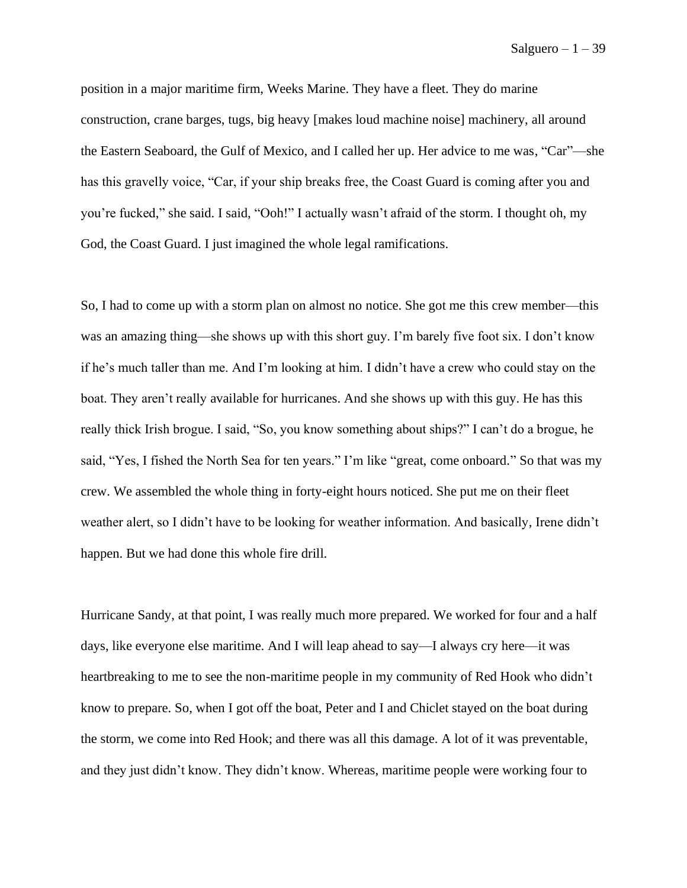position in a major maritime firm, Weeks Marine. They have a fleet. They do marine construction, crane barges, tugs, big heavy [makes loud machine noise] machinery, all around the Eastern Seaboard, the Gulf of Mexico, and I called her up. Her advice to me was, "Car"—she has this gravelly voice, "Car, if your ship breaks free, the Coast Guard is coming after you and you're fucked," she said. I said, "Ooh!" I actually wasn't afraid of the storm. I thought oh, my God, the Coast Guard. I just imagined the whole legal ramifications.

So, I had to come up with a storm plan on almost no notice. She got me this crew member—this was an amazing thing––she shows up with this short guy. I'm barely five foot six. I don't know if he's much taller than me. And I'm looking at him. I didn't have a crew who could stay on the boat. They aren't really available for hurricanes. And she shows up with this guy. He has this really thick Irish brogue. I said, "So, you know something about ships?" I can't do a brogue, he said, "Yes, I fished the North Sea for ten years." I'm like "great, come onboard." So that was my crew. We assembled the whole thing in forty-eight hours noticed. She put me on their fleet weather alert, so I didn't have to be looking for weather information. And basically, Irene didn't happen. But we had done this whole fire drill.

Hurricane Sandy, at that point, I was really much more prepared. We worked for four and a half days, like everyone else maritime. And I will leap ahead to say—I always cry here––it was heartbreaking to me to see the non-maritime people in my community of Red Hook who didn't know to prepare. So, when I got off the boat, Peter and I and Chiclet stayed on the boat during the storm, we come into Red Hook; and there was all this damage. A lot of it was preventable, and they just didn't know. They didn't know. Whereas, maritime people were working four to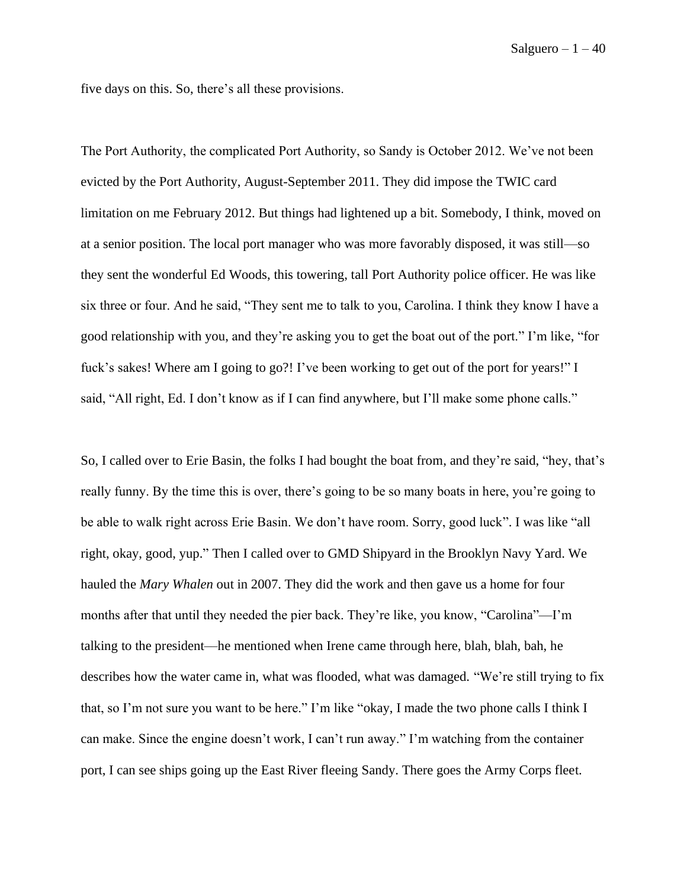five days on this. So, there's all these provisions.

The Port Authority, the complicated Port Authority, so Sandy is October 2012. We've not been evicted by the Port Authority, August-September 2011. They did impose the TWIC card limitation on me February 2012. But things had lightened up a bit. Somebody, I think, moved on at a senior position. The local port manager who was more favorably disposed, it was still—so they sent the wonderful Ed Woods, this towering, tall Port Authority police officer. He was like six three or four. And he said, "They sent me to talk to you, Carolina. I think they know I have a good relationship with you, and they're asking you to get the boat out of the port." I'm like, "for fuck's sakes! Where am I going to go?! I've been working to get out of the port for years!" I said, "All right, Ed. I don't know as if I can find anywhere, but I'll make some phone calls."

So, I called over to Erie Basin, the folks I had bought the boat from, and they're said, "hey, that's really funny. By the time this is over, there's going to be so many boats in here, you're going to be able to walk right across Erie Basin. We don't have room. Sorry, good luck". I was like "all right, okay, good, yup." Then I called over to GMD Shipyard in the Brooklyn Navy Yard. We hauled the *Mary Whalen* out in 2007. They did the work and then gave us a home for four months after that until they needed the pier back. They're like, you know, "Carolina"—I'm talking to the president––he mentioned when Irene came through here, blah, blah, bah, he describes how the water came in, what was flooded, what was damaged. "We're still trying to fix that, so I'm not sure you want to be here." I'm like "okay, I made the two phone calls I think I can make. Since the engine doesn't work, I can't run away." I'm watching from the container port, I can see ships going up the East River fleeing Sandy. There goes the Army Corps fleet.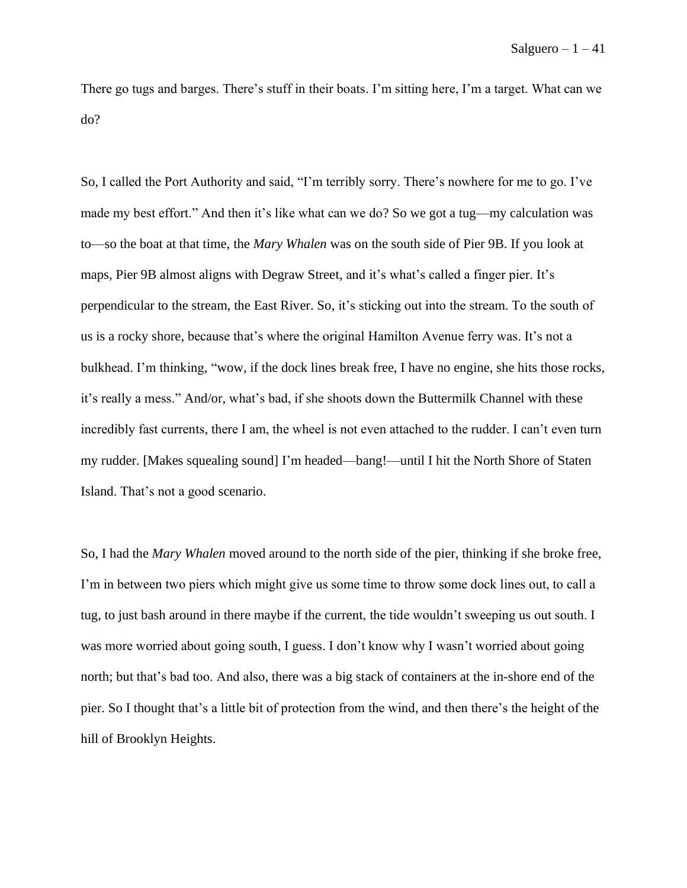There go tugs and barges. There's stuff in their boats. I'm sitting here, I'm a target. What can we do?

So, I called the Port Authority and said, "I'm terribly sorry. There's nowhere for me to go. I've made my best effort." And then it's like what can we do? So we got a tug—my calculation was to—so the boat at that time, the *Mary Whalen* was on the south side of Pier 9B. If you look at maps, Pier 9B almost aligns with Degraw Street, and it's what's called a finger pier. It's perpendicular to the stream, the East River. So, it's sticking out into the stream. To the south of us is a rocky shore, because that's where the original Hamilton Avenue ferry was. It's not a bulkhead. I'm thinking, "wow, if the dock lines break free, I have no engine, she hits those rocks, it's really a mess." And/or, what's bad, if she shoots down the Buttermilk Channel with these incredibly fast currents, there I am, the wheel is not even attached to the rudder. I can't even turn my rudder. [Makes squealing sound] I'm headed––bang!––until I hit the North Shore of Staten Island. That's not a good scenario.

So, I had the *Mary Whalen* moved around to the north side of the pier, thinking if she broke free, I'm in between two piers which might give us some time to throw some dock lines out, to call a tug, to just bash around in there maybe if the current, the tide wouldn't sweeping us out south. I was more worried about going south, I guess. I don't know why I wasn't worried about going north; but that's bad too. And also, there was a big stack of containers at the in-shore end of the pier. So I thought that's a little bit of protection from the wind, and then there's the height of the hill of Brooklyn Heights.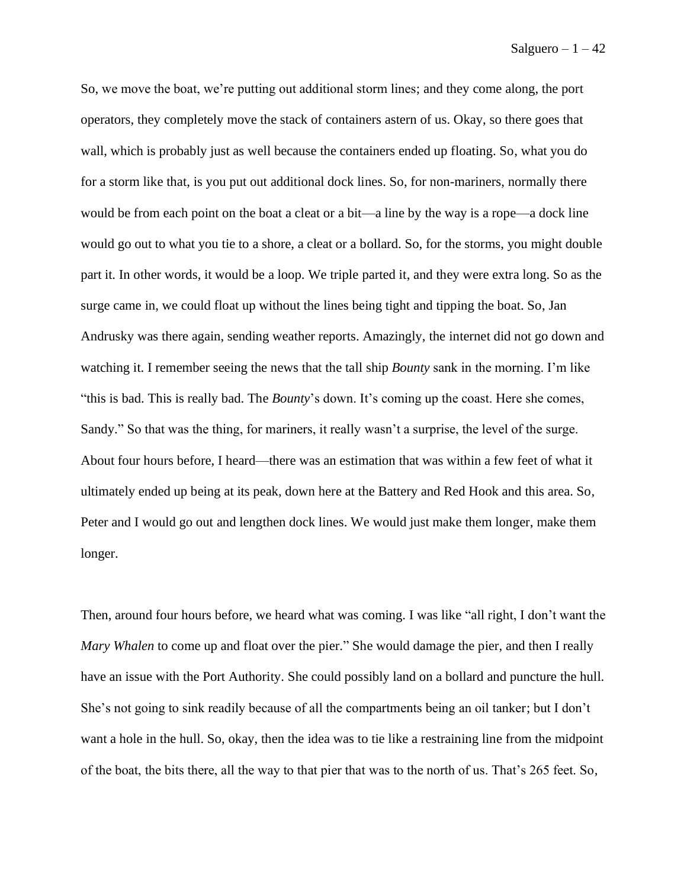So, we move the boat, we're putting out additional storm lines; and they come along, the port operators, they completely move the stack of containers astern of us. Okay, so there goes that wall, which is probably just as well because the containers ended up floating. So, what you do for a storm like that, is you put out additional dock lines. So, for non-mariners, normally there would be from each point on the boat a cleat or a bit—a line by the way is a rope—a dock line would go out to what you tie to a shore, a cleat or a bollard. So, for the storms, you might double part it. In other words, it would be a loop. We triple parted it, and they were extra long. So as the surge came in, we could float up without the lines being tight and tipping the boat. So, Jan Andrusky was there again, sending weather reports. Amazingly, the internet did not go down and watching it. I remember seeing the news that the tall ship *Bounty* sank in the morning. I'm like "this is bad. This is really bad. The *Bounty*'s down. It's coming up the coast. Here she comes, Sandy." So that was the thing, for mariners, it really wasn't a surprise, the level of the surge. About four hours before, I heard—there was an estimation that was within a few feet of what it ultimately ended up being at its peak, down here at the Battery and Red Hook and this area. So, Peter and I would go out and lengthen dock lines. We would just make them longer, make them longer.

Then, around four hours before, we heard what was coming. I was like "all right, I don't want the *Mary Whalen* to come up and float over the pier." She would damage the pier, and then I really have an issue with the Port Authority. She could possibly land on a bollard and puncture the hull. She's not going to sink readily because of all the compartments being an oil tanker; but I don't want a hole in the hull. So, okay, then the idea was to tie like a restraining line from the midpoint of the boat, the bits there, all the way to that pier that was to the north of us. That's 265 feet. So,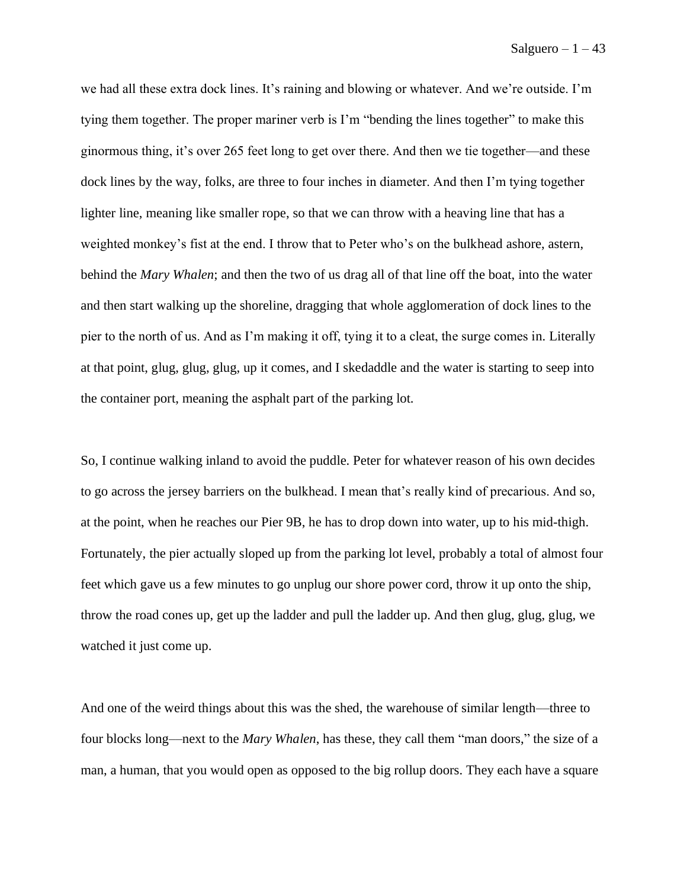we had all these extra dock lines. It's raining and blowing or whatever. And we're outside. I'm tying them together. The proper mariner verb is I'm "bending the lines together" to make this ginormous thing, it's over 265 feet long to get over there. And then we tie together—and these dock lines by the way, folks, are three to four inches in diameter. And then I'm tying together lighter line, meaning like smaller rope, so that we can throw with a heaving line that has a weighted monkey's fist at the end. I throw that to Peter who's on the bulkhead ashore, astern, behind the *Mary Whalen*; and then the two of us drag all of that line off the boat, into the water and then start walking up the shoreline, dragging that whole agglomeration of dock lines to the pier to the north of us. And as I'm making it off, tying it to a cleat, the surge comes in. Literally at that point, glug, glug, glug, up it comes, and I skedaddle and the water is starting to seep into the container port, meaning the asphalt part of the parking lot.

So, I continue walking inland to avoid the puddle. Peter for whatever reason of his own decides to go across the jersey barriers on the bulkhead. I mean that's really kind of precarious. And so, at the point, when he reaches our Pier 9B, he has to drop down into water, up to his mid-thigh. Fortunately, the pier actually sloped up from the parking lot level, probably a total of almost four feet which gave us a few minutes to go unplug our shore power cord, throw it up onto the ship, throw the road cones up, get up the ladder and pull the ladder up. And then glug, glug, glug, we watched it just come up.

And one of the weird things about this was the shed, the warehouse of similar length––three to four blocks long––next to the *Mary Whalen*, has these, they call them "man doors," the size of a man, a human, that you would open as opposed to the big rollup doors. They each have a square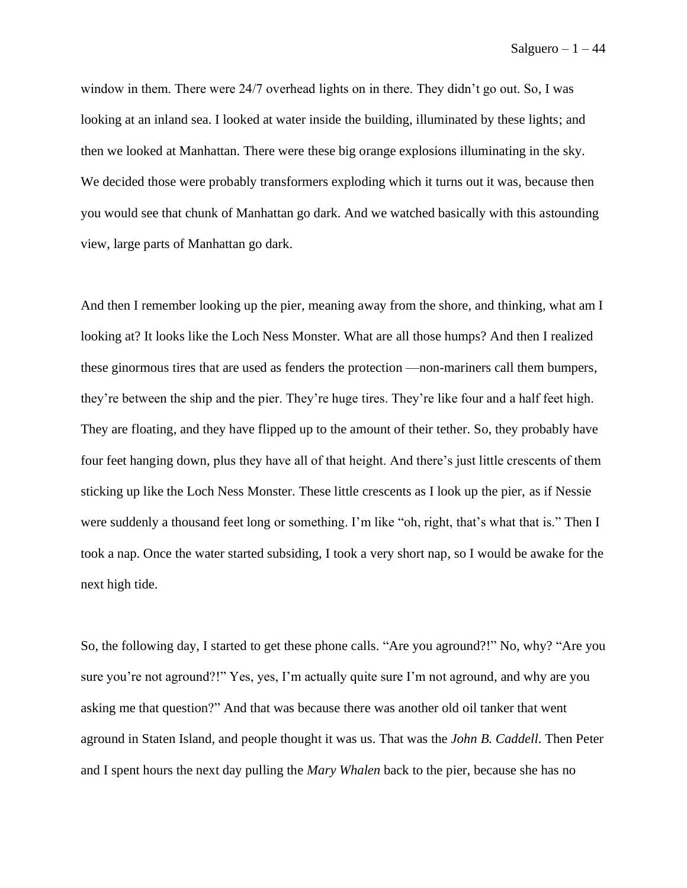window in them. There were 24/7 overhead lights on in there. They didn't go out. So, I was looking at an inland sea. I looked at water inside the building, illuminated by these lights; and then we looked at Manhattan. There were these big orange explosions illuminating in the sky. We decided those were probably transformers exploding which it turns out it was, because then you would see that chunk of Manhattan go dark. And we watched basically with this astounding view, large parts of Manhattan go dark.

And then I remember looking up the pier, meaning away from the shore, and thinking, what am I looking at? It looks like the Loch Ness Monster. What are all those humps? And then I realized these ginormous tires that are used as fenders the protection ––non-mariners call them bumpers, they're between the ship and the pier. They're huge tires. They're like four and a half feet high. They are floating, and they have flipped up to the amount of their tether. So, they probably have four feet hanging down, plus they have all of that height. And there's just little crescents of them sticking up like the Loch Ness Monster. These little crescents as I look up the pier, as if Nessie were suddenly a thousand feet long or something. I'm like "oh, right, that's what that is." Then I took a nap. Once the water started subsiding, I took a very short nap, so I would be awake for the next high tide.

So, the following day, I started to get these phone calls. "Are you aground?!" No, why? "Are you sure you're not aground?!" Yes, yes, I'm actually quite sure I'm not aground, and why are you asking me that question?" And that was because there was another old oil tanker that went aground in Staten Island, and people thought it was us. That was the *John B. Caddell*. Then Peter and I spent hours the next day pulling the *Mary Whalen* back to the pier, because she has no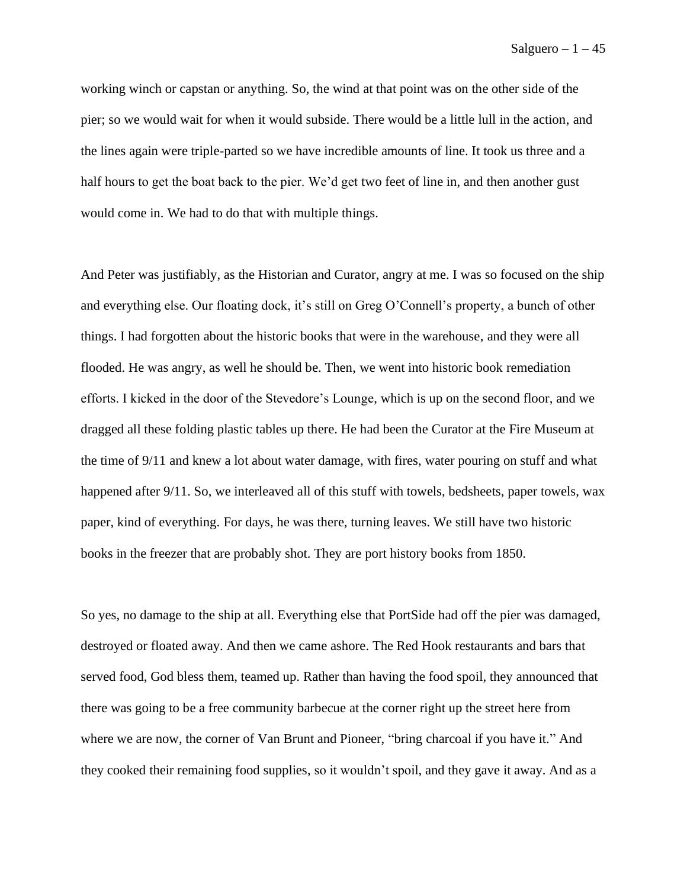working winch or capstan or anything. So, the wind at that point was on the other side of the pier; so we would wait for when it would subside. There would be a little lull in the action, and the lines again were triple-parted so we have incredible amounts of line. It took us three and a half hours to get the boat back to the pier. We'd get two feet of line in, and then another gust would come in. We had to do that with multiple things.

And Peter was justifiably, as the Historian and Curator, angry at me. I was so focused on the ship and everything else. Our floating dock, it's still on Greg O'Connell's property, a bunch of other things. I had forgotten about the historic books that were in the warehouse, and they were all flooded. He was angry, as well he should be. Then, we went into historic book remediation efforts. I kicked in the door of the Stevedore's Lounge, which is up on the second floor, and we dragged all these folding plastic tables up there. He had been the Curator at the Fire Museum at the time of 9/11 and knew a lot about water damage, with fires, water pouring on stuff and what happened after 9/11. So, we interleaved all of this stuff with towels, bedsheets, paper towels, wax paper, kind of everything. For days, he was there, turning leaves. We still have two historic books in the freezer that are probably shot. They are port history books from 1850.

So yes, no damage to the ship at all. Everything else that PortSide had off the pier was damaged, destroyed or floated away. And then we came ashore. The Red Hook restaurants and bars that served food, God bless them, teamed up. Rather than having the food spoil, they announced that there was going to be a free community barbecue at the corner right up the street here from where we are now, the corner of Van Brunt and Pioneer, "bring charcoal if you have it." And they cooked their remaining food supplies, so it wouldn't spoil, and they gave it away. And as a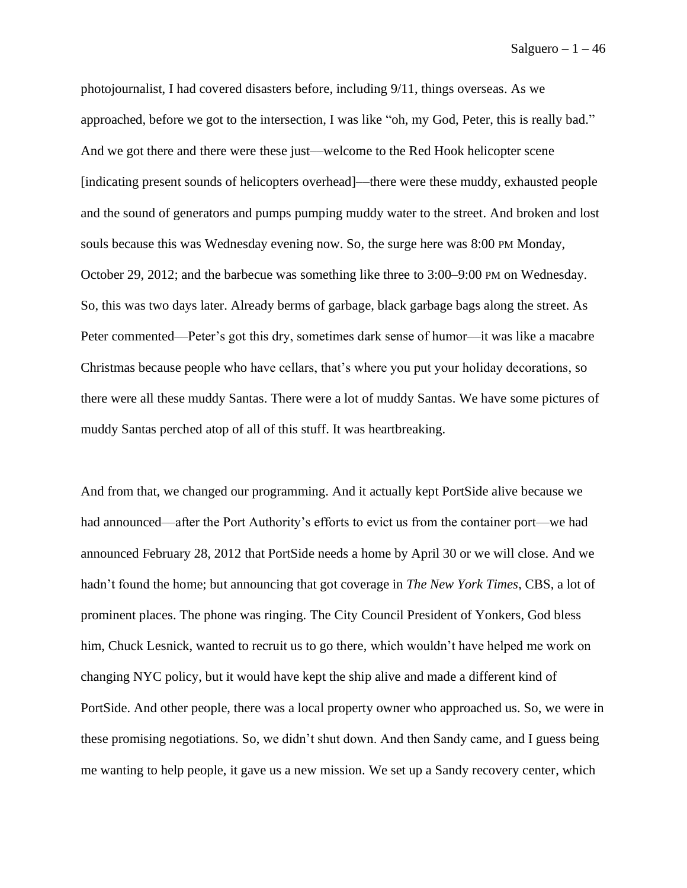photojournalist, I had covered disasters before, including 9/11, things overseas. As we approached, before we got to the intersection, I was like "oh, my God, Peter, this is really bad." And we got there and there were these just––welcome to the Red Hook helicopter scene [indicating present sounds of helicopters overhead]––there were these muddy, exhausted people and the sound of generators and pumps pumping muddy water to the street. And broken and lost souls because this was Wednesday evening now. So, the surge here was 8:00 PM Monday, October 29, 2012; and the barbecue was something like three to 3:00–9:00 PM on Wednesday. So, this was two days later. Already berms of garbage, black garbage bags along the street. As Peter commented—Peter's got this dry, sometimes dark sense of humor—it was like a macabre Christmas because people who have cellars, that's where you put your holiday decorations, so there were all these muddy Santas. There were a lot of muddy Santas. We have some pictures of muddy Santas perched atop of all of this stuff. It was heartbreaking.

And from that, we changed our programming. And it actually kept PortSide alive because we had announced—after the Port Authority's efforts to evict us from the container port—we had announced February 28, 2012 that PortSide needs a home by April 30 or we will close. And we hadn't found the home; but announcing that got coverage in *The New York Times*, CBS, a lot of prominent places. The phone was ringing. The City Council President of Yonkers, God bless him, Chuck Lesnick, wanted to recruit us to go there, which wouldn't have helped me work on changing NYC policy, but it would have kept the ship alive and made a different kind of PortSide. And other people, there was a local property owner who approached us. So, we were in these promising negotiations. So, we didn't shut down. And then Sandy came, and I guess being me wanting to help people, it gave us a new mission. We set up a Sandy recovery center, which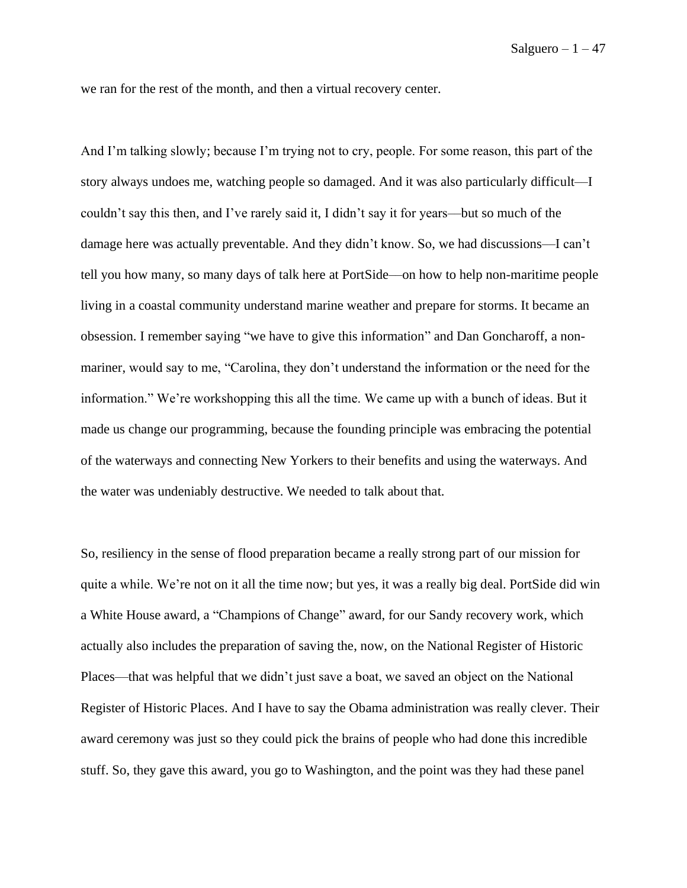we ran for the rest of the month, and then a virtual recovery center.

And I'm talking slowly; because I'm trying not to cry, people. For some reason, this part of the story always undoes me, watching people so damaged. And it was also particularly difficult––I couldn't say this then, and I've rarely said it, I didn't say it for years––but so much of the damage here was actually preventable. And they didn't know. So, we had discussions––I can't tell you how many, so many days of talk here at PortSide––on how to help non-maritime people living in a coastal community understand marine weather and prepare for storms. It became an obsession. I remember saying "we have to give this information" and Dan Goncharoff, a nonmariner, would say to me, "Carolina, they don't understand the information or the need for the information." We're workshopping this all the time. We came up with a bunch of ideas. But it made us change our programming, because the founding principle was embracing the potential of the waterways and connecting New Yorkers to their benefits and using the waterways. And the water was undeniably destructive. We needed to talk about that.

So, resiliency in the sense of flood preparation became a really strong part of our mission for quite a while. We're not on it all the time now; but yes, it was a really big deal. PortSide did win a White House award, a "Champions of Change" award, for our Sandy recovery work, which actually also includes the preparation of saving the, now, on the National Register of Historic Places––that was helpful that we didn't just save a boat, we saved an object on the National Register of Historic Places. And I have to say the Obama administration was really clever. Their award ceremony was just so they could pick the brains of people who had done this incredible stuff. So, they gave this award, you go to Washington, and the point was they had these panel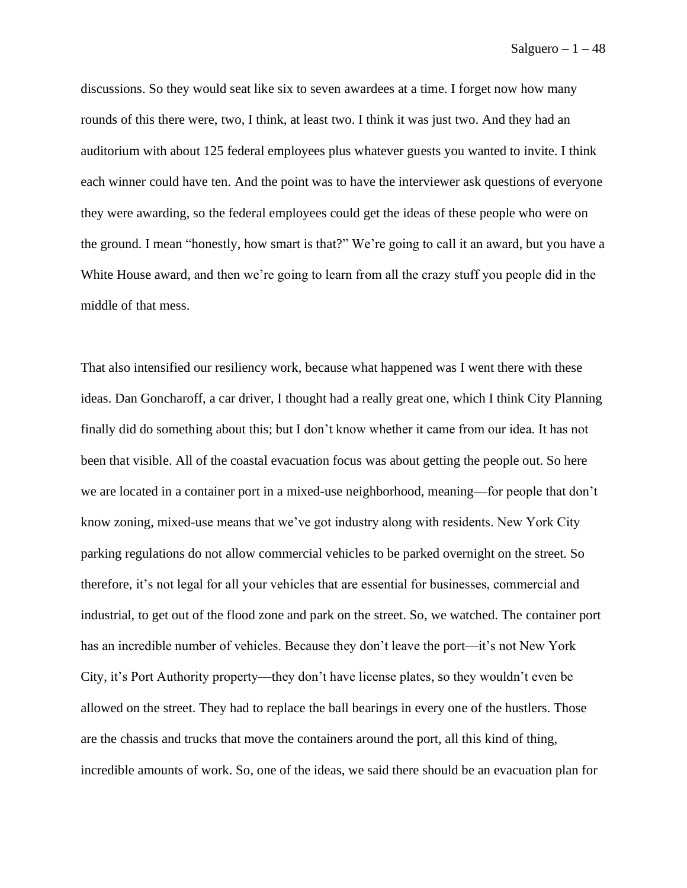discussions. So they would seat like six to seven awardees at a time. I forget now how many rounds of this there were, two, I think, at least two. I think it was just two. And they had an auditorium with about 125 federal employees plus whatever guests you wanted to invite. I think each winner could have ten. And the point was to have the interviewer ask questions of everyone they were awarding, so the federal employees could get the ideas of these people who were on the ground. I mean "honestly, how smart is that?" We're going to call it an award, but you have a White House award, and then we're going to learn from all the crazy stuff you people did in the middle of that mess.

That also intensified our resiliency work, because what happened was I went there with these ideas. Dan Goncharoff, a car driver, I thought had a really great one, which I think City Planning finally did do something about this; but I don't know whether it came from our idea. It has not been that visible. All of the coastal evacuation focus was about getting the people out. So here we are located in a container port in a mixed-use neighborhood, meaning—for people that don't know zoning, mixed-use means that we've got industry along with residents. New York City parking regulations do not allow commercial vehicles to be parked overnight on the street. So therefore, it's not legal for all your vehicles that are essential for businesses, commercial and industrial, to get out of the flood zone and park on the street. So, we watched. The container port has an incredible number of vehicles. Because they don't leave the port—it's not New York City, it's Port Authority property––they don't have license plates, so they wouldn't even be allowed on the street. They had to replace the ball bearings in every one of the hustlers. Those are the chassis and trucks that move the containers around the port, all this kind of thing, incredible amounts of work. So, one of the ideas, we said there should be an evacuation plan for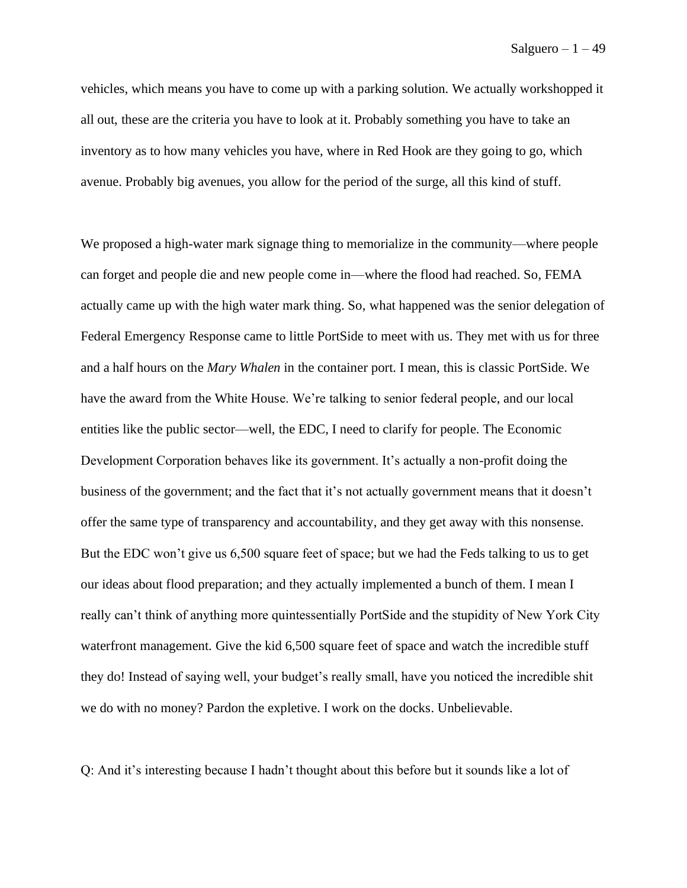vehicles, which means you have to come up with a parking solution. We actually workshopped it all out, these are the criteria you have to look at it. Probably something you have to take an inventory as to how many vehicles you have, where in Red Hook are they going to go, which avenue. Probably big avenues, you allow for the period of the surge, all this kind of stuff.

We proposed a high-water mark signage thing to memorialize in the community—where people can forget and people die and new people come in––where the flood had reached. So, FEMA actually came up with the high water mark thing. So, what happened was the senior delegation of Federal Emergency Response came to little PortSide to meet with us. They met with us for three and a half hours on the *Mary Whalen* in the container port. I mean, this is classic PortSide. We have the award from the White House. We're talking to senior federal people, and our local entities like the public sector—well, the EDC, I need to clarify for people. The Economic Development Corporation behaves like its government. It's actually a non-profit doing the business of the government; and the fact that it's not actually government means that it doesn't offer the same type of transparency and accountability, and they get away with this nonsense. But the EDC won't give us 6,500 square feet of space; but we had the Feds talking to us to get our ideas about flood preparation; and they actually implemented a bunch of them. I mean I really can't think of anything more quintessentially PortSide and the stupidity of New York City waterfront management. Give the kid 6,500 square feet of space and watch the incredible stuff they do! Instead of saying well, your budget's really small, have you noticed the incredible shit we do with no money? Pardon the expletive. I work on the docks. Unbelievable.

Q: And it's interesting because I hadn't thought about this before but it sounds like a lot of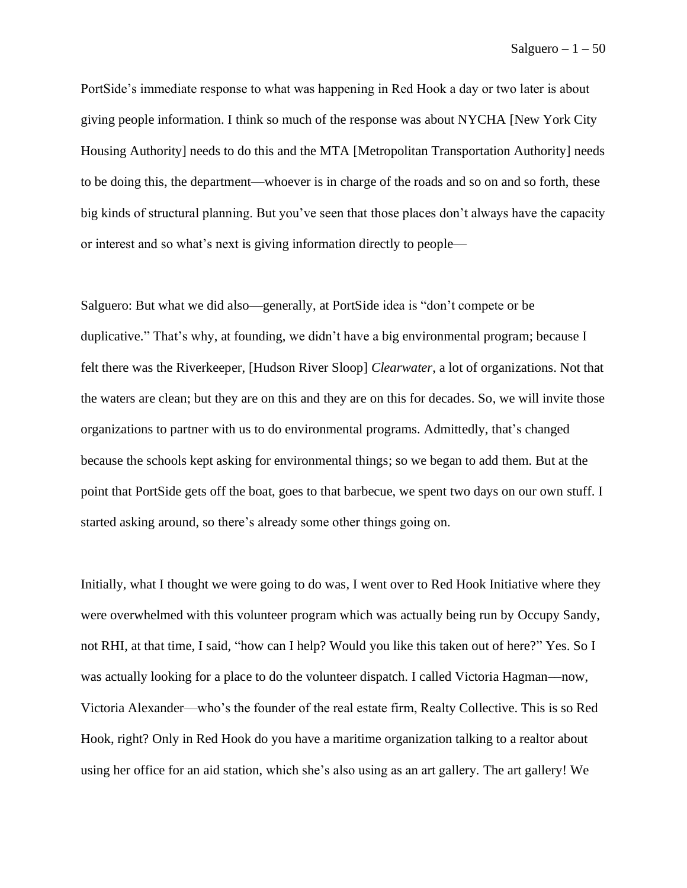PortSide's immediate response to what was happening in Red Hook a day or two later is about giving people information. I think so much of the response was about NYCHA [New York City Housing Authority] needs to do this and the MTA [Metropolitan Transportation Authority] needs to be doing this, the department—whoever is in charge of the roads and so on and so forth, these big kinds of structural planning. But you've seen that those places don't always have the capacity or interest and so what's next is giving information directly to people—

Salguero: But what we did also—generally, at PortSide idea is "don't compete or be duplicative." That's why, at founding, we didn't have a big environmental program; because I felt there was the Riverkeeper, [Hudson River Sloop] *Clearwater*, a lot of organizations. Not that the waters are clean; but they are on this and they are on this for decades. So, we will invite those organizations to partner with us to do environmental programs. Admittedly, that's changed because the schools kept asking for environmental things; so we began to add them. But at the point that PortSide gets off the boat, goes to that barbecue, we spent two days on our own stuff. I started asking around, so there's already some other things going on.

Initially, what I thought we were going to do was, I went over to Red Hook Initiative where they were overwhelmed with this volunteer program which was actually being run by Occupy Sandy, not RHI, at that time, I said, "how can I help? Would you like this taken out of here?" Yes. So I was actually looking for a place to do the volunteer dispatch. I called Victoria Hagman—now, Victoria Alexander––who's the founder of the real estate firm, Realty Collective. This is so Red Hook, right? Only in Red Hook do you have a maritime organization talking to a realtor about using her office for an aid station, which she's also using as an art gallery. The art gallery! We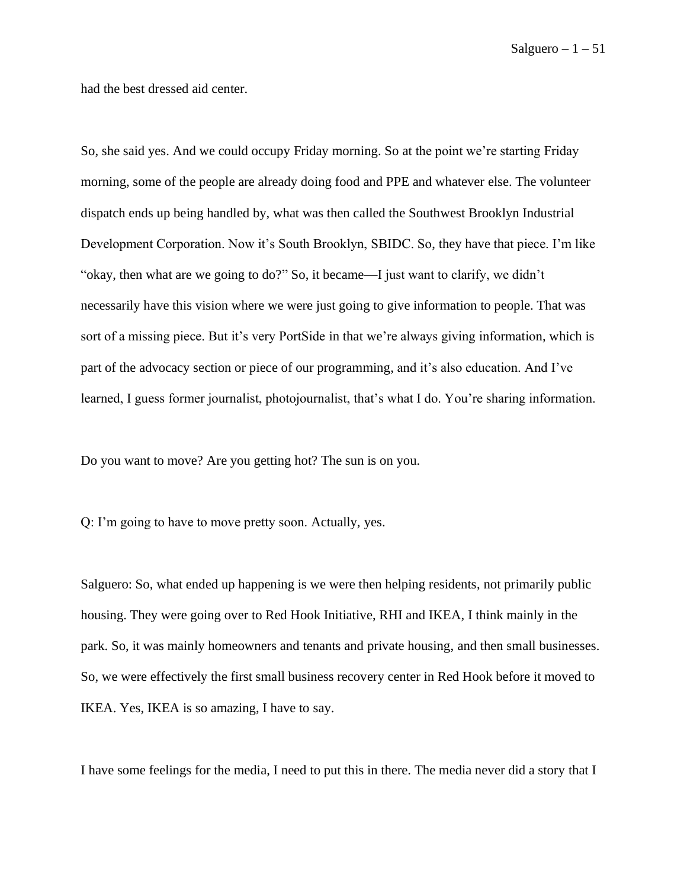had the best dressed aid center.

So, she said yes. And we could occupy Friday morning. So at the point we're starting Friday morning, some of the people are already doing food and PPE and whatever else. The volunteer dispatch ends up being handled by, what was then called the Southwest Brooklyn Industrial Development Corporation. Now it's South Brooklyn, SBIDC. So, they have that piece. I'm like "okay, then what are we going to do?" So, it became—I just want to clarify, we didn't necessarily have this vision where we were just going to give information to people. That was sort of a missing piece. But it's very PortSide in that we're always giving information, which is part of the advocacy section or piece of our programming, and it's also education. And I've learned, I guess former journalist, photojournalist, that's what I do. You're sharing information.

Do you want to move? Are you getting hot? The sun is on you.

Q: I'm going to have to move pretty soon. Actually, yes.

Salguero: So, what ended up happening is we were then helping residents, not primarily public housing. They were going over to Red Hook Initiative, RHI and IKEA, I think mainly in the park. So, it was mainly homeowners and tenants and private housing, and then small businesses. So, we were effectively the first small business recovery center in Red Hook before it moved to IKEA. Yes, IKEA is so amazing, I have to say.

I have some feelings for the media, I need to put this in there. The media never did a story that I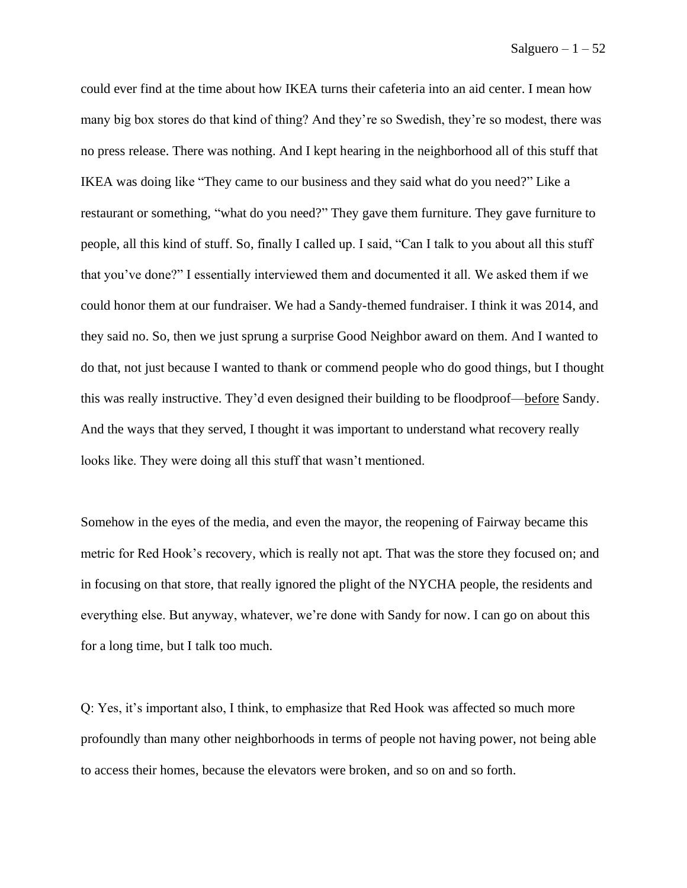could ever find at the time about how IKEA turns their cafeteria into an aid center. I mean how many big box stores do that kind of thing? And they're so Swedish, they're so modest, there was no press release. There was nothing. And I kept hearing in the neighborhood all of this stuff that IKEA was doing like "They came to our business and they said what do you need?" Like a restaurant or something, "what do you need?" They gave them furniture. They gave furniture to people, all this kind of stuff. So, finally I called up. I said, "Can I talk to you about all this stuff that you've done?" I essentially interviewed them and documented it all. We asked them if we could honor them at our fundraiser. We had a Sandy-themed fundraiser. I think it was 2014, and they said no. So, then we just sprung a surprise Good Neighbor award on them. And I wanted to do that, not just because I wanted to thank or commend people who do good things, but I thought this was really instructive. They'd even designed their building to be floodproof––before Sandy. And the ways that they served, I thought it was important to understand what recovery really looks like. They were doing all this stuff that wasn't mentioned.

Somehow in the eyes of the media, and even the mayor, the reopening of Fairway became this metric for Red Hook's recovery, which is really not apt. That was the store they focused on; and in focusing on that store, that really ignored the plight of the NYCHA people, the residents and everything else. But anyway, whatever, we're done with Sandy for now. I can go on about this for a long time, but I talk too much.

Q: Yes, it's important also, I think, to emphasize that Red Hook was affected so much more profoundly than many other neighborhoods in terms of people not having power, not being able to access their homes, because the elevators were broken, and so on and so forth.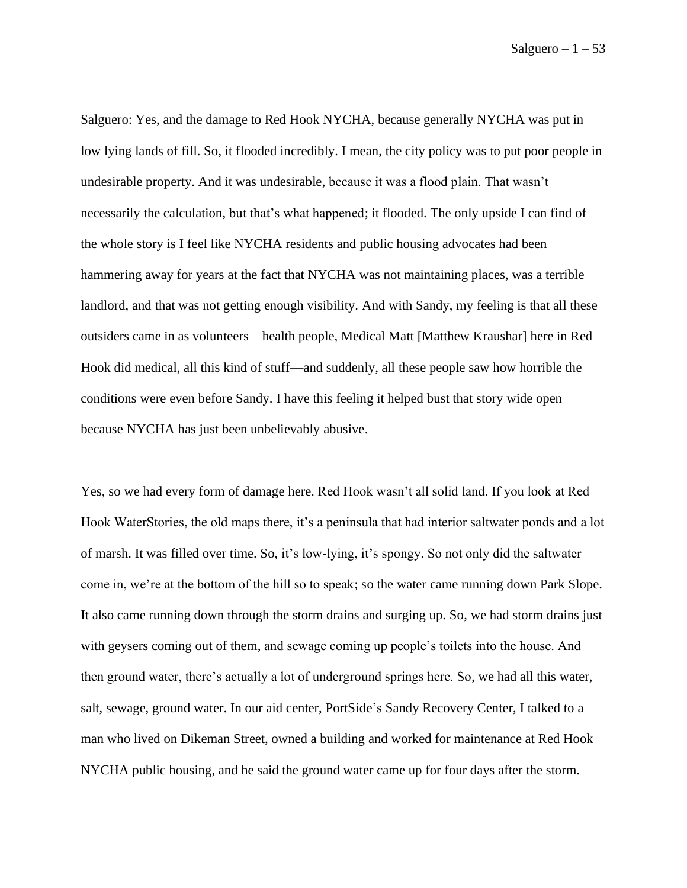Salguero: Yes, and the damage to Red Hook NYCHA, because generally NYCHA was put in low lying lands of fill. So, it flooded incredibly. I mean, the city policy was to put poor people in undesirable property. And it was undesirable, because it was a flood plain. That wasn't necessarily the calculation, but that's what happened; it flooded. The only upside I can find of the whole story is I feel like NYCHA residents and public housing advocates had been hammering away for years at the fact that NYCHA was not maintaining places, was a terrible landlord, and that was not getting enough visibility. And with Sandy, my feeling is that all these outsiders came in as volunteers––health people, Medical Matt [Matthew Kraushar] here in Red Hook did medical, all this kind of stuff––and suddenly, all these people saw how horrible the conditions were even before Sandy. I have this feeling it helped bust that story wide open because NYCHA has just been unbelievably abusive.

Yes, so we had every form of damage here. Red Hook wasn't all solid land. If you look at Red Hook WaterStories, the old maps there, it's a peninsula that had interior saltwater ponds and a lot of marsh. It was filled over time. So, it's low-lying, it's spongy. So not only did the saltwater come in, we're at the bottom of the hill so to speak; so the water came running down Park Slope. It also came running down through the storm drains and surging up. So, we had storm drains just with geysers coming out of them, and sewage coming up people's toilets into the house. And then ground water, there's actually a lot of underground springs here. So, we had all this water, salt, sewage, ground water. In our aid center, PortSide's Sandy Recovery Center, I talked to a man who lived on Dikeman Street, owned a building and worked for maintenance at Red Hook NYCHA public housing, and he said the ground water came up for four days after the storm.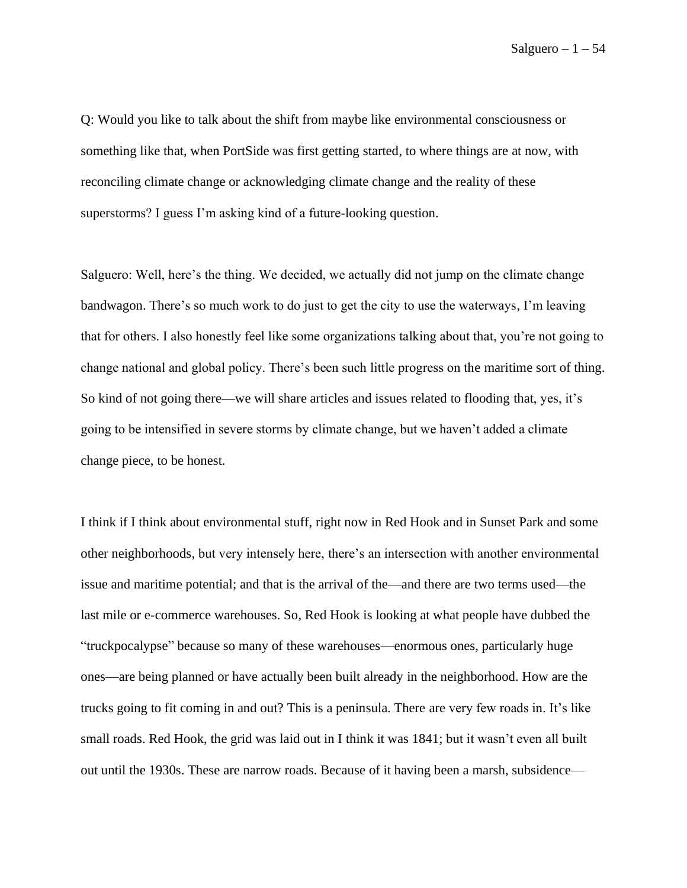Q: Would you like to talk about the shift from maybe like environmental consciousness or something like that, when PortSide was first getting started, to where things are at now, with reconciling climate change or acknowledging climate change and the reality of these superstorms? I guess I'm asking kind of a future-looking question.

Salguero: Well, here's the thing. We decided, we actually did not jump on the climate change bandwagon. There's so much work to do just to get the city to use the waterways, I'm leaving that for others. I also honestly feel like some organizations talking about that, you're not going to change national and global policy. There's been such little progress on the maritime sort of thing. So kind of not going there—we will share articles and issues related to flooding that, yes, it's going to be intensified in severe storms by climate change, but we haven't added a climate change piece, to be honest.

I think if I think about environmental stuff, right now in Red Hook and in Sunset Park and some other neighborhoods, but very intensely here, there's an intersection with another environmental issue and maritime potential; and that is the arrival of the—and there are two terms used––the last mile or e-commerce warehouses. So, Red Hook is looking at what people have dubbed the "truckpocalypse" because so many of these warehouses––enormous ones, particularly huge ones––are being planned or have actually been built already in the neighborhood. How are the trucks going to fit coming in and out? This is a peninsula. There are very few roads in. It's like small roads. Red Hook, the grid was laid out in I think it was 1841; but it wasn't even all built out until the 1930s. These are narrow roads. Because of it having been a marsh, subsidence––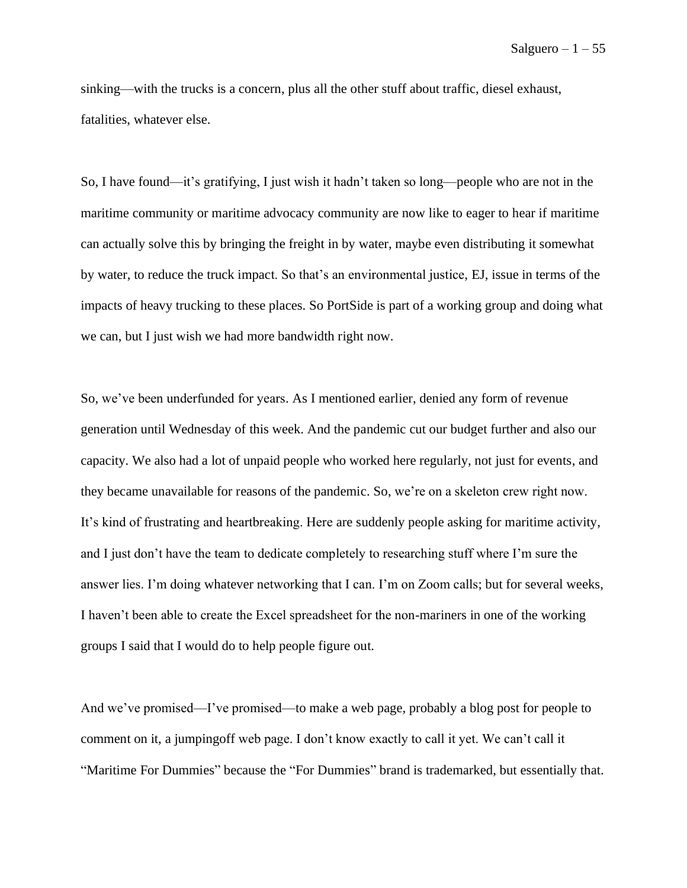sinking––with the trucks is a concern, plus all the other stuff about traffic, diesel exhaust, fatalities, whatever else.

So, I have found––it's gratifying, I just wish it hadn't taken so long––people who are not in the maritime community or maritime advocacy community are now like to eager to hear if maritime can actually solve this by bringing the freight in by water, maybe even distributing it somewhat by water, to reduce the truck impact. So that's an environmental justice, EJ, issue in terms of the impacts of heavy trucking to these places. So PortSide is part of a working group and doing what we can, but I just wish we had more bandwidth right now.

So, we've been underfunded for years. As I mentioned earlier, denied any form of revenue generation until Wednesday of this week. And the pandemic cut our budget further and also our capacity. We also had a lot of unpaid people who worked here regularly, not just for events, and they became unavailable for reasons of the pandemic. So, we're on a skeleton crew right now. It's kind of frustrating and heartbreaking. Here are suddenly people asking for maritime activity, and I just don't have the team to dedicate completely to researching stuff where I'm sure the answer lies. I'm doing whatever networking that I can. I'm on Zoom calls; but for several weeks, I haven't been able to create the Excel spreadsheet for the non-mariners in one of the working groups I said that I would do to help people figure out.

And we've promised—I've promised––to make a web page, probably a blog post for people to comment on it, a jumpingoff web page. I don't know exactly to call it yet. We can't call it "Maritime For Dummies" because the "For Dummies" brand is trademarked, but essentially that.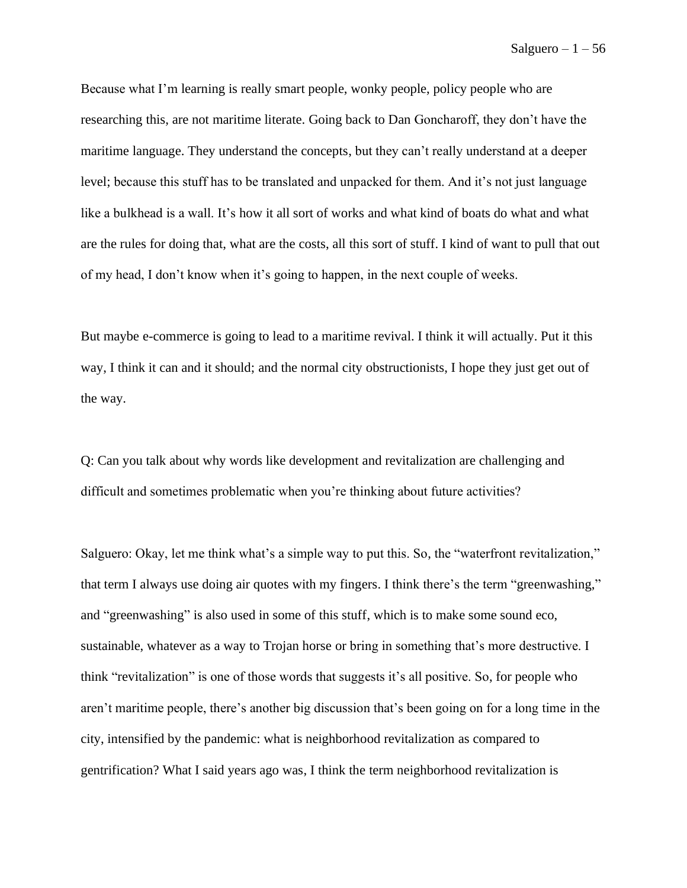Because what I'm learning is really smart people, wonky people, policy people who are researching this, are not maritime literate. Going back to Dan Goncharoff, they don't have the maritime language. They understand the concepts, but they can't really understand at a deeper level; because this stuff has to be translated and unpacked for them. And it's not just language like a bulkhead is a wall. It's how it all sort of works and what kind of boats do what and what are the rules for doing that, what are the costs, all this sort of stuff. I kind of want to pull that out of my head, I don't know when it's going to happen, in the next couple of weeks.

But maybe e-commerce is going to lead to a maritime revival. I think it will actually. Put it this way, I think it can and it should; and the normal city obstructionists, I hope they just get out of the way.

Q: Can you talk about why words like development and revitalization are challenging and difficult and sometimes problematic when you're thinking about future activities?

Salguero: Okay, let me think what's a simple way to put this. So, the "waterfront revitalization," that term I always use doing air quotes with my fingers. I think there's the term "greenwashing," and "greenwashing" is also used in some of this stuff, which is to make some sound eco, sustainable, whatever as a way to Trojan horse or bring in something that's more destructive. I think "revitalization" is one of those words that suggests it's all positive. So, for people who aren't maritime people, there's another big discussion that's been going on for a long time in the city, intensified by the pandemic: what is neighborhood revitalization as compared to gentrification? What I said years ago was, I think the term neighborhood revitalization is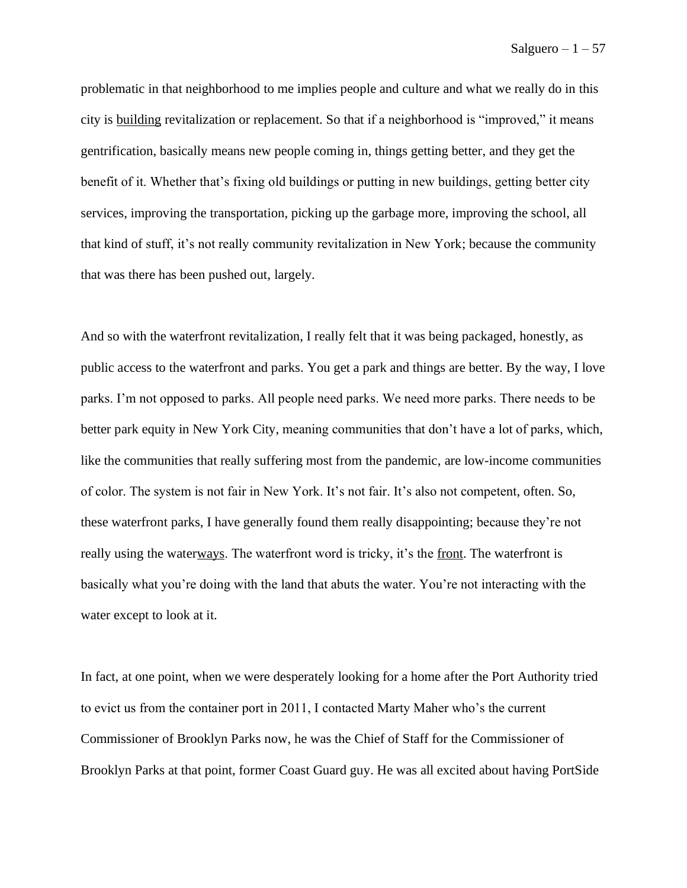problematic in that neighborhood to me implies people and culture and what we really do in this city is building revitalization or replacement. So that if a neighborhood is "improved," it means gentrification, basically means new people coming in, things getting better, and they get the benefit of it. Whether that's fixing old buildings or putting in new buildings, getting better city services, improving the transportation, picking up the garbage more, improving the school, all that kind of stuff, it's not really community revitalization in New York; because the community that was there has been pushed out, largely.

And so with the waterfront revitalization, I really felt that it was being packaged, honestly, as public access to the waterfront and parks. You get a park and things are better. By the way, I love parks. I'm not opposed to parks. All people need parks. We need more parks. There needs to be better park equity in New York City, meaning communities that don't have a lot of parks, which, like the communities that really suffering most from the pandemic, are low-income communities of color. The system is not fair in New York. It's not fair. It's also not competent, often. So, these waterfront parks, I have generally found them really disappointing; because they're not really using the waterways. The waterfront word is tricky, it's the <u>front</u>. The waterfront is basically what you're doing with the land that abuts the water. You're not interacting with the water except to look at it.

In fact, at one point, when we were desperately looking for a home after the Port Authority tried to evict us from the container port in 2011, I contacted Marty Maher who's the current Commissioner of Brooklyn Parks now, he was the Chief of Staff for the Commissioner of Brooklyn Parks at that point, former Coast Guard guy. He was all excited about having PortSide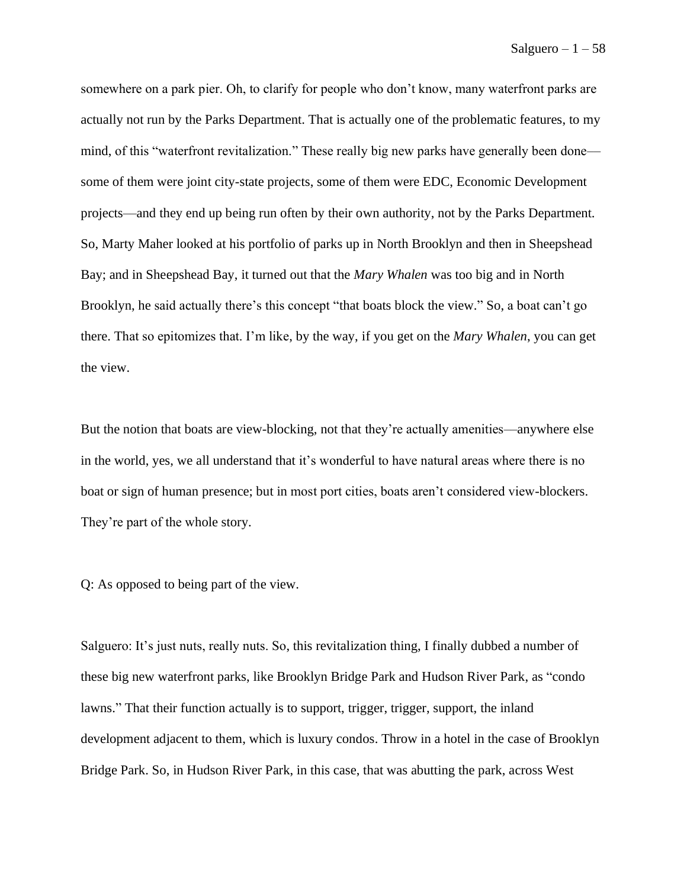somewhere on a park pier. Oh, to clarify for people who don't know, many waterfront parks are actually not run by the Parks Department. That is actually one of the problematic features, to my mind, of this "waterfront revitalization." These really big new parks have generally been done some of them were joint city-state projects, some of them were EDC, Economic Development projects––and they end up being run often by their own authority, not by the Parks Department. So, Marty Maher looked at his portfolio of parks up in North Brooklyn and then in Sheepshead Bay; and in Sheepshead Bay, it turned out that the *Mary Whalen* was too big and in North Brooklyn, he said actually there's this concept "that boats block the view." So, a boat can't go there. That so epitomizes that. I'm like, by the way, if you get on the *Mary Whalen*, you can get the view.

But the notion that boats are view-blocking, not that they're actually amenities––anywhere else in the world, yes, we all understand that it's wonderful to have natural areas where there is no boat or sign of human presence; but in most port cities, boats aren't considered view-blockers. They're part of the whole story.

Q: As opposed to being part of the view.

Salguero: It's just nuts, really nuts. So, this revitalization thing, I finally dubbed a number of these big new waterfront parks, like Brooklyn Bridge Park and Hudson River Park, as "condo lawns." That their function actually is to support, trigger, trigger, support, the inland development adjacent to them, which is luxury condos. Throw in a hotel in the case of Brooklyn Bridge Park. So, in Hudson River Park, in this case, that was abutting the park, across West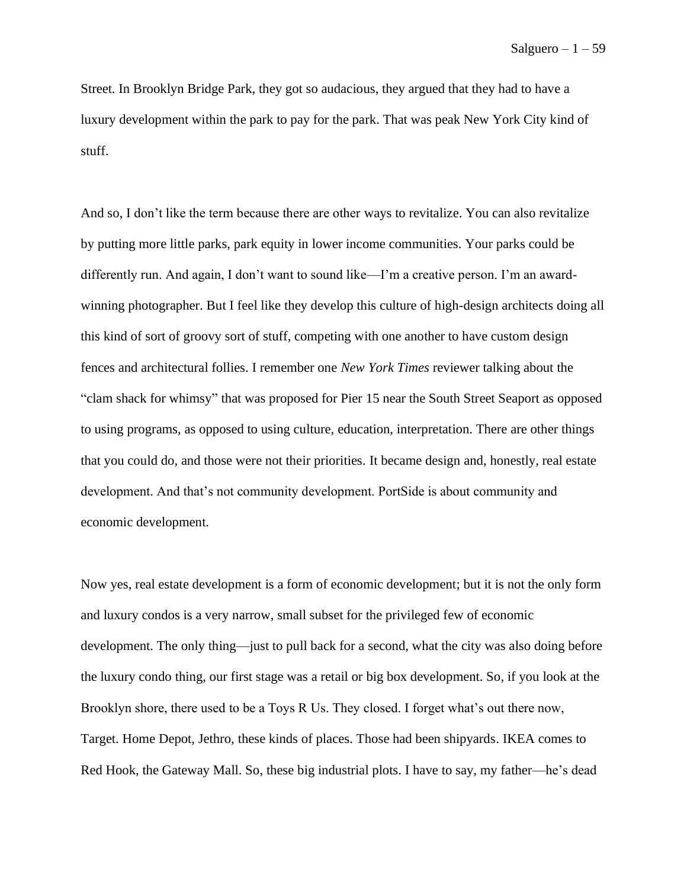Street. In Brooklyn Bridge Park, they got so audacious, they argued that they had to have a luxury development within the park to pay for the park. That was peak New York City kind of stuff.

And so, I don't like the term because there are other ways to revitalize. You can also revitalize by putting more little parks, park equity in lower income communities. Your parks could be differently run. And again, I don't want to sound like—I'm a creative person. I'm an awardwinning photographer. But I feel like they develop this culture of high-design architects doing all this kind of sort of groovy sort of stuff, competing with one another to have custom design fences and architectural follies. I remember one *New York Times* reviewer talking about the "clam shack for whimsy" that was proposed for Pier 15 near the South Street Seaport as opposed to using programs, as opposed to using culture, education, interpretation. There are other things that you could do, and those were not their priorities. It became design and, honestly, real estate development. And that's not community development. PortSide is about community and economic development.

Now yes, real estate development is a form of economic development; but it is not the only form and luxury condos is a very narrow, small subset for the privileged few of economic development. The only thing—just to pull back for a second, what the city was also doing before the luxury condo thing, our first stage was a retail or big box development. So, if you look at the Brooklyn shore, there used to be a Toys R Us. They closed. I forget what's out there now, Target. Home Depot, Jethro, these kinds of places. Those had been shipyards. IKEA comes to Red Hook, the Gateway Mall. So, these big industrial plots. I have to say, my father—he's dead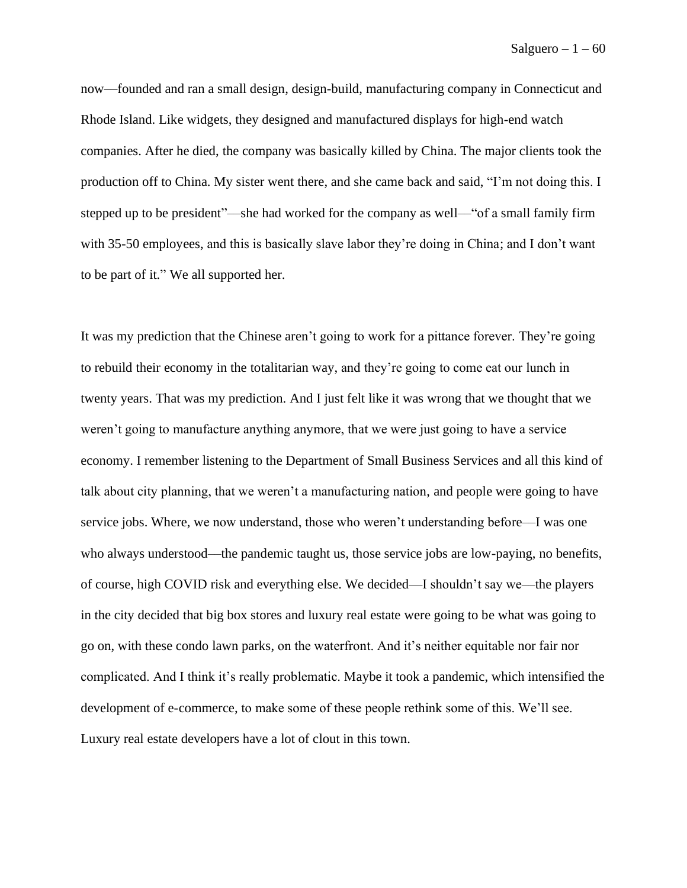now––founded and ran a small design, design-build, manufacturing company in Connecticut and Rhode Island. Like widgets, they designed and manufactured displays for high-end watch companies. After he died, the company was basically killed by China. The major clients took the production off to China. My sister went there, and she came back and said, "I'm not doing this. I stepped up to be president"––she had worked for the company as well––"of a small family firm with 35-50 employees, and this is basically slave labor they're doing in China; and I don't want to be part of it." We all supported her.

It was my prediction that the Chinese aren't going to work for a pittance forever. They're going to rebuild their economy in the totalitarian way, and they're going to come eat our lunch in twenty years. That was my prediction. And I just felt like it was wrong that we thought that we weren't going to manufacture anything anymore, that we were just going to have a service economy. I remember listening to the Department of Small Business Services and all this kind of talk about city planning, that we weren't a manufacturing nation, and people were going to have service jobs. Where, we now understand, those who weren't understanding before—I was one who always understood—the pandemic taught us, those service jobs are low-paying, no benefits, of course, high COVID risk and everything else. We decided—I shouldn't say we––the players in the city decided that big box stores and luxury real estate were going to be what was going to go on, with these condo lawn parks, on the waterfront. And it's neither equitable nor fair nor complicated. And I think it's really problematic. Maybe it took a pandemic, which intensified the development of e-commerce, to make some of these people rethink some of this. We'll see. Luxury real estate developers have a lot of clout in this town.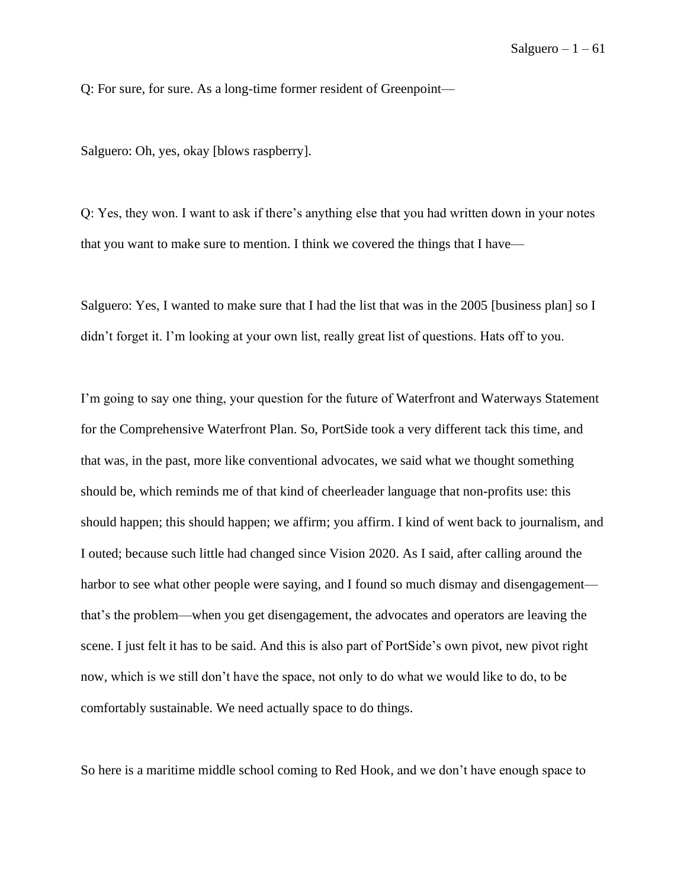Q: For sure, for sure. As a long-time former resident of Greenpoint—

Salguero: Oh, yes, okay [blows raspberry].

Q: Yes, they won. I want to ask if there's anything else that you had written down in your notes that you want to make sure to mention. I think we covered the things that I have—

Salguero: Yes, I wanted to make sure that I had the list that was in the 2005 [business plan] so I didn't forget it. I'm looking at your own list, really great list of questions. Hats off to you.

I'm going to say one thing, your question for the future of Waterfront and Waterways Statement for the Comprehensive Waterfront Plan. So, PortSide took a very different tack this time, and that was, in the past, more like conventional advocates, we said what we thought something should be, which reminds me of that kind of cheerleader language that non-profits use: this should happen; this should happen; we affirm; you affirm. I kind of went back to journalism, and I outed; because such little had changed since Vision 2020. As I said, after calling around the harbor to see what other people were saying, and I found so much dismay and disengagement that's the problem—when you get disengagement, the advocates and operators are leaving the scene. I just felt it has to be said. And this is also part of PortSide's own pivot, new pivot right now, which is we still don't have the space, not only to do what we would like to do, to be comfortably sustainable. We need actually space to do things.

So here is a maritime middle school coming to Red Hook, and we don't have enough space to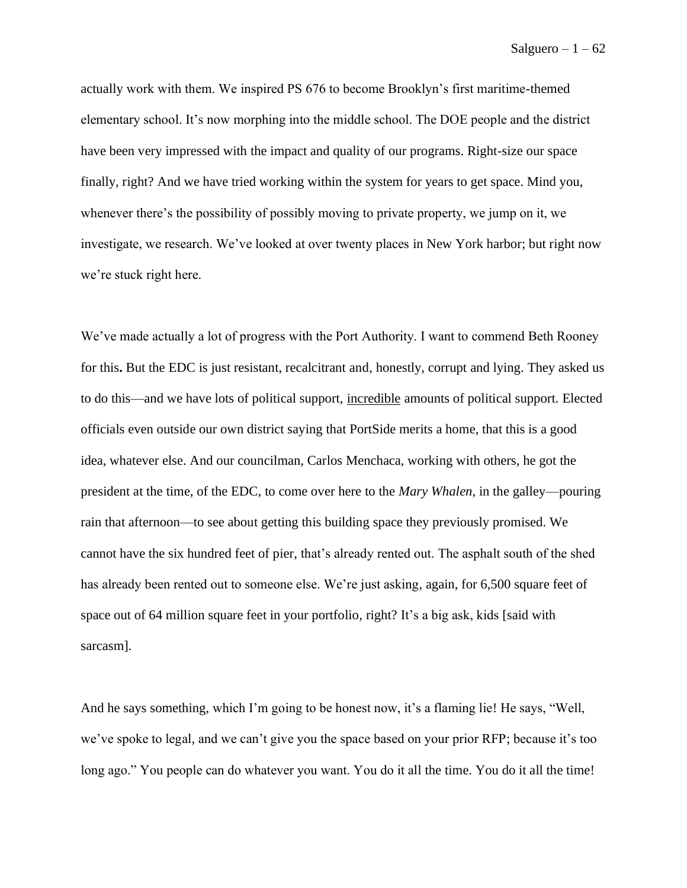actually work with them. We inspired PS 676 to become Brooklyn's first maritime-themed elementary school. It's now morphing into the middle school. The DOE people and the district have been very impressed with the impact and quality of our programs. Right-size our space finally, right? And we have tried working within the system for years to get space. Mind you, whenever there's the possibility of possibly moving to private property, we jump on it, we investigate, we research. We've looked at over twenty places in New York harbor; but right now we're stuck right here.

We've made actually a lot of progress with the Port Authority. I want to commend Beth Rooney for this**.** But the EDC is just resistant, recalcitrant and, honestly, corrupt and lying. They asked us to do this—and we have lots of political support, incredible amounts of political support. Elected officials even outside our own district saying that PortSide merits a home, that this is a good idea, whatever else. And our councilman, Carlos Menchaca, working with others, he got the president at the time, of the EDC, to come over here to the *Mary Whalen*, in the galley––pouring rain that afternoon––to see about getting this building space they previously promised. We cannot have the six hundred feet of pier, that's already rented out. The asphalt south of the shed has already been rented out to someone else. We're just asking, again, for 6,500 square feet of space out of 64 million square feet in your portfolio, right? It's a big ask, kids [said with sarcasm].

And he says something, which I'm going to be honest now, it's a flaming lie! He says, "Well, we've spoke to legal, and we can't give you the space based on your prior RFP; because it's too long ago." You people can do whatever you want. You do it all the time. You do it all the time!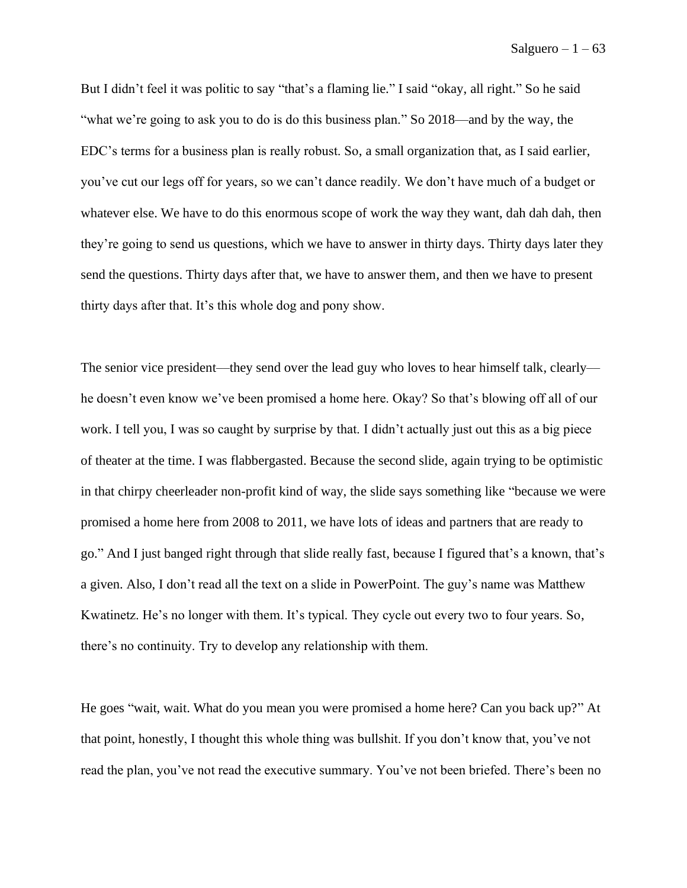But I didn't feel it was politic to say "that's a flaming lie." I said "okay, all right." So he said "what we're going to ask you to do is do this business plan." So 2018—and by the way, the EDC's terms for a business plan is really robust. So, a small organization that, as I said earlier, you've cut our legs off for years, so we can't dance readily. We don't have much of a budget or whatever else. We have to do this enormous scope of work the way they want, dah dah dah, then they're going to send us questions, which we have to answer in thirty days. Thirty days later they send the questions. Thirty days after that, we have to answer them, and then we have to present thirty days after that. It's this whole dog and pony show.

The senior vice president—they send over the lead guy who loves to hear himself talk, clearly he doesn't even know we've been promised a home here. Okay? So that's blowing off all of our work. I tell you, I was so caught by surprise by that. I didn't actually just out this as a big piece of theater at the time. I was flabbergasted. Because the second slide, again trying to be optimistic in that chirpy cheerleader non-profit kind of way, the slide says something like "because we were promised a home here from 2008 to 2011, we have lots of ideas and partners that are ready to go." And I just banged right through that slide really fast, because I figured that's a known, that's a given. Also, I don't read all the text on a slide in PowerPoint. The guy's name was Matthew Kwatinetz. He's no longer with them. It's typical. They cycle out every two to four years. So, there's no continuity. Try to develop any relationship with them.

He goes "wait, wait. What do you mean you were promised a home here? Can you back up?" At that point, honestly, I thought this whole thing was bullshit. If you don't know that, you've not read the plan, you've not read the executive summary. You've not been briefed. There's been no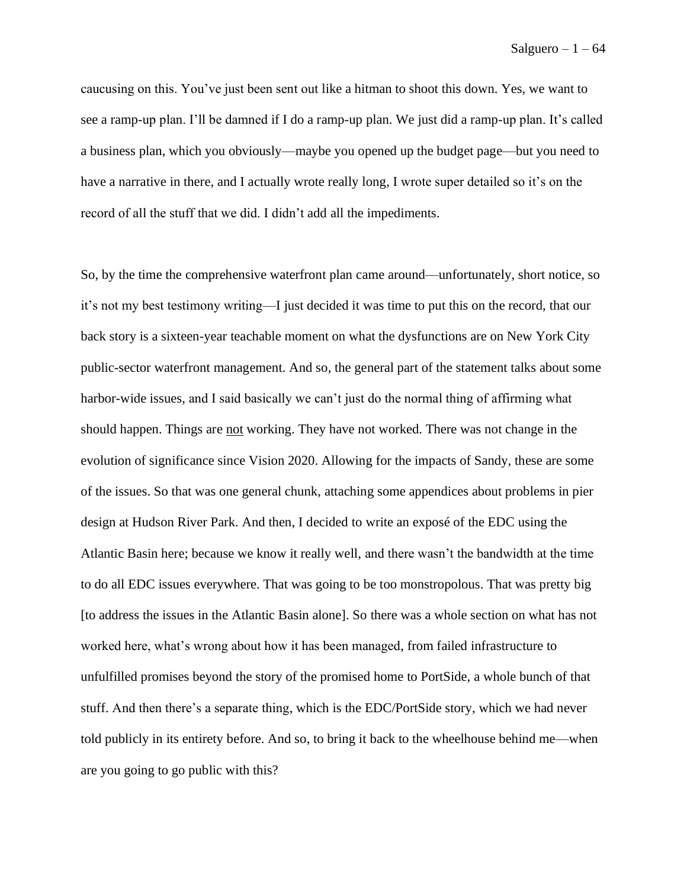caucusing on this. You've just been sent out like a hitman to shoot this down. Yes, we want to see a ramp-up plan. I'll be damned if I do a ramp-up plan. We just did a ramp-up plan. It's called a business plan, which you obviously—maybe you opened up the budget page––but you need to have a narrative in there, and I actually wrote really long, I wrote super detailed so it's on the record of all the stuff that we did. I didn't add all the impediments.

So, by the time the comprehensive waterfront plan came around––unfortunately, short notice, so it's not my best testimony writing––I just decided it was time to put this on the record, that our back story is a sixteen-year teachable moment on what the dysfunctions are on New York City public-sector waterfront management. And so, the general part of the statement talks about some harbor-wide issues, and I said basically we can't just do the normal thing of affirming what should happen. Things are not working. They have not worked. There was not change in the evolution of significance since Vision 2020. Allowing for the impacts of Sandy, these are some of the issues. So that was one general chunk, attaching some appendices about problems in pier design at Hudson River Park. And then, I decided to write an exposé of the EDC using the Atlantic Basin here; because we know it really well, and there wasn't the bandwidth at the time to do all EDC issues everywhere. That was going to be too monstropolous. That was pretty big [to address the issues in the Atlantic Basin alone]. So there was a whole section on what has not worked here, what's wrong about how it has been managed, from failed infrastructure to unfulfilled promises beyond the story of the promised home to PortSide, a whole bunch of that stuff. And then there's a separate thing, which is the EDC/PortSide story, which we had never told publicly in its entirety before. And so, to bring it back to the wheelhouse behind me—when are you going to go public with this?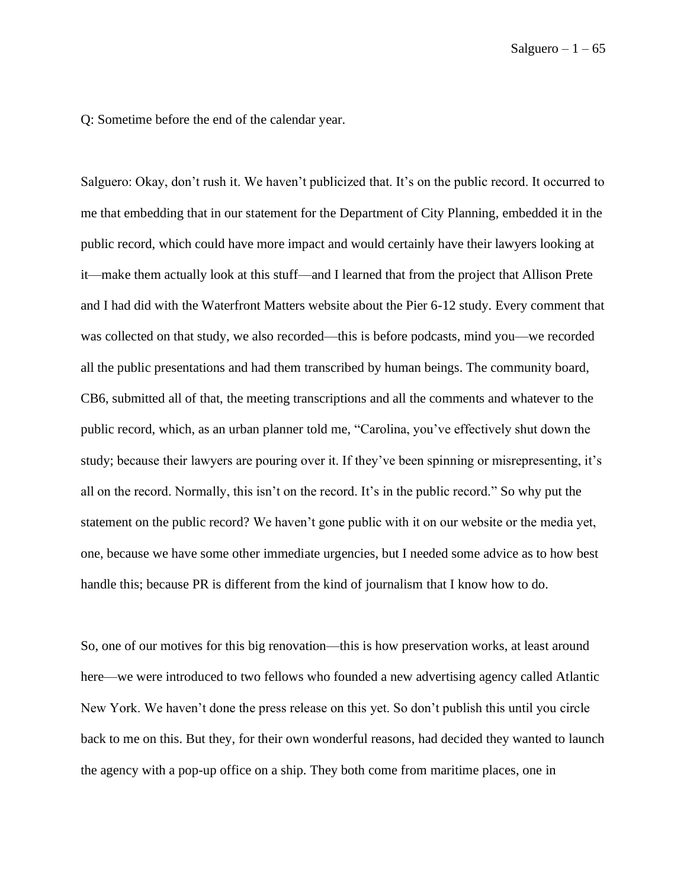Q: Sometime before the end of the calendar year.

Salguero: Okay, don't rush it. We haven't publicized that. It's on the public record. It occurred to me that embedding that in our statement for the Department of City Planning, embedded it in the public record, which could have more impact and would certainly have their lawyers looking at it––make them actually look at this stuff––and I learned that from the project that Allison Prete and I had did with the Waterfront Matters website about the Pier 6-12 study. Every comment that was collected on that study, we also recorded—this is before podcasts, mind you—we recorded all the public presentations and had them transcribed by human beings. The community board, CB6, submitted all of that, the meeting transcriptions and all the comments and whatever to the public record, which, as an urban planner told me, "Carolina, you've effectively shut down the study; because their lawyers are pouring over it. If they've been spinning or misrepresenting, it's all on the record. Normally, this isn't on the record. It's in the public record." So why put the statement on the public record? We haven't gone public with it on our website or the media yet, one, because we have some other immediate urgencies, but I needed some advice as to how best handle this; because PR is different from the kind of journalism that I know how to do.

So, one of our motives for this big renovation––this is how preservation works, at least around here—we were introduced to two fellows who founded a new advertising agency called Atlantic New York. We haven't done the press release on this yet. So don't publish this until you circle back to me on this. But they, for their own wonderful reasons, had decided they wanted to launch the agency with a pop-up office on a ship. They both come from maritime places, one in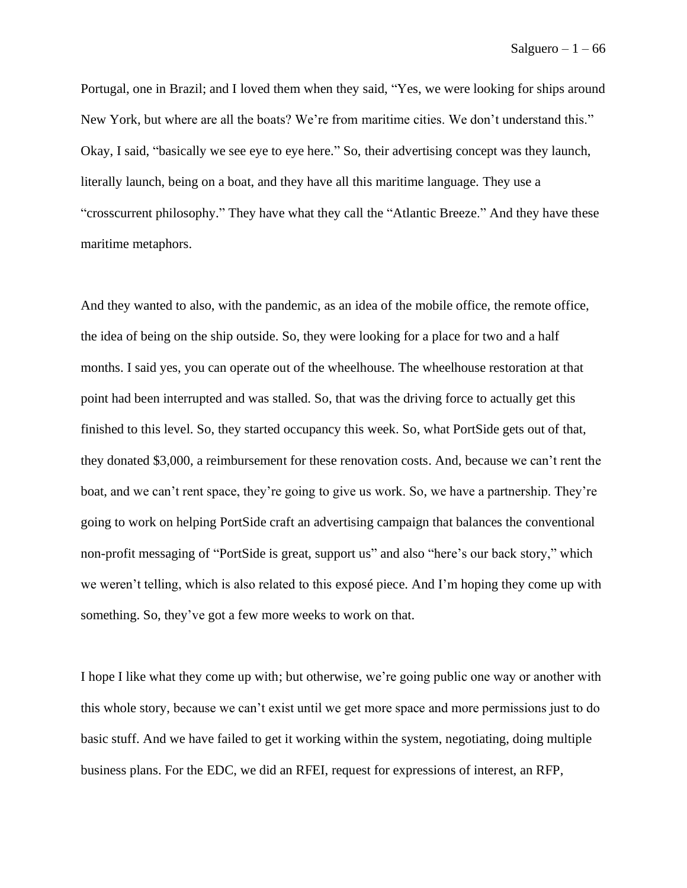Portugal, one in Brazil; and I loved them when they said, "Yes, we were looking for ships around New York, but where are all the boats? We're from maritime cities. We don't understand this." Okay, I said, "basically we see eye to eye here." So, their advertising concept was they launch, literally launch, being on a boat, and they have all this maritime language. They use a "crosscurrent philosophy." They have what they call the "Atlantic Breeze." And they have these maritime metaphors.

And they wanted to also, with the pandemic, as an idea of the mobile office, the remote office, the idea of being on the ship outside. So, they were looking for a place for two and a half months. I said yes, you can operate out of the wheelhouse. The wheelhouse restoration at that point had been interrupted and was stalled. So, that was the driving force to actually get this finished to this level. So, they started occupancy this week. So, what PortSide gets out of that, they donated \$3,000, a reimbursement for these renovation costs. And, because we can't rent the boat, and we can't rent space, they're going to give us work. So, we have a partnership. They're going to work on helping PortSide craft an advertising campaign that balances the conventional non-profit messaging of "PortSide is great, support us" and also "here's our back story," which we weren't telling, which is also related to this exposé piece. And I'm hoping they come up with something. So, they've got a few more weeks to work on that.

I hope I like what they come up with; but otherwise, we're going public one way or another with this whole story, because we can't exist until we get more space and more permissions just to do basic stuff. And we have failed to get it working within the system, negotiating, doing multiple business plans. For the EDC, we did an RFEI, request for expressions of interest, an RFP,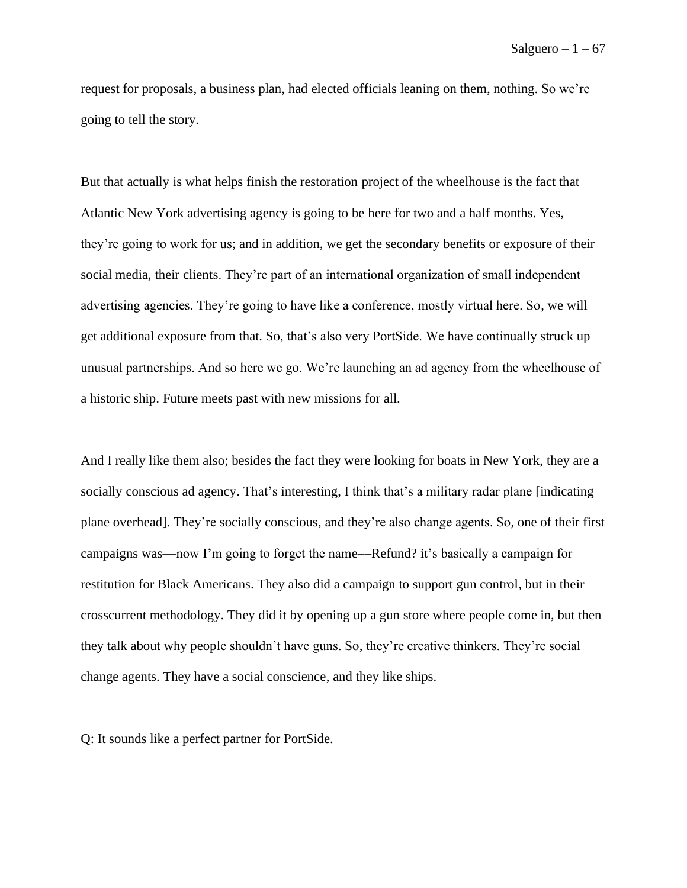request for proposals, a business plan, had elected officials leaning on them, nothing. So we're going to tell the story.

But that actually is what helps finish the restoration project of the wheelhouse is the fact that Atlantic New York advertising agency is going to be here for two and a half months. Yes, they're going to work for us; and in addition, we get the secondary benefits or exposure of their social media, their clients. They're part of an international organization of small independent advertising agencies. They're going to have like a conference, mostly virtual here. So, we will get additional exposure from that. So, that's also very PortSide. We have continually struck up unusual partnerships. And so here we go. We're launching an ad agency from the wheelhouse of a historic ship. Future meets past with new missions for all.

And I really like them also; besides the fact they were looking for boats in New York, they are a socially conscious ad agency. That's interesting, I think that's a military radar plane [indicating plane overhead]. They're socially conscious, and they're also change agents. So, one of their first campaigns was—now I'm going to forget the name––Refund? it's basically a campaign for restitution for Black Americans. They also did a campaign to support gun control, but in their crosscurrent methodology. They did it by opening up a gun store where people come in, but then they talk about why people shouldn't have guns. So, they're creative thinkers. They're social change agents. They have a social conscience, and they like ships.

Q: It sounds like a perfect partner for PortSide.